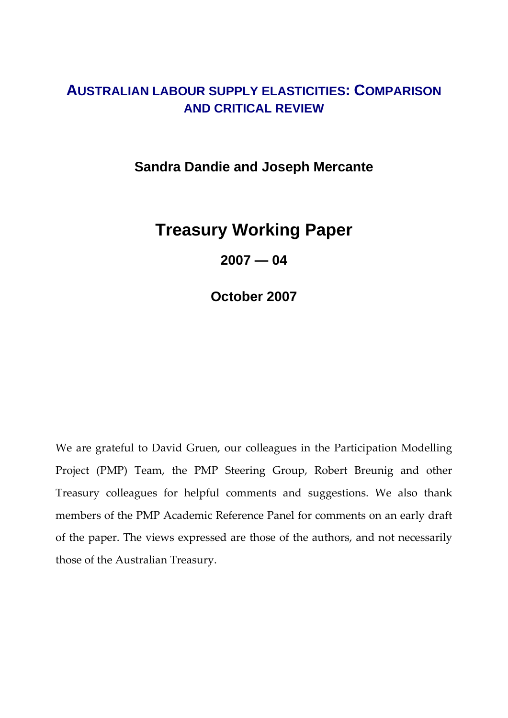# **AUSTRALIAN LABOUR SUPPLY ELASTICITIES: COMPARISON AND CRITICAL REVIEW**

**Sandra Dandie and Joseph Mercante** 

# **Treasury Working Paper**

**2007 — 04** 

**October 2007** 

We are grateful to David Gruen, our colleagues in the Participation Modelling Project (PMP) Team, the PMP Steering Group, Robert Breunig and other Treasury colleagues for helpful comments and suggestions. We also thank members of the PMP Academic Reference Panel for comments on an early draft of the paper. The views expressed are those of the authors, and not necessarily those of the Australian Treasury.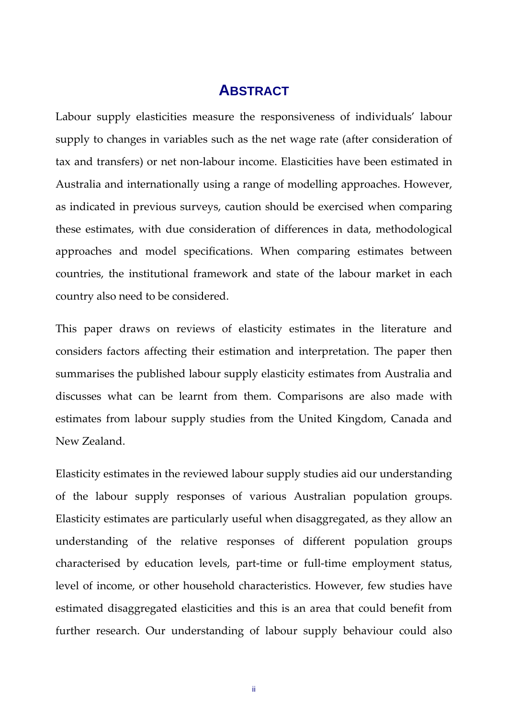## **ABSTRACT**

Labour supply elasticities measure the responsiveness of individuals' labour supply to changes in variables such as the net wage rate (after consideration of tax and transfers) or net non‐labour income. Elasticities have been estimated in Australia and internationally using a range of modelling approaches. However, as indicated in previous surveys, caution should be exercised when comparing these estimates, with due consideration of differences in data, methodological approaches and model specifications. When comparing estimates between countries, the institutional framework and state of the labour market in each country also need to be considered.

This paper draws on reviews of elasticity estimates in the literature and considers factors affecting their estimation and interpretation. The paper then summarises the published labour supply elasticity estimates from Australia and discusses what can be learnt from them. Comparisons are also made with estimates from labour supply studies from the United Kingdom, Canada and New Zealand.

Elasticity estimates in the reviewed labour supply studies aid our understanding of the labour supply responses of various Australian population groups. Elasticity estimates are particularly useful when disaggregated, as they allow an understanding of the relative responses of different population groups characterised by education levels, part‐time or full‐time employment status, level of income, or other household characteristics. However, few studies have estimated disaggregated elasticities and this is an area that could benefit from further research. Our understanding of labour supply behaviour could also

ii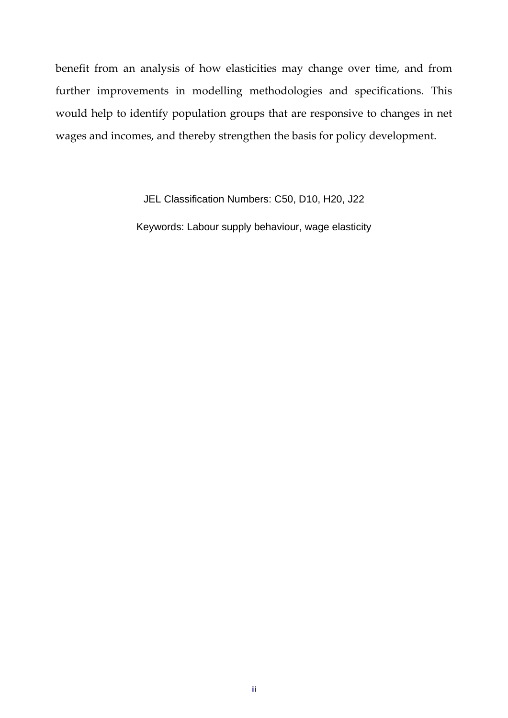benefit from an analysis of how elasticities may change over time, and from further improvements in modelling methodologies and specifications. This would help to identify population groups that are responsive to changes in net wages and incomes, and thereby strengthen the basis for policy development.

> JEL Classification Numbers: C50, D10, H20, J22 Keywords: Labour supply behaviour, wage elasticity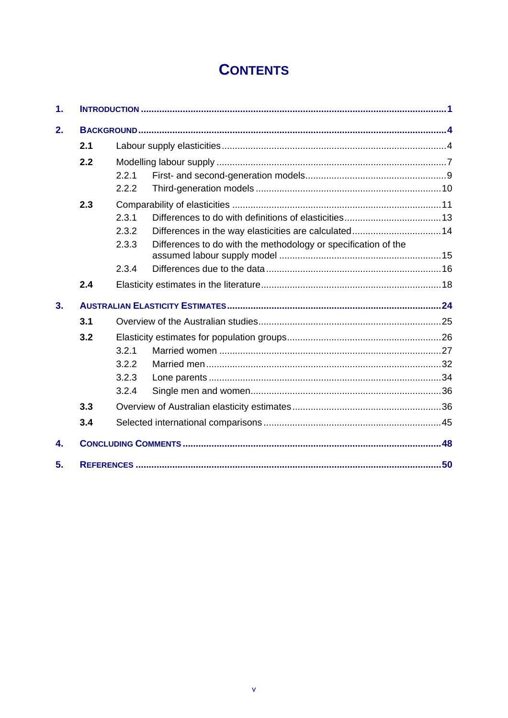# **CONTENTS**

| $\mathbf{1}$ . |     |                                                                         |     |  |  |  |
|----------------|-----|-------------------------------------------------------------------------|-----|--|--|--|
| 2.             |     |                                                                         |     |  |  |  |
|                | 2.1 |                                                                         |     |  |  |  |
|                | 2.2 |                                                                         |     |  |  |  |
|                |     | 2.2.1                                                                   |     |  |  |  |
|                |     | 2.2.2                                                                   |     |  |  |  |
|                | 2.3 |                                                                         |     |  |  |  |
|                |     | 2.3.1                                                                   |     |  |  |  |
|                |     | Differences in the way elasticities are calculated 14<br>2.3.2          |     |  |  |  |
|                |     | Differences to do with the methodology or specification of the<br>2.3.3 |     |  |  |  |
|                |     | 2.3.4                                                                   |     |  |  |  |
|                | 2.4 |                                                                         |     |  |  |  |
| 3.             |     |                                                                         |     |  |  |  |
|                | 3.1 |                                                                         |     |  |  |  |
|                | 3.2 |                                                                         |     |  |  |  |
|                |     | 3.2.1                                                                   |     |  |  |  |
|                |     | 3.2.2                                                                   |     |  |  |  |
|                |     | 3.2.3                                                                   |     |  |  |  |
|                |     | 3.2.4                                                                   |     |  |  |  |
|                | 3.3 |                                                                         |     |  |  |  |
|                | 3.4 |                                                                         |     |  |  |  |
| 4.             |     |                                                                         |     |  |  |  |
| 5.             |     |                                                                         | .50 |  |  |  |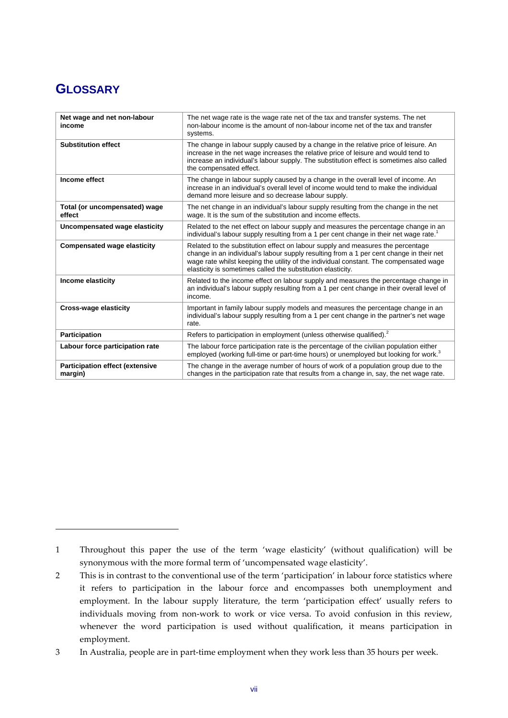# **GLOSSARY**

| Net wage and net non-labour<br>income             | The net wage rate is the wage rate net of the tax and transfer systems. The net<br>non-labour income is the amount of non-labour income net of the tax and transfer<br>systems.                                                                                                                                                    |  |  |  |
|---------------------------------------------------|------------------------------------------------------------------------------------------------------------------------------------------------------------------------------------------------------------------------------------------------------------------------------------------------------------------------------------|--|--|--|
| <b>Substitution effect</b>                        | The change in labour supply caused by a change in the relative price of leisure. An<br>increase in the net wage increases the relative price of leisure and would tend to<br>increase an individual's labour supply. The substitution effect is sometimes also called<br>the compensated effect.                                   |  |  |  |
| Income effect                                     | The change in labour supply caused by a change in the overall level of income. An<br>increase in an individual's overall level of income would tend to make the individual<br>demand more leisure and so decrease labour supply.                                                                                                   |  |  |  |
| Total (or uncompensated) wage<br>effect           | The net change in an individual's labour supply resulting from the change in the net<br>wage. It is the sum of the substitution and income effects.                                                                                                                                                                                |  |  |  |
| Uncompensated wage elasticity                     | Related to the net effect on labour supply and measures the percentage change in an<br>individual's labour supply resulting from a 1 per cent change in their net wage rate.                                                                                                                                                       |  |  |  |
| <b>Compensated wage elasticity</b>                | Related to the substitution effect on labour supply and measures the percentage<br>change in an individual's labour supply resulting from a 1 per cent change in their net<br>wage rate whilst keeping the utility of the individual constant. The compensated wage<br>elasticity is sometimes called the substitution elasticity. |  |  |  |
| Income elasticity                                 | Related to the income effect on labour supply and measures the percentage change in<br>an individual's labour supply resulting from a 1 per cent change in their overall level of<br>income.                                                                                                                                       |  |  |  |
| Cross-wage elasticity                             | Important in family labour supply models and measures the percentage change in an<br>individual's labour supply resulting from a 1 per cent change in the partner's net wage<br>rate.                                                                                                                                              |  |  |  |
| <b>Participation</b>                              | Refers to participation in employment (unless otherwise qualified). <sup>2</sup>                                                                                                                                                                                                                                                   |  |  |  |
| Labour force participation rate                   | The labour force participation rate is the percentage of the civilian population either<br>employed (working full-time or part-time hours) or unemployed but looking for work. <sup>3</sup>                                                                                                                                        |  |  |  |
| <b>Participation effect (extensive</b><br>margin) | The change in the average number of hours of work of a population group due to the<br>changes in the participation rate that results from a change in, say, the net wage rate.                                                                                                                                                     |  |  |  |

<sup>1</sup> Throughout this paper the use of the term 'wage elasticity' (without qualification) will be synonymous with the more formal term of 'uncompensated wage elasticity'.

<sup>2</sup> This is in contrast to the conventional use of the term 'participation' in labour force statistics where it refers to participation in the labour force and encompasses both unemployment and employment. In the labour supply literature, the term 'participation effect' usually refers to individuals moving from non‐work to work or vice versa. To avoid confusion in this review, whenever the word participation is used without qualification, it means participation in employment.

<sup>3</sup> In Australia, people are in part‐time employment when they work less than 35 hours per week.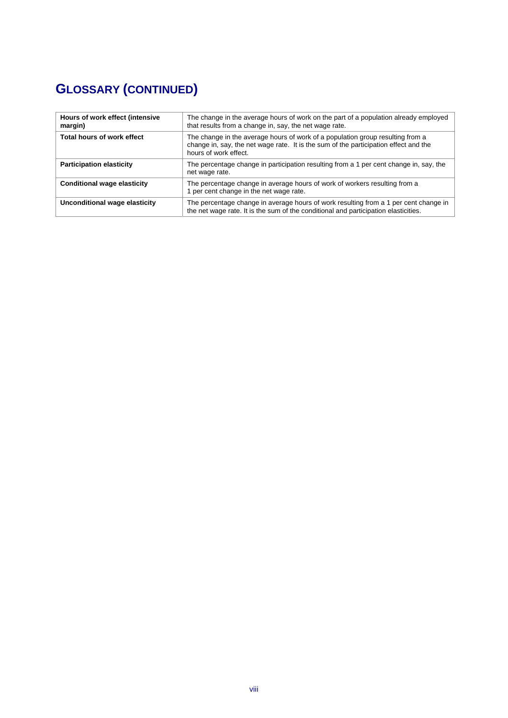# **GLOSSARY (CONTINUED)**

| Hours of work effect (intensive<br>margin) | The change in the average hours of work on the part of a population already employed<br>that results from a change in, say, the net wage rate.                                                  |  |  |  |
|--------------------------------------------|-------------------------------------------------------------------------------------------------------------------------------------------------------------------------------------------------|--|--|--|
| <b>Total hours of work effect</b>          | The change in the average hours of work of a population group resulting from a<br>change in, say, the net wage rate. It is the sum of the participation effect and the<br>hours of work effect. |  |  |  |
| <b>Participation elasticity</b>            | The percentage change in participation resulting from a 1 per cent change in, say, the<br>net wage rate.                                                                                        |  |  |  |
| <b>Conditional wage elasticity</b>         | The percentage change in average hours of work of workers resulting from a<br>1 per cent change in the net wage rate.                                                                           |  |  |  |
| Unconditional wage elasticity              | The percentage change in average hours of work resulting from a 1 per cent change in<br>the net wage rate. It is the sum of the conditional and participation elasticities.                     |  |  |  |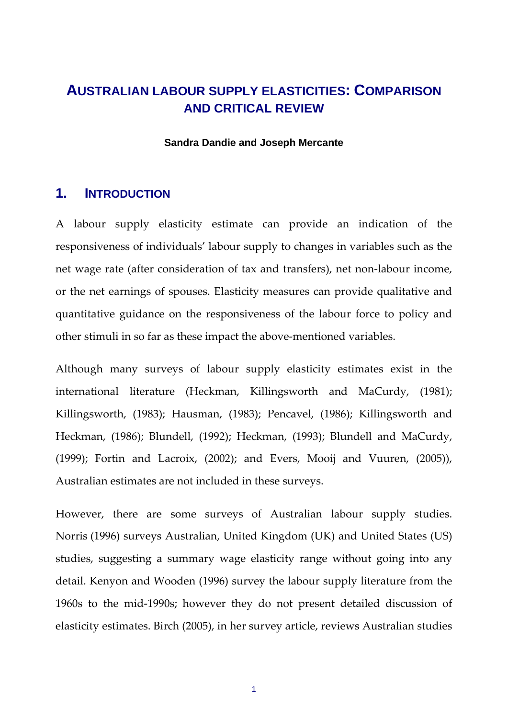## **AUSTRALIAN LABOUR SUPPLY ELASTICITIES: COMPARISON AND CRITICAL REVIEW**

#### **Sandra Dandie and Joseph Mercante**

#### **1. INTRODUCTION**

A labour supply elasticity estimate can provide an indication of the responsiveness of individuals' labour supply to changes in variables such as the net wage rate (after consideration of tax and transfers), net non‐labour income, or the net earnings of spouses. Elasticity measures can provide qualitative and quantitative guidance on the responsiveness of the labour force to policy and other stimuli in so far as these impact the above‐mentioned variables.

Although many surveys of labour supply elasticity estimates exist in the international literature (Heckman, Killingsworth and MaCurdy, (1981); Killingsworth, (1983); Hausman, (1983); Pencavel, (1986); Killingsworth and Heckman, (1986); Blundell, (1992); Heckman, (1993); Blundell and MaCurdy, (1999); Fortin and Lacroix, (2002); and Evers, Mooij and Vuuren, (2005)), Australian estimates are not included in these surveys.

However, there are some surveys of Australian labour supply studies. Norris (1996) surveys Australian, United Kingdom (UK) and United States (US) studies, suggesting a summary wage elasticity range without going into any detail. Kenyon and Wooden (1996) survey the labour supply literature from the 1960s to the mid‐1990s; however they do not present detailed discussion of elasticity estimates. Birch (2005), in her survey article, reviews Australian studies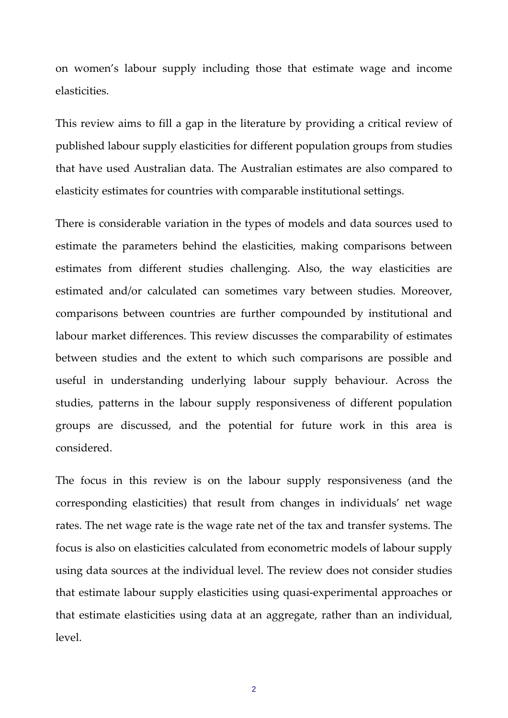on women's labour supply including those that estimate wage and income elasticities.

This review aims to fill a gap in the literature by providing a critical review of published labour supply elasticities for different population groups from studies that have used Australian data. The Australian estimates are also compared to elasticity estimates for countries with comparable institutional settings.

There is considerable variation in the types of models and data sources used to estimate the parameters behind the elasticities, making comparisons between estimates from different studies challenging. Also, the way elasticities are estimated and/or calculated can sometimes vary between studies. Moreover, comparisons between countries are further compounded by institutional and labour market differences. This review discusses the comparability of estimates between studies and the extent to which such comparisons are possible and useful in understanding underlying labour supply behaviour. Across the studies, patterns in the labour supply responsiveness of different population groups are discussed, and the potential for future work in this area is considered.

The focus in this review is on the labour supply responsiveness (and the corresponding elasticities) that result from changes in individuals' net wage rates. The net wage rate is the wage rate net of the tax and transfer systems. The focus is also on elasticities calculated from econometric models of labour supply using data sources at the individual level. The review does not consider studies that estimate labour supply elasticities using quasi‐experimental approaches or that estimate elasticities using data at an aggregate, rather than an individual, level.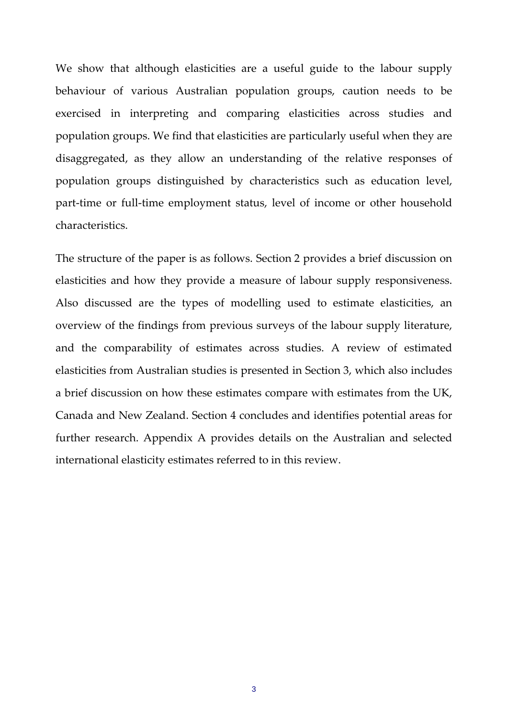We show that although elasticities are a useful guide to the labour supply behaviour of various Australian population groups, caution needs to be exercised in interpreting and comparing elasticities across studies and population groups. We find that elasticities are particularly useful when they are disaggregated, as they allow an understanding of the relative responses of population groups distinguished by characteristics such as education level, part-time or full-time employment status, level of income or other household characteristics.

The structure of the paper is as follows. Section 2 provides a brief discussion on elasticities and how they provide a measure of labour supply responsiveness. Also discussed are the types of modelling used to estimate elasticities, an overview of the findings from previous surveys of the labour supply literature, and the comparability of estimates across studies. A review of estimated elasticities from Australian studies is presented in Section 3, which also includes a brief discussion on how these estimates compare with estimates from the UK, Canada and New Zealand. Section 4 concludes and identifies potential areas for further research. Appendix A provides details on the Australian and selected international elasticity estimates referred to in this review.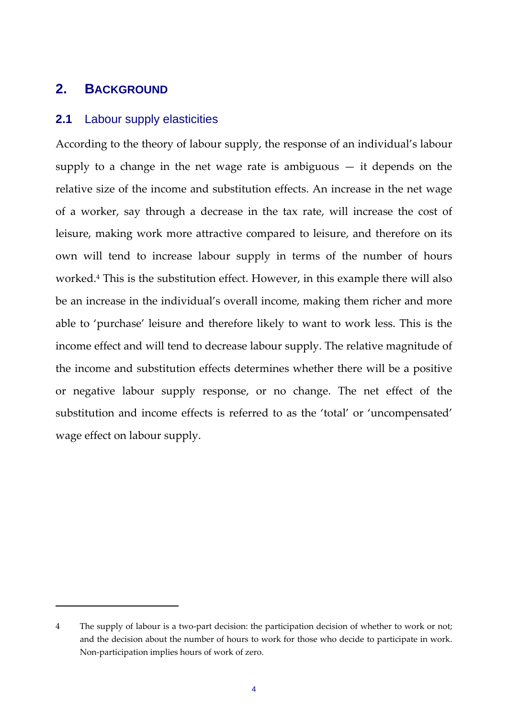## **2. BACKGROUND**

### **2.1** Labour supply elasticities

According to the theory of labour supply, the response of an individual's labour supply to a change in the net wage rate is ambiguous  $-$  it depends on the relative size of the income and substitution effects. An increase in the net wage of a worker, say through a decrease in the tax rate, will increase the cost of leisure, making work more attractive compared to leisure, and therefore on its own will tend to increase labour supply in terms of the number of hours worked.4 This is the substitution effect. However, in this example there will also be an increase in the individual's overall income, making them richer and more able to 'purchase' leisure and therefore likely to want to work less. This is the income effect and will tend to decrease labour supply. The relative magnitude of the income and substitution effects determines whether there will be a positive or negative labour supply response, or no change. The net effect of the substitution and income effects is referred to as the 'total' or 'uncompensated' wage effect on labour supply.

<sup>4</sup> The supply of labour is a two-part decision: the participation decision of whether to work or not; and the decision about the number of hours to work for those who decide to participate in work. Non‐participation implies hours of work of zero.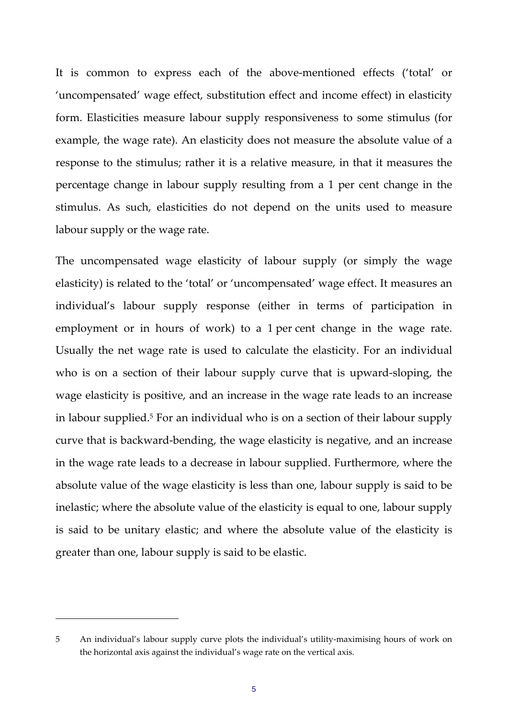It is common to express each of the above-mentioned effects ('total' or 'uncompensated' wage effect, substitution effect and income effect) in elasticity form. Elasticities measure labour supply responsiveness to some stimulus (for example, the wage rate). An elasticity does not measure the absolute value of a response to the stimulus; rather it is a relative measure, in that it measures the percentage change in labour supply resulting from a 1 per cent change in the stimulus. As such, elasticities do not depend on the units used to measure labour supply or the wage rate.

The uncompensated wage elasticity of labour supply (or simply the wage elasticity) is related to the 'total' or 'uncompensated' wage effect. It measures an individual's labour supply response (either in terms of participation in employment or in hours of work) to a 1 per cent change in the wage rate. Usually the net wage rate is used to calculate the elasticity. For an individual who is on a section of their labour supply curve that is upward‐sloping, the wage elasticity is positive, and an increase in the wage rate leads to an increase in labour supplied.<sup>5</sup> For an individual who is on a section of their labour supply curve that is backward‐bending, the wage elasticity is negative, and an increase in the wage rate leads to a decrease in labour supplied. Furthermore, where the absolute value of the wage elasticity is less than one, labour supply is said to be inelastic; where the absolute value of the elasticity is equal to one, labour supply is said to be unitary elastic; and where the absolute value of the elasticity is greater than one, labour supply is said to be elastic.

<sup>5</sup> An individual's labour supply curve plots the individual's utility-maximising hours of work on the horizontal axis against the individual's wage rate on the vertical axis.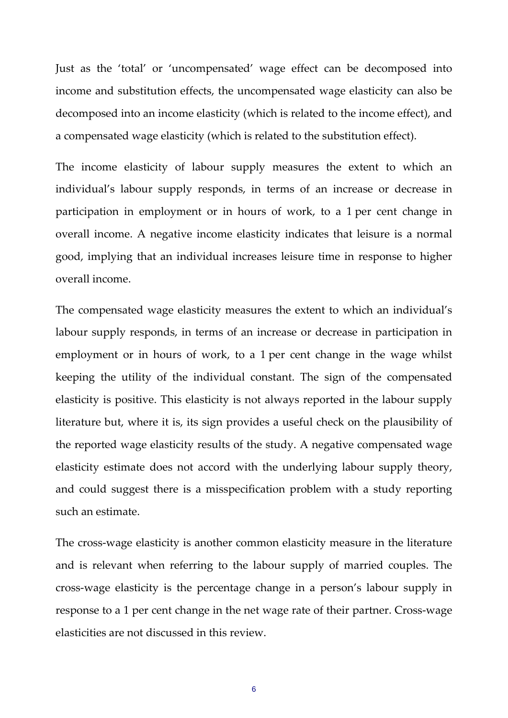Just as the 'total' or 'uncompensated' wage effect can be decomposed into income and substitution effects, the uncompensated wage elasticity can also be decomposed into an income elasticity (which is related to the income effect), and a compensated wage elasticity (which is related to the substitution effect).

The income elasticity of labour supply measures the extent to which an individual's labour supply responds, in terms of an increase or decrease in participation in employment or in hours of work, to a 1 per cent change in overall income. A negative income elasticity indicates that leisure is a normal good, implying that an individual increases leisure time in response to higher overall income.

The compensated wage elasticity measures the extent to which an individual's labour supply responds, in terms of an increase or decrease in participation in employment or in hours of work, to a 1 per cent change in the wage whilst keeping the utility of the individual constant. The sign of the compensated elasticity is positive. This elasticity is not always reported in the labour supply literature but, where it is, its sign provides a useful check on the plausibility of the reported wage elasticity results of the study. A negative compensated wage elasticity estimate does not accord with the underlying labour supply theory, and could suggest there is a misspecification problem with a study reporting such an estimate.

The cross-wage elasticity is another common elasticity measure in the literature and is relevant when referring to the labour supply of married couples. The cross‐wage elasticity is the percentage change in a person's labour supply in response to a 1 per cent change in the net wage rate of their partner. Cross-wage elasticities are not discussed in this review.

6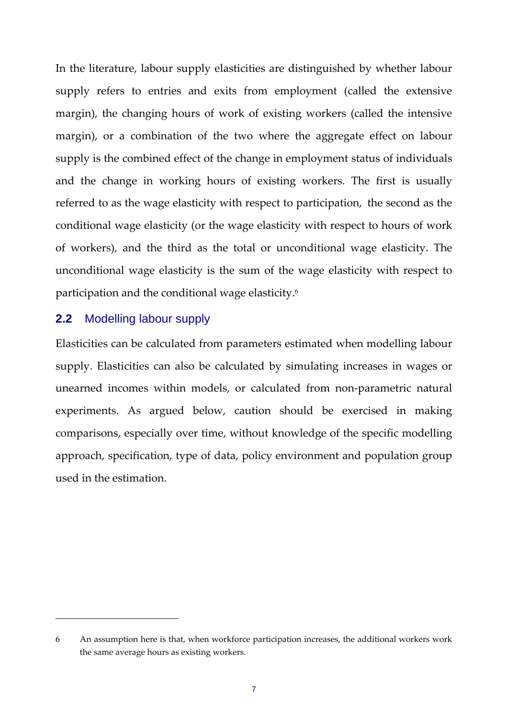In the literature, labour supply elasticities are distinguished by whether labour supply refers to entries and exits from employment (called the extensive margin), the changing hours of work of existing workers (called the intensive margin), or a combination of the two where the aggregate effect on labour supply is the combined effect of the change in employment status of individuals and the change in working hours of existing workers. The first is usually referred to as the wage elasticity with respect to participation, the second as the conditional wage elasticity (or the wage elasticity with respect to hours of work of workers), and the third as the total or unconditional wage elasticity. The unconditional wage elasticity is the sum of the wage elasticity with respect to participation and the conditional wage elasticity.6

#### **2.2** Modelling labour supply

Elasticities can be calculated from parameters estimated when modelling labour supply. Elasticities can also be calculated by simulating increases in wages or unearned incomes within models, or calculated from non‐parametric natural experiments. As argued below, caution should be exercised in making comparisons, especially over time, without knowledge of the specific modelling approach, specification, type of data, policy environment and population group used in the estimation.

<sup>6</sup> An assumption here is that, when workforce participation increases, the additional workers work the same average hours as existing workers.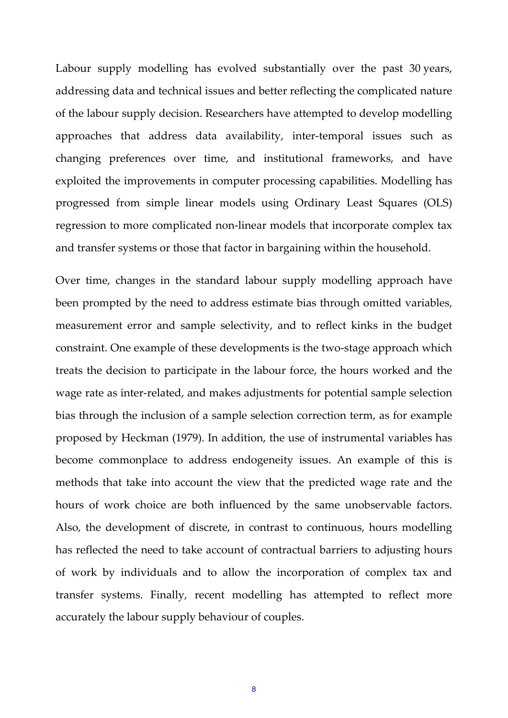Labour supply modelling has evolved substantially over the past 30 years, addressing data and technical issues and better reflecting the complicated nature of the labour supply decision. Researchers have attempted to develop modelling approaches that address data availability, inter‐temporal issues such as changing preferences over time, and institutional frameworks, and have exploited the improvements in computer processing capabilities. Modelling has progressed from simple linear models using Ordinary Least Squares (OLS) regression to more complicated non‐linear models that incorporate complex tax and transfer systems or those that factor in bargaining within the household.

Over time, changes in the standard labour supply modelling approach have been prompted by the need to address estimate bias through omitted variables, measurement error and sample selectivity, and to reflect kinks in the budget constraint. One example of these developments is the two‐stage approach which treats the decision to participate in the labour force, the hours worked and the wage rate as inter-related, and makes adjustments for potential sample selection bias through the inclusion of a sample selection correction term, as for example proposed by Heckman (1979). In addition, the use of instrumental variables has become commonplace to address endogeneity issues. An example of this is methods that take into account the view that the predicted wage rate and the hours of work choice are both influenced by the same unobservable factors. Also, the development of discrete, in contrast to continuous, hours modelling has reflected the need to take account of contractual barriers to adjusting hours of work by individuals and to allow the incorporation of complex tax and transfer systems. Finally, recent modelling has attempted to reflect more accurately the labour supply behaviour of couples.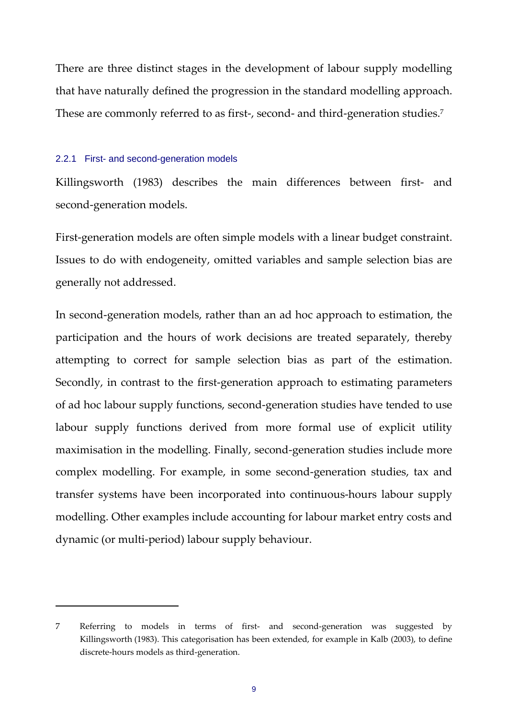There are three distinct stages in the development of labour supply modelling that have naturally defined the progression in the standard modelling approach. These are commonly referred to as first-, second- and third-generation studies.<sup>7</sup>

#### 2.2.1 First- and second-generation models

Killingsworth (1983) describes the main differences between first- and second‐generation models.

First-generation models are often simple models with a linear budget constraint. Issues to do with endogeneity, omitted variables and sample selection bias are generally not addressed.

In second-generation models, rather than an ad hoc approach to estimation, the participation and the hours of work decisions are treated separately, thereby attempting to correct for sample selection bias as part of the estimation. Secondly, in contrast to the first‐generation approach to estimating parameters of ad hoc labour supply functions, second‐generation studies have tended to use labour supply functions derived from more formal use of explicit utility maximisation in the modelling. Finally, second‐generation studies include more complex modelling. For example, in some second‐generation studies, tax and transfer systems have been incorporated into continuous‐hours labour supply modelling. Other examples include accounting for labour market entry costs and dynamic (or multi‐period) labour supply behaviour.

<sup>7</sup> Referring to models in terms of first- and second-generation was suggested by Killingsworth (1983). This categorisation has been extended, for example in Kalb (2003), to define discrete‐hours models as third‐generation.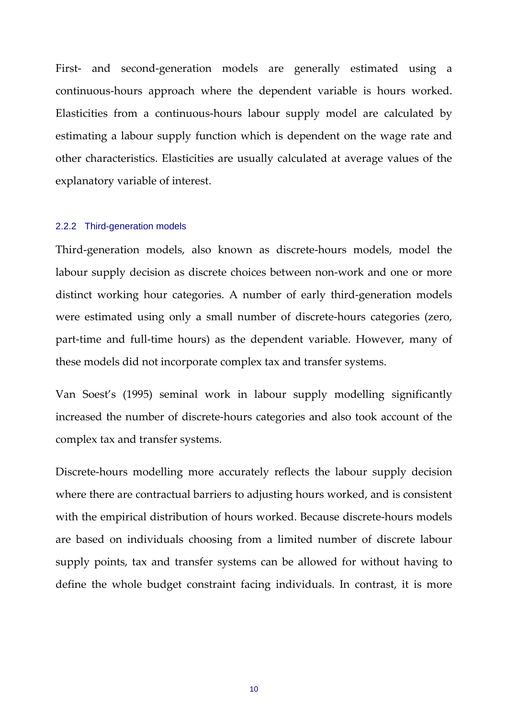First- and second-generation models are generally estimated using a continuous‐hours approach where the dependent variable is hours worked. Elasticities from a continuous‐hours labour supply model are calculated by estimating a labour supply function which is dependent on the wage rate and other characteristics. Elasticities are usually calculated at average values of the explanatory variable of interest.

#### 2.2.2 Third-generation models

Third‐generation models, also known as discrete‐hours models, model the labour supply decision as discrete choices between non‐work and one or more distinct working hour categories. A number of early third‐generation models were estimated using only a small number of discrete-hours categories (zero, part‐time and full‐time hours) as the dependent variable. However, many of these models did not incorporate complex tax and transfer systems.

Van Soest's (1995) seminal work in labour supply modelling significantly increased the number of discrete‐hours categories and also took account of the complex tax and transfer systems.

Discrete‐hours modelling more accurately reflects the labour supply decision where there are contractual barriers to adjusting hours worked, and is consistent with the empirical distribution of hours worked. Because discrete-hours models are based on individuals choosing from a limited number of discrete labour supply points, tax and transfer systems can be allowed for without having to define the whole budget constraint facing individuals. In contrast, it is more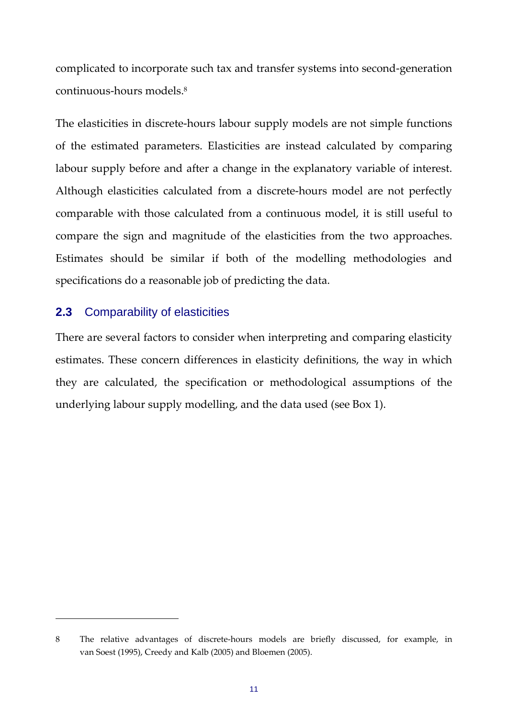complicated to incorporate such tax and transfer systems into second‐generation continuous‐hours models.8

The elasticities in discrete-hours labour supply models are not simple functions of the estimated parameters. Elasticities are instead calculated by comparing labour supply before and after a change in the explanatory variable of interest. Although elasticities calculated from a discrete-hours model are not perfectly comparable with those calculated from a continuous model, it is still useful to compare the sign and magnitude of the elasticities from the two approaches. Estimates should be similar if both of the modelling methodologies and specifications do a reasonable job of predicting the data.

## **2.3** Comparability of elasticities

There are several factors to consider when interpreting and comparing elasticity estimates. These concern differences in elasticity definitions, the way in which they are calculated, the specification or methodological assumptions of the underlying labour supply modelling, and the data used (see Box 1).

<sup>8</sup> The relative advantages of discrete-hours models are briefly discussed, for example, in van Soest (1995), Creedy and Kalb (2005) and Bloemen (2005).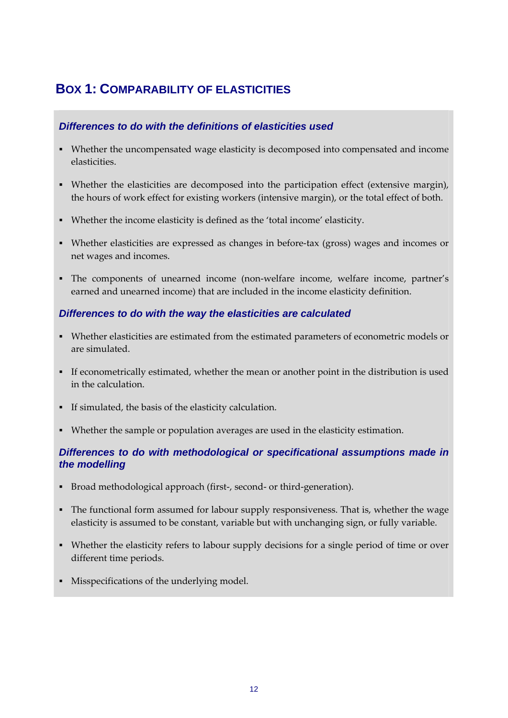# **BOX 1: COMPARABILITY OF ELASTICITIES**

#### *Differences to do with the definitions of elasticities used*

- Whether the uncompensated wage elasticity is decomposed into compensated and income elasticities.
- Whether the elasticities are decomposed into the participation effect (extensive margin), the hours of work effect for existing workers (intensive margin), or the total effect of both.
- Whether the income elasticity is defined as the 'total income' elasticity.
- Whether elasticities are expressed as changes in before-tax (gross) wages and incomes or net wages and incomes.
- The components of unearned income (non-welfare income, welfare income, partner's earned and unearned income) that are included in the income elasticity definition.

#### *Differences to do with the way the elasticities are calculated*

- Whether elasticities are estimated from the estimated parameters of econometric models or are simulated.
- If econometrically estimated, whether the mean or another point in the distribution is used in the calculation.
- If simulated, the basis of the elasticity calculation.
- Whether the sample or population averages are used in the elasticity estimation.

#### *Differences to do with methodological or specificational assumptions made in the modelling*

- Broad methodological approach (first-, second- or third-generation).
- The functional form assumed for labour supply responsiveness. That is, whether the wage elasticity is assumed to be constant, variable but with unchanging sign, or fully variable.
- Whether the elasticity refers to labour supply decisions for a single period of time or over different time periods.
- Misspecifications of the underlying model.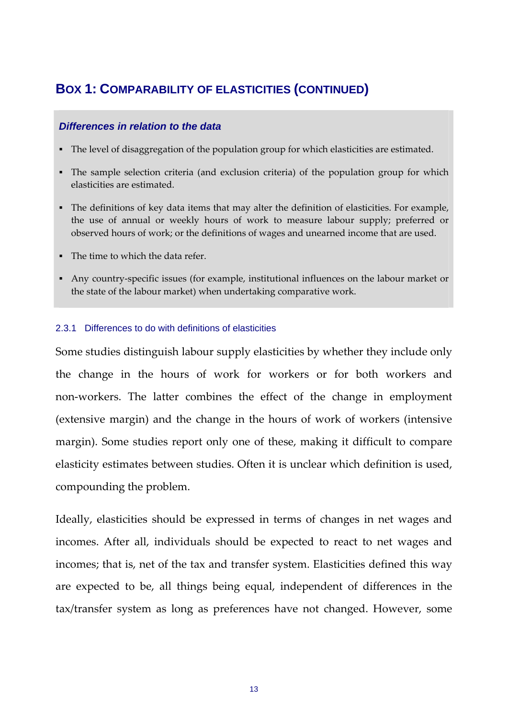## **BOX 1: COMPARABILITY OF ELASTICITIES (CONTINUED)**

#### *Differences in relation to the data*

- The level of disaggregation of the population group for which elasticities are estimated.
- The sample selection criteria (and exclusion criteria) of the population group for which elasticities are estimated.
- The definitions of key data items that may alter the definition of elasticities. For example, the use of annual or weekly hours of work to measure labour supply; preferred or observed hours of work; or the definitions of wages and unearned income that are used.
- The time to which the data refer.
- Any country-specific issues (for example, institutional influences on the labour market or the state of the labour market) when undertaking comparative work.

#### 2.3.1 Differences to do with definitions of elasticities

Some studies distinguish labour supply elasticities by whether they include only the change in the hours of work for workers or for both workers and non‐workers. The latter combines the effect of the change in employment (extensive margin) and the change in the hours of work of workers (intensive margin). Some studies report only one of these, making it difficult to compare elasticity estimates between studies. Often it is unclear which definition is used, compounding the problem.

Ideally, elasticities should be expressed in terms of changes in net wages and incomes. After all, individuals should be expected to react to net wages and incomes; that is, net of the tax and transfer system. Elasticities defined this way are expected to be, all things being equal, independent of differences in the tax/transfer system as long as preferences have not changed. However, some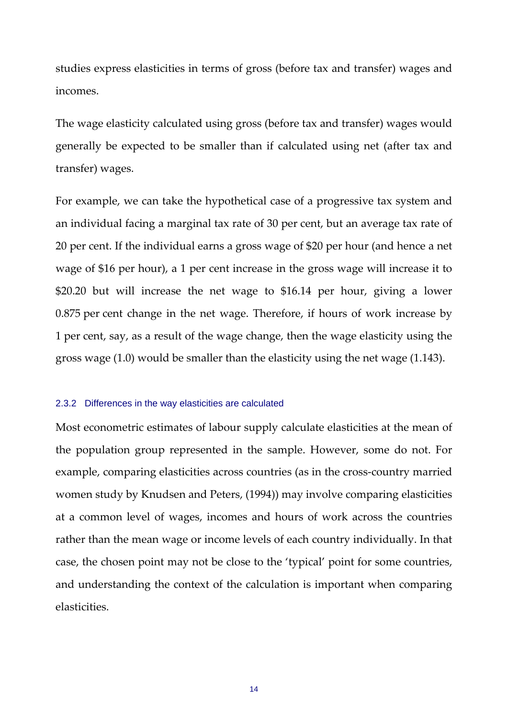studies express elasticities in terms of gross (before tax and transfer) wages and incomes.

The wage elasticity calculated using gross (before tax and transfer) wages would generally be expected to be smaller than if calculated using net (after tax and transfer) wages.

For example, we can take the hypothetical case of a progressive tax system and an individual facing a marginal tax rate of 30 per cent, but an average tax rate of 20 per cent. If the individual earns a gross wage of \$20 per hour (and hence a net wage of \$16 per hour), a 1 per cent increase in the gross wage will increase it to \$20.20 but will increase the net wage to \$16.14 per hour, giving a lower 0.875 per cent change in the net wage. Therefore, if hours of work increase by 1 per cent, say, as a result of the wage change, then the wage elasticity using the gross wage (1.0) would be smaller than the elasticity using the net wage (1.143).

#### 2.3.2 Differences in the way elasticities are calculated

Most econometric estimates of labour supply calculate elasticities at the mean of the population group represented in the sample. However, some do not. For example, comparing elasticities across countries (as in the cross-country married women study by Knudsen and Peters, (1994)) may involve comparing elasticities at a common level of wages, incomes and hours of work across the countries rather than the mean wage or income levels of each country individually. In that case, the chosen point may not be close to the 'typical' point for some countries, and understanding the context of the calculation is important when comparing elasticities.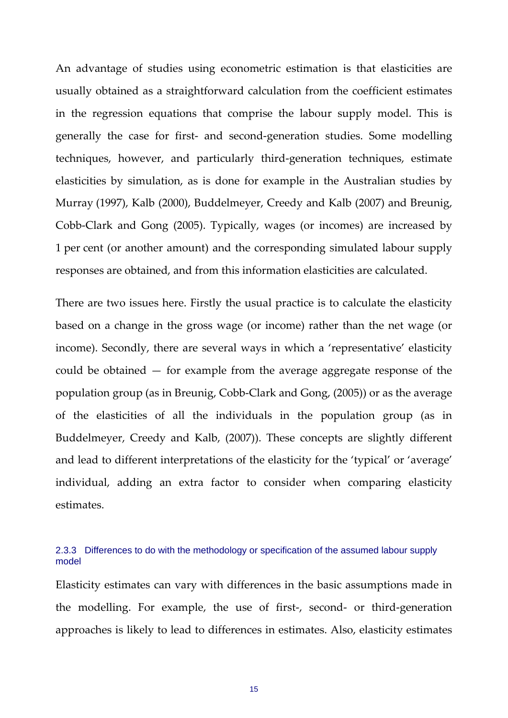An advantage of studies using econometric estimation is that elasticities are usually obtained as a straightforward calculation from the coefficient estimates in the regression equations that comprise the labour supply model. This is generally the case for first‐ and second‐generation studies. Some modelling techniques, however, and particularly third‐generation techniques, estimate elasticities by simulation, as is done for example in the Australian studies by Murray (1997), Kalb (2000), Buddelmeyer, Creedy and Kalb (2007) and Breunig, Cobb‐Clark and Gong (2005). Typically, wages (or incomes) are increased by 1 per cent (or another amount) and the corresponding simulated labour supply responses are obtained, and from this information elasticities are calculated.

There are two issues here. Firstly the usual practice is to calculate the elasticity based on a change in the gross wage (or income) rather than the net wage (or income). Secondly, there are several ways in which a 'representative' elasticity could be obtained — for example from the average aggregate response of the population group (as in Breunig, Cobb‐Clark and Gong, (2005)) or as the average of the elasticities of all the individuals in the population group (as in Buddelmeyer, Creedy and Kalb, (2007)). These concepts are slightly different and lead to different interpretations of the elasticity for the 'typical' or 'average' individual, adding an extra factor to consider when comparing elasticity estimates.

#### 2.3.3 Differences to do with the methodology or specification of the assumed labour supply model

Elasticity estimates can vary with differences in the basic assumptions made in the modelling. For example, the use of first‐, second‐ or third‐generation approaches is likely to lead to differences in estimates. Also, elasticity estimates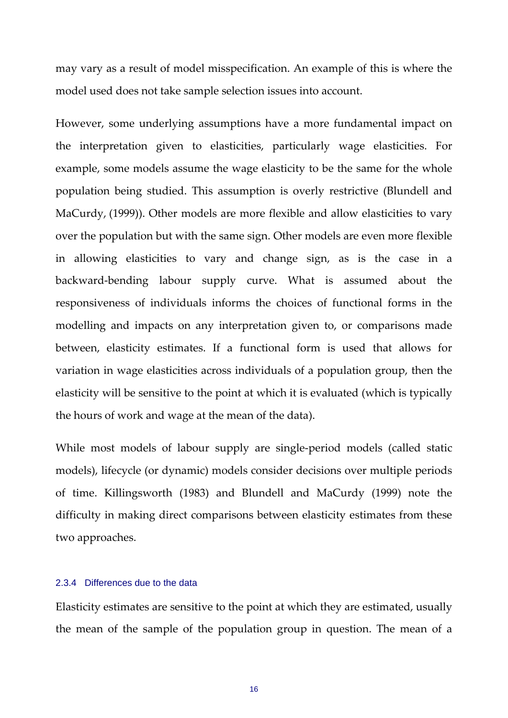may vary as a result of model misspecification. An example of this is where the model used does not take sample selection issues into account.

However, some underlying assumptions have a more fundamental impact on the interpretation given to elasticities, particularly wage elasticities. For example, some models assume the wage elasticity to be the same for the whole population being studied. This assumption is overly restrictive (Blundell and MaCurdy, (1999)). Other models are more flexible and allow elasticities to vary over the population but with the same sign. Other models are even more flexible in allowing elasticities to vary and change sign, as is the case in a backward‐bending labour supply curve. What is assumed about the responsiveness of individuals informs the choices of functional forms in the modelling and impacts on any interpretation given to, or comparisons made between, elasticity estimates. If a functional form is used that allows for variation in wage elasticities across individuals of a population group, then the elasticity will be sensitive to the point at which it is evaluated (which is typically the hours of work and wage at the mean of the data).

While most models of labour supply are single-period models (called static models), lifecycle (or dynamic) models consider decisions over multiple periods of time. Killingsworth (1983) and Blundell and MaCurdy (1999) note the difficulty in making direct comparisons between elasticity estimates from these two approaches.

#### 2.3.4 Differences due to the data

Elasticity estimates are sensitive to the point at which they are estimated, usually the mean of the sample of the population group in question. The mean of a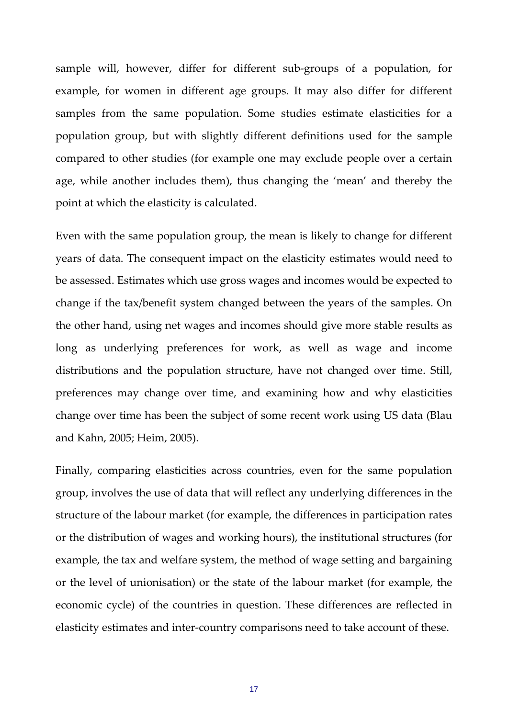sample will, however, differ for different sub‐groups of a population, for example, for women in different age groups. It may also differ for different samples from the same population. Some studies estimate elasticities for a population group, but with slightly different definitions used for the sample compared to other studies (for example one may exclude people over a certain age, while another includes them), thus changing the 'mean' and thereby the point at which the elasticity is calculated.

Even with the same population group, the mean is likely to change for different years of data. The consequent impact on the elasticity estimates would need to be assessed. Estimates which use gross wages and incomes would be expected to change if the tax/benefit system changed between the years of the samples. On the other hand, using net wages and incomes should give more stable results as long as underlying preferences for work, as well as wage and income distributions and the population structure, have not changed over time. Still, preferences may change over time, and examining how and why elasticities change over time has been the subject of some recent work using US data (Blau and Kahn, 2005; Heim, 2005).

Finally, comparing elasticities across countries, even for the same population group, involves the use of data that will reflect any underlying differences in the structure of the labour market (for example, the differences in participation rates or the distribution of wages and working hours), the institutional structures (for example, the tax and welfare system, the method of wage setting and bargaining or the level of unionisation) or the state of the labour market (for example, the economic cycle) of the countries in question. These differences are reflected in elasticity estimates and inter‐country comparisons need to take account of these.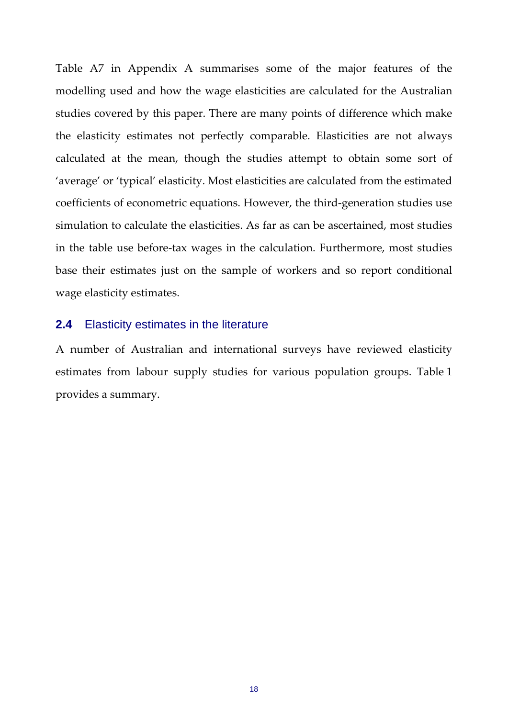Table A7 in Appendix A summarises some of the major features of the modelling used and how the wage elasticities are calculated for the Australian studies covered by this paper. There are many points of difference which make the elasticity estimates not perfectly comparable. Elasticities are not always calculated at the mean, though the studies attempt to obtain some sort of 'average' or 'typical' elasticity. Most elasticities are calculated from the estimated coefficients of econometric equations. However, the third‐generation studies use simulation to calculate the elasticities. As far as can be ascertained, most studies in the table use before‐tax wages in the calculation. Furthermore, most studies base their estimates just on the sample of workers and so report conditional wage elasticity estimates.

#### **2.4** Elasticity estimates in the literature

A number of Australian and international surveys have reviewed elasticity estimates from labour supply studies for various population groups. Table 1 provides a summary.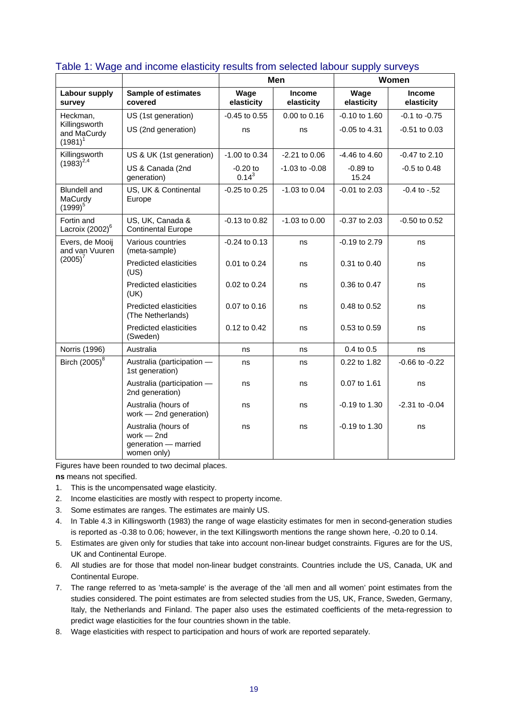|                                              |                                                                           | Men                      |                             | Women               |                             |
|----------------------------------------------|---------------------------------------------------------------------------|--------------------------|-----------------------------|---------------------|-----------------------------|
| Labour supply<br>survey                      | <b>Sample of estimates</b><br>covered                                     | Wage<br>elasticity       | <b>Income</b><br>elasticity | Wage<br>elasticity  | <b>Income</b><br>elasticity |
| Heckman,                                     | US (1st generation)                                                       | $-0.45$ to $0.55$        | 0.00 to 0.16                | $-0.10$ to $1.60$   | $-0.1$ to $-0.75$           |
| Killingsworth<br>and MaCurdy<br>$(1981)^1$   | US (2nd generation)                                                       | ns                       | ns                          | $-0.05$ to $4.31$   | $-0.51$ to $0.03$           |
| Killingsworth                                | US & UK (1st generation)                                                  | $-1.00$ to 0.34          | $-2.21$ to 0.06             | $-4.46$ to $4.60$   | $-0.47$ to 2.10             |
| $(1983)^{2,4}$                               | US & Canada (2nd<br>generation)                                           | $-0.20$ to<br>$0.14^{3}$ | $-1.03$ to $-0.08$          | $-0.89$ to<br>15.24 | $-0.5$ to $0.48$            |
| <b>Blundell</b> and<br>MaCurdy<br>$(1999)^5$ | US, UK & Continental<br>Europe                                            | $-0.25$ to $0.25$        | $-1.03$ to 0.04             | $-0.01$ to 2.03     | $-0.4$ to $-.52$            |
| Fortin and<br>Lacroix (2002) <sup>6</sup>    | US, UK, Canada &<br><b>Continental Europe</b>                             | $-0.13$ to $0.82$        | $-1.03$ to $0.00$           | $-0.37$ to 2.03     | $-0.50$ to $0.52$           |
| Evers, de Mooij<br>and van Vuuren            | Various countries<br>(meta-sample)                                        | $-0.24$ to $0.13$        | ns                          | -0.19 to 2.79       | ns                          |
| $(2005)^{7}$                                 | Predicted elasticities<br>(US)                                            | 0.01 to 0.24             | ns                          | 0.31 to 0.40        | ns                          |
|                                              | Predicted elasticities<br>(UK)                                            | 0.02 to 0.24             | ns                          | 0.36 to 0.47        | ns                          |
|                                              | <b>Predicted elasticities</b><br>(The Netherlands)                        | 0.07 to 0.16             | ns                          | 0.48 to 0.52        | ns                          |
|                                              | <b>Predicted elasticities</b><br>(Sweden)                                 | 0.12 to 0.42             | ns                          | 0.53 to 0.59        | ns                          |
| Norris (1996)                                | Australia                                                                 | ns                       | ns                          | 0.4 to 0.5          | ns                          |
| Birch (2005) <sup>8</sup>                    | Australia (participation -<br>1st generation)                             | ns                       | ns                          | 0.22 to 1.82        | $-0.66$ to $-0.22$          |
|                                              | Australia (participation -<br>2nd generation)                             | ns                       | ns                          | 0.07 to 1.61        | ns                          |
|                                              | Australia (hours of<br>work - 2nd generation)                             | ns                       | ns                          | -0.19 to 1.30       | $-2.31$ to $-0.04$          |
|                                              | Australia (hours of<br>work $-2nd$<br>generation - married<br>women only) | ns                       | ns                          | $-0.19$ to $1.30$   | ns                          |

#### Table 1: Wage and income elasticity results from selected labour supply surveys

Figures have been rounded to two decimal places.

**ns** means not specified.

- 1. This is the uncompensated wage elasticity.
- 2. Income elasticities are mostly with respect to property income.
- 3. Some estimates are ranges. The estimates are mainly US.
- 4. In Table 4.3 in Killingsworth (1983) the range of wage elasticity estimates for men in second-generation studies is reported as -0.38 to 0.06; however, in the text Killingsworth mentions the range shown here, -0.20 to 0.14.
- 5. Estimates are given only for studies that take into account non-linear budget constraints. Figures are for the US, UK and Continental Europe.
- 6. All studies are for those that model non-linear budget constraints. Countries include the US, Canada, UK and Continental Europe.
- 7. The range referred to as 'meta-sample' is the average of the 'all men and all women' point estimates from the studies considered. The point estimates are from selected studies from the US, UK, France, Sweden, Germany, Italy, the Netherlands and Finland. The paper also uses the estimated coefficients of the meta-regression to predict wage elasticities for the four countries shown in the table.
- 8. Wage elasticities with respect to participation and hours of work are reported separately.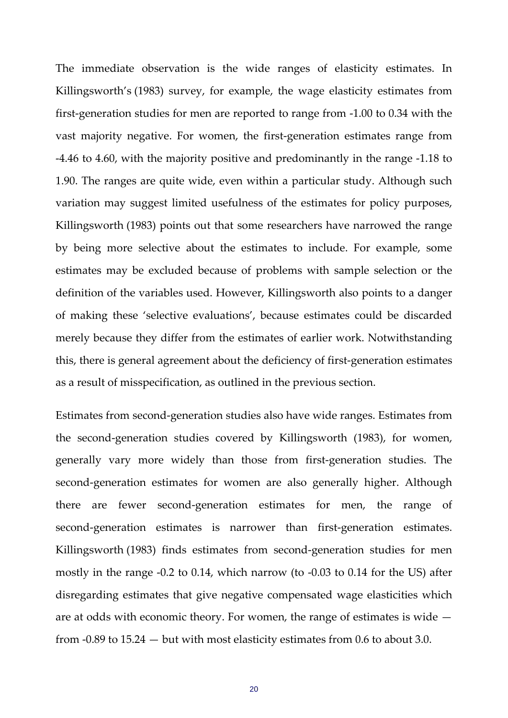The immediate observation is the wide ranges of elasticity estimates. In Killingsworth's (1983) survey, for example, the wage elasticity estimates from first‐generation studies for men are reported to range from ‐1.00 to 0.34 with the vast majority negative. For women, the first‐generation estimates range from ‐4.46 to 4.60, with the majority positive and predominantly in the range ‐1.18 to 1.90. The ranges are quite wide, even within a particular study. Although such variation may suggest limited usefulness of the estimates for policy purposes, Killingsworth (1983) points out that some researchers have narrowed the range by being more selective about the estimates to include. For example, some estimates may be excluded because of problems with sample selection or the definition of the variables used. However, Killingsworth also points to a danger of making these 'selective evaluations', because estimates could be discarded merely because they differ from the estimates of earlier work. Notwithstanding this, there is general agreement about the deficiency of first‐generation estimates as a result of misspecification, as outlined in the previous section.

Estimates from second‐generation studies also have wide ranges. Estimates from the second‐generation studies covered by Killingsworth (1983), for women, generally vary more widely than those from first‐generation studies. The second-generation estimates for women are also generally higher. Although there are fewer second‐generation estimates for men, the range of second-generation estimates is narrower than first-generation estimates. Killingsworth (1983) finds estimates from second‐generation studies for men mostly in the range ‐0.2 to 0.14, which narrow (to ‐0.03 to 0.14 for the US) after disregarding estimates that give negative compensated wage elasticities which are at odds with economic theory. For women, the range of estimates is wide from ‐0.89 to 15.24 — but with most elasticity estimates from 0.6 to about 3.0.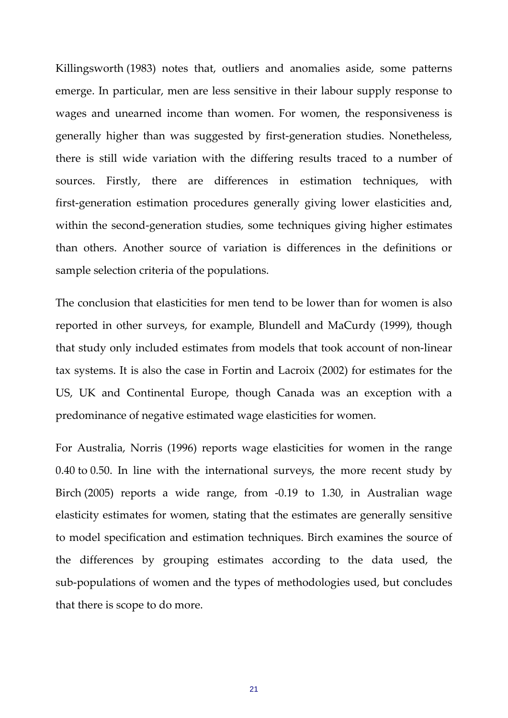Killingsworth (1983) notes that, outliers and anomalies aside, some patterns emerge. In particular, men are less sensitive in their labour supply response to wages and unearned income than women. For women, the responsiveness is generally higher than was suggested by first‐generation studies. Nonetheless, there is still wide variation with the differing results traced to a number of sources. Firstly, there are differences in estimation techniques, with first‐generation estimation procedures generally giving lower elasticities and, within the second-generation studies, some techniques giving higher estimates than others. Another source of variation is differences in the definitions or sample selection criteria of the populations.

The conclusion that elasticities for men tend to be lower than for women is also reported in other surveys, for example, Blundell and MaCurdy (1999), though that study only included estimates from models that took account of non‐linear tax systems. It is also the case in Fortin and Lacroix (2002) for estimates for the US, UK and Continental Europe, though Canada was an exception with a predominance of negative estimated wage elasticities for women.

For Australia, Norris (1996) reports wage elasticities for women in the range 0.40 to 0.50. In line with the international surveys, the more recent study by Birch (2005) reports a wide range, from -0.19 to 1.30, in Australian wage elasticity estimates for women, stating that the estimates are generally sensitive to model specification and estimation techniques. Birch examines the source of the differences by grouping estimates according to the data used, the sub‐populations of women and the types of methodologies used, but concludes that there is scope to do more.

21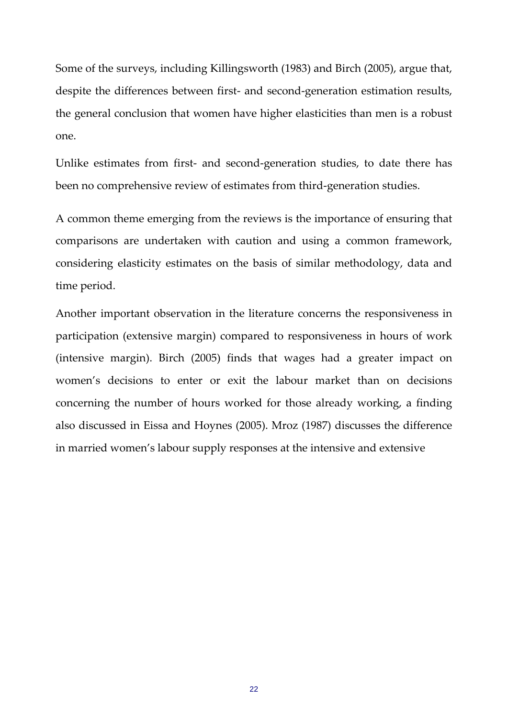Some of the surveys, including Killingsworth (1983) and Birch (2005), argue that, despite the differences between first- and second-generation estimation results, the general conclusion that women have higher elasticities than men is a robust one.

Unlike estimates from first‐ and second‐generation studies, to date there has been no comprehensive review of estimates from third-generation studies.

A common theme emerging from the reviews is the importance of ensuring that comparisons are undertaken with caution and using a common framework, considering elasticity estimates on the basis of similar methodology, data and time period.

Another important observation in the literature concerns the responsiveness in participation (extensive margin) compared to responsiveness in hours of work (intensive margin). Birch (2005) finds that wages had a greater impact on women's decisions to enter or exit the labour market than on decisions concerning the number of hours worked for those already working, a finding also discussed in Eissa and Hoynes (2005). Mroz (1987) discusses the difference in married women's labour supply responses at the intensive and extensive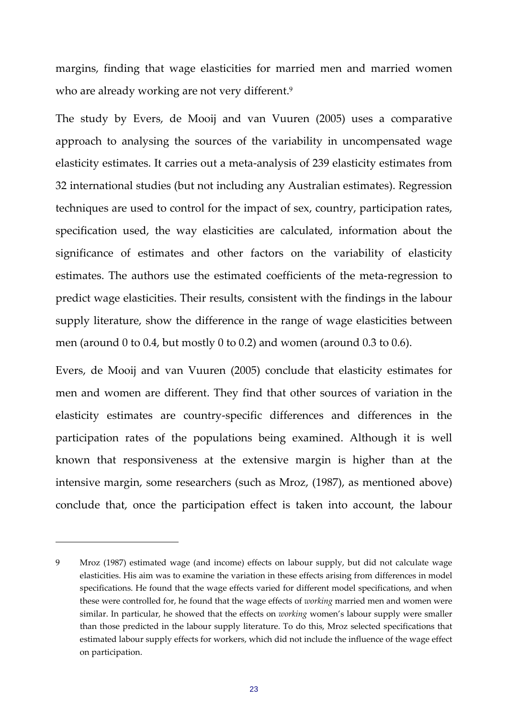margins, finding that wage elasticities for married men and married women who are already working are not very different.<sup>9</sup>

The study by Evers, de Mooij and van Vuuren (2005) uses a comparative approach to analysing the sources of the variability in uncompensated wage elasticity estimates. It carries out a meta‐analysis of 239 elasticity estimates from 32 international studies (but not including any Australian estimates). Regression techniques are used to control for the impact of sex, country, participation rates, specification used, the way elasticities are calculated, information about the significance of estimates and other factors on the variability of elasticity estimates. The authors use the estimated coefficients of the meta‐regression to predict wage elasticities. Their results, consistent with the findings in the labour supply literature, show the difference in the range of wage elasticities between men (around 0 to 0.4, but mostly 0 to 0.2) and women (around 0.3 to 0.6).

Evers, de Mooij and van Vuuren (2005) conclude that elasticity estimates for men and women are different. They find that other sources of variation in the elasticity estimates are country‐specific differences and differences in the participation rates of the populations being examined. Although it is well known that responsiveness at the extensive margin is higher than at the intensive margin, some researchers (such as Mroz, (1987), as mentioned above) conclude that, once the participation effect is taken into account, the labour

<sup>9</sup> Mroz (1987) estimated wage (and income) effects on labour supply, but did not calculate wage elasticities. His aim was to examine the variation in these effects arising from differences in model specifications. He found that the wage effects varied for different model specifications, and when these were controlled for, he found that the wage effects of *working* married men and women were similar. In particular, he showed that the effects on *working* women's labour supply were smaller than those predicted in the labour supply literature. To do this, Mroz selected specifications that estimated labour supply effects for workers, which did not include the influence of the wage effect on participation.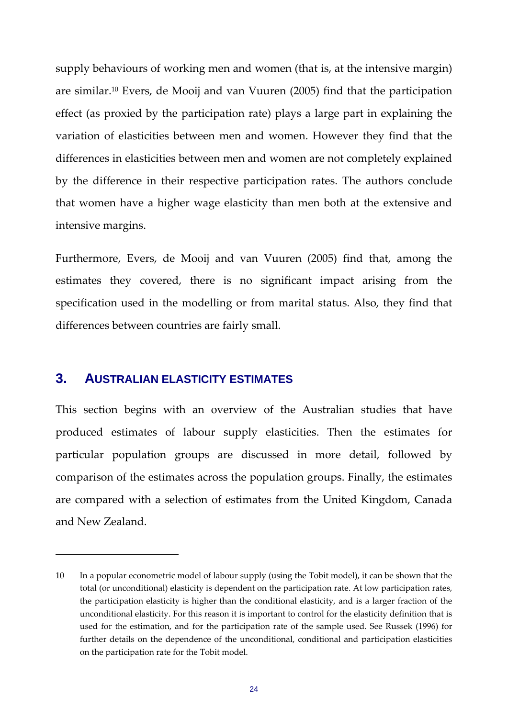supply behaviours of working men and women (that is, at the intensive margin) are similar.10 Evers, de Mooij and van Vuuren (2005) find that the participation effect (as proxied by the participation rate) plays a large part in explaining the variation of elasticities between men and women. However they find that the differences in elasticities between men and women are not completely explained by the difference in their respective participation rates. The authors conclude that women have a higher wage elasticity than men both at the extensive and intensive margins.

Furthermore, Evers, de Mooij and van Vuuren (2005) find that, among the estimates they covered, there is no significant impact arising from the specification used in the modelling or from marital status. Also, they find that differences between countries are fairly small.

## **3. AUSTRALIAN ELASTICITY ESTIMATES**

This section begins with an overview of the Australian studies that have produced estimates of labour supply elasticities. Then the estimates for particular population groups are discussed in more detail, followed by comparison of the estimates across the population groups. Finally, the estimates are compared with a selection of estimates from the United Kingdom, Canada and New Zealand.

<sup>10</sup> In a popular econometric model of labour supply (using the Tobit model), it can be shown that the total (or unconditional) elasticity is dependent on the participation rate. At low participation rates, the participation elasticity is higher than the conditional elasticity, and is a larger fraction of the unconditional elasticity. For this reason it is important to control for the elasticity definition that is used for the estimation, and for the participation rate of the sample used. See Russek (1996) for further details on the dependence of the unconditional, conditional and participation elasticities on the participation rate for the Tobit model.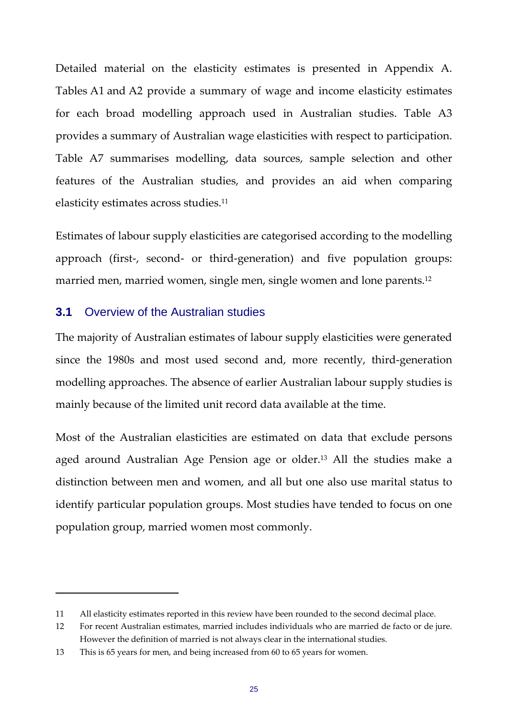Detailed material on the elasticity estimates is presented in Appendix A. Tables A1 and A2 provide a summary of wage and income elasticity estimates for each broad modelling approach used in Australian studies. Table A3 provides a summary of Australian wage elasticities with respect to participation. Table A7 summarises modelling, data sources, sample selection and other features of the Australian studies, and provides an aid when comparing elasticity estimates across studies.<sup>11</sup>

Estimates of labour supply elasticities are categorised according to the modelling approach (first‐, second‐ or third‐generation) and five population groups: married men, married women, single men, single women and lone parents.12

#### **3.1** Overview of the Australian studies

The majority of Australian estimates of labour supply elasticities were generated since the 1980s and most used second and, more recently, third‐generation modelling approaches. The absence of earlier Australian labour supply studies is mainly because of the limited unit record data available at the time.

Most of the Australian elasticities are estimated on data that exclude persons aged around Australian Age Pension age or older.13 All the studies make a distinction between men and women, and all but one also use marital status to identify particular population groups. Most studies have tended to focus on one population group, married women most commonly.

<sup>11</sup> All elasticity estimates reported in this review have been rounded to the second decimal place.

<sup>12</sup> For recent Australian estimates, married includes individuals who are married de facto or de jure. However the definition of married is not always clear in the international studies.

<sup>13</sup> This is 65 years for men, and being increased from 60 to 65 years for women.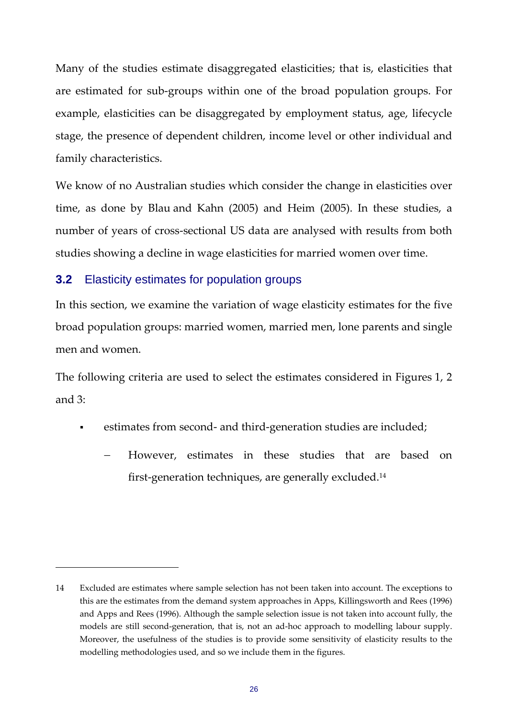Many of the studies estimate disaggregated elasticities; that is, elasticities that are estimated for sub‐groups within one of the broad population groups. For example, elasticities can be disaggregated by employment status, age, lifecycle stage, the presence of dependent children, income level or other individual and family characteristics.

We know of no Australian studies which consider the change in elasticities over time, as done by Blau and Kahn (2005) and Heim (2005). In these studies, a number of years of cross-sectional US data are analysed with results from both studies showing a decline in wage elasticities for married women over time.

#### **3.2** Elasticity estimates for population groups

In this section, we examine the variation of wage elasticity estimates for the five broad population groups: married women, married men, lone parents and single men and women.

The following criteria are used to select the estimates considered in Figures 1, 2 and 3:

- estimates from second- and third-generation studies are included;
	- − However, estimates in these studies that are based on first-generation techniques, are generally excluded.<sup>14</sup>

<sup>14</sup> Excluded are estimates where sample selection has not been taken into account. The exceptions to this are the estimates from the demand system approaches in Apps, Killingsworth and Rees (1996) and Apps and Rees (1996). Although the sample selection issue is not taken into account fully, the models are still second-generation, that is, not an ad-hoc approach to modelling labour supply. Moreover, the usefulness of the studies is to provide some sensitivity of elasticity results to the modelling methodologies used, and so we include them in the figures.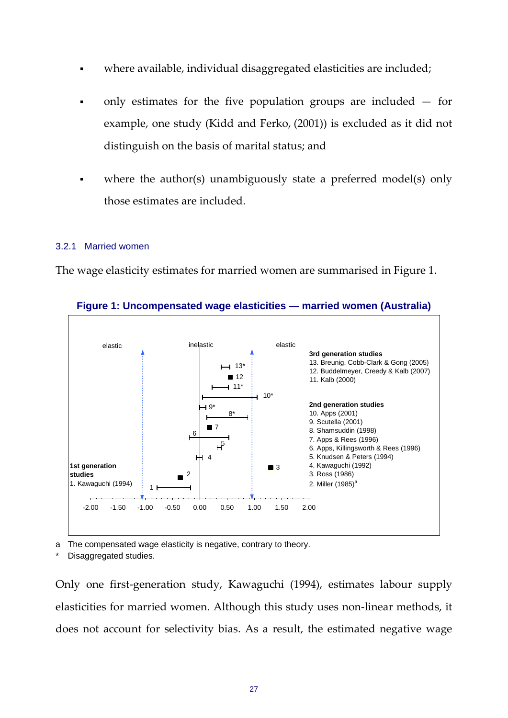- where available, individual disaggregated elasticities are included;
- only estimates for the five population groups are included for example, one study (Kidd and Ferko, (2001)) is excluded as it did not distinguish on the basis of marital status; and
- where the author(s) unambiguously state a preferred model(s) only those estimates are included.

#### 3.2.1 Married women

The wage elasticity estimates for married women are summarised in Figure 1.



**Figure 1: Uncompensated wage elasticities — married women (Australia)** 

a The compensated wage elasticity is negative, contrary to theory.

Disaggregated studies.

Only one first‐generation study, Kawaguchi (1994), estimates labour supply elasticities for married women. Although this study uses non‐linear methods, it does not account for selectivity bias. As a result, the estimated negative wage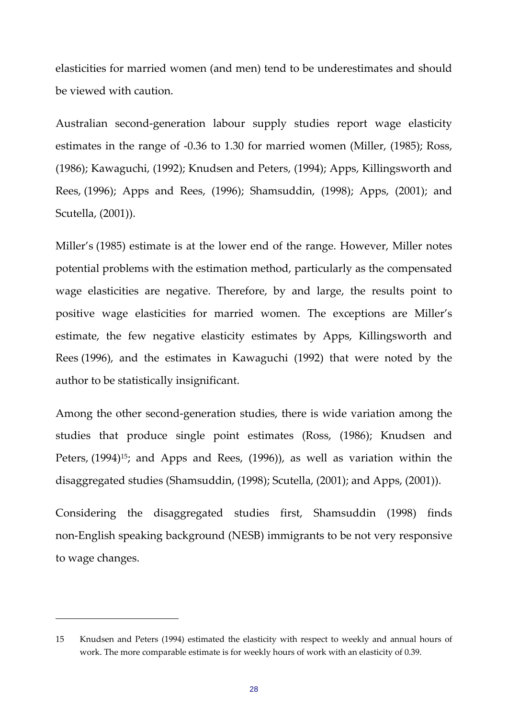elasticities for married women (and men) tend to be underestimates and should be viewed with caution.

Australian second‐generation labour supply studies report wage elasticity estimates in the range of ‐0.36 to 1.30 for married women (Miller, (1985); Ross, (1986); Kawaguchi, (1992); Knudsen and Peters, (1994); Apps, Killingsworth and Rees, (1996); Apps and Rees, (1996); Shamsuddin, (1998); Apps, (2001); and Scutella, (2001)).

Miller's (1985) estimate is at the lower end of the range. However, Miller notes potential problems with the estimation method, particularly as the compensated wage elasticities are negative. Therefore, by and large, the results point to positive wage elasticities for married women. The exceptions are Miller's estimate, the few negative elasticity estimates by Apps, Killingsworth and Rees (1996), and the estimates in Kawaguchi (1992) that were noted by the author to be statistically insignificant.

Among the other second‐generation studies, there is wide variation among the studies that produce single point estimates (Ross, (1986); Knudsen and Peters, (1994)<sup>15</sup>; and Apps and Rees, (1996)), as well as variation within the disaggregated studies (Shamsuddin, (1998); Scutella, (2001); and Apps, (2001)).

Considering the disaggregated studies first, Shamsuddin (1998) finds non‐English speaking background (NESB) immigrants to be not very responsive to wage changes.

<sup>15</sup> Knudsen and Peters (1994) estimated the elasticity with respect to weekly and annual hours of work. The more comparable estimate is for weekly hours of work with an elasticity of 0.39.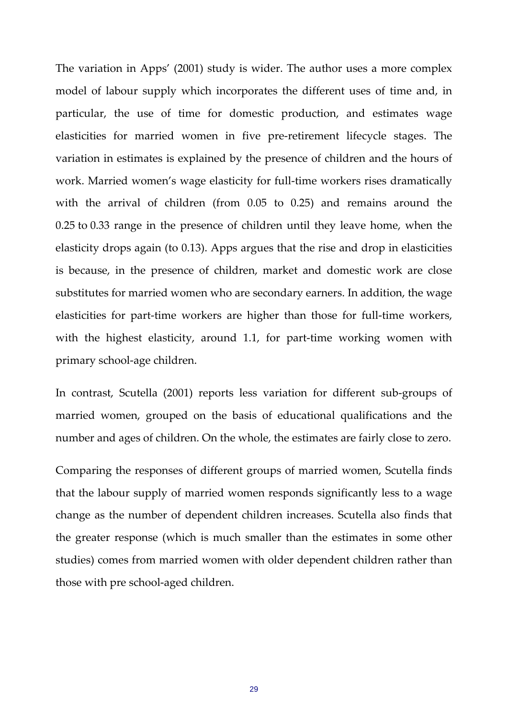The variation in Apps' (2001) study is wider. The author uses a more complex model of labour supply which incorporates the different uses of time and, in particular, the use of time for domestic production, and estimates wage elasticities for married women in five pre‐retirement lifecycle stages. The variation in estimates is explained by the presence of children and the hours of work. Married women's wage elasticity for full-time workers rises dramatically with the arrival of children (from 0.05 to 0.25) and remains around the 0.25 to 0.33 range in the presence of children until they leave home, when the elasticity drops again (to 0.13). Apps argues that the rise and drop in elasticities is because, in the presence of children, market and domestic work are close substitutes for married women who are secondary earners. In addition, the wage elasticities for part-time workers are higher than those for full-time workers, with the highest elasticity, around 1.1, for part-time working women with primary school‐age children.

In contrast, Scutella (2001) reports less variation for different sub‐groups of married women, grouped on the basis of educational qualifications and the number and ages of children. On the whole, the estimates are fairly close to zero.

Comparing the responses of different groups of married women, Scutella finds that the labour supply of married women responds significantly less to a wage change as the number of dependent children increases. Scutella also finds that the greater response (which is much smaller than the estimates in some other studies) comes from married women with older dependent children rather than those with pre school‐aged children.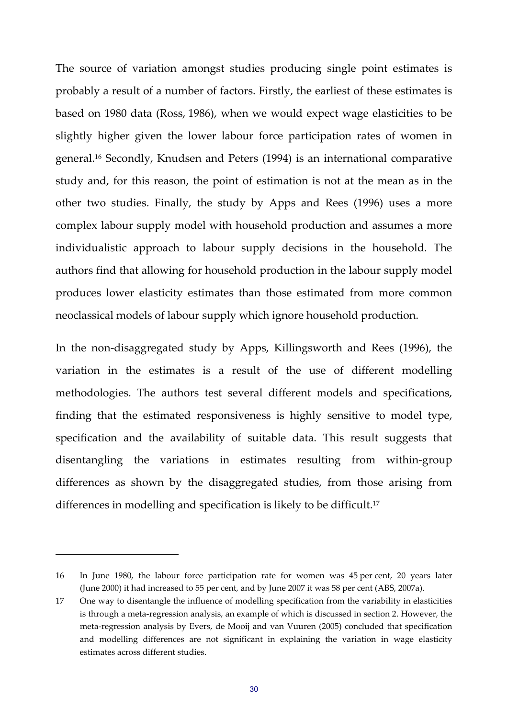The source of variation amongst studies producing single point estimates is probably a result of a number of factors. Firstly, the earliest of these estimates is based on 1980 data (Ross, 1986), when we would expect wage elasticities to be slightly higher given the lower labour force participation rates of women in general.16 Secondly, Knudsen and Peters (1994) is an international comparative study and, for this reason, the point of estimation is not at the mean as in the other two studies. Finally, the study by Apps and Rees (1996) uses a more complex labour supply model with household production and assumes a more individualistic approach to labour supply decisions in the household. The authors find that allowing for household production in the labour supply model produces lower elasticity estimates than those estimated from more common neoclassical models of labour supply which ignore household production.

In the non‐disaggregated study by Apps, Killingsworth and Rees (1996), the variation in the estimates is a result of the use of different modelling methodologies. The authors test several different models and specifications, finding that the estimated responsiveness is highly sensitive to model type, specification and the availability of suitable data. This result suggests that disentangling the variations in estimates resulting from within‐group differences as shown by the disaggregated studies, from those arising from differences in modelling and specification is likely to be difficult.17

<sup>16</sup> In June 1980, the labour force participation rate for women was 45 per cent, 20 years later (June 2000) it had increased to 55 per cent, and by June 2007 it was 58 per cent (ABS, 2007a).

<sup>17</sup> One way to disentangle the influence of modelling specification from the variability in elasticities is through a meta‐regression analysis, an example of which is discussed in section 2. However, the meta‐regression analysis by Evers, de Mooij and van Vuuren (2005) concluded that specification and modelling differences are not significant in explaining the variation in wage elasticity estimates across different studies.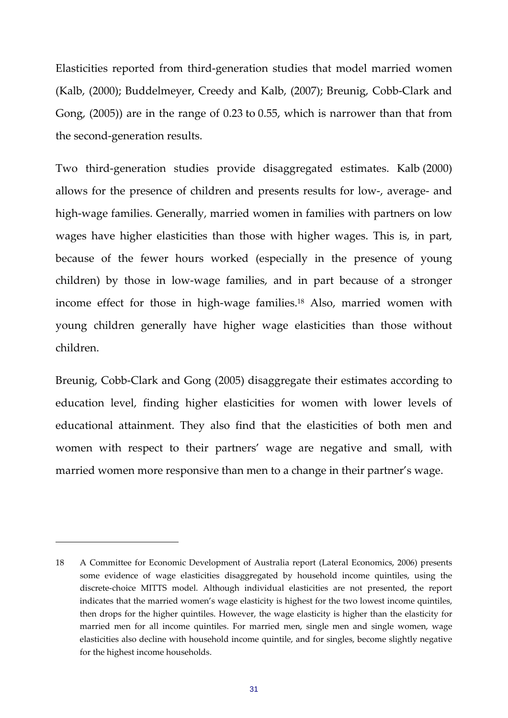Elasticities reported from third‐generation studies that model married women (Kalb, (2000); Buddelmeyer, Creedy and Kalb, (2007); Breunig, Cobb‐Clark and Gong, (2005)) are in the range of 0.23 to 0.55, which is narrower than that from the second‐generation results.

Two third‐generation studies provide disaggregated estimates. Kalb (2000) allows for the presence of children and presents results for low‐, average‐ and high-wage families. Generally, married women in families with partners on low wages have higher elasticities than those with higher wages. This is, in part, because of the fewer hours worked (especially in the presence of young children) by those in low‐wage families, and in part because of a stronger income effect for those in high-wage families.<sup>18</sup> Also, married women with young children generally have higher wage elasticities than those without children.

Breunig, Cobb-Clark and Gong (2005) disaggregate their estimates according to education level, finding higher elasticities for women with lower levels of educational attainment. They also find that the elasticities of both men and women with respect to their partners' wage are negative and small, with married women more responsive than men to a change in their partner's wage.

<sup>18</sup> A Committee for Economic Development of Australia report (Lateral Economics, 2006) presents some evidence of wage elasticities disaggregated by household income quintiles, using the discrete‐choice MITTS model. Although individual elasticities are not presented, the report indicates that the married women's wage elasticity is highest for the two lowest income quintiles, then drops for the higher quintiles. However, the wage elasticity is higher than the elasticity for married men for all income quintiles. For married men, single men and single women, wage elasticities also decline with household income quintile, and for singles, become slightly negative for the highest income households.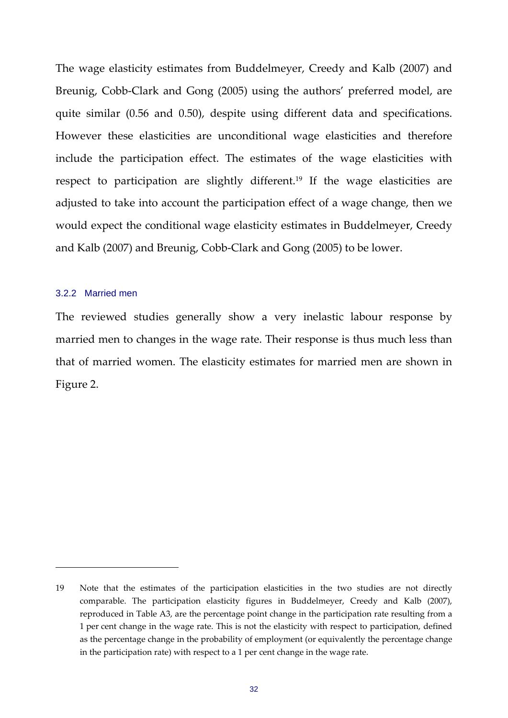The wage elasticity estimates from Buddelmeyer, Creedy and Kalb (2007) and Breunig, Cobb-Clark and Gong (2005) using the authors' preferred model, are quite similar (0.56 and 0.50), despite using different data and specifications. However these elasticities are unconditional wage elasticities and therefore include the participation effect. The estimates of the wage elasticities with respect to participation are slightly different.<sup>19</sup> If the wage elasticities are adjusted to take into account the participation effect of a wage change, then we would expect the conditional wage elasticity estimates in Buddelmeyer, Creedy and Kalb (2007) and Breunig, Cobb‐Clark and Gong (2005) to be lower.

#### 3.2.2 Married men

The reviewed studies generally show a very inelastic labour response by married men to changes in the wage rate. Their response is thus much less than that of married women. The elasticity estimates for married men are shown in Figure 2.

<sup>19</sup> Note that the estimates of the participation elasticities in the two studies are not directly comparable. The participation elasticity figures in Buddelmeyer, Creedy and Kalb (2007), reproduced in Table A3, are the percentage point change in the participation rate resulting from a 1 per cent change in the wage rate. This is not the elasticity with respect to participation, defined as the percentage change in the probability of employment (or equivalently the percentage change in the participation rate) with respect to a 1 per cent change in the wage rate.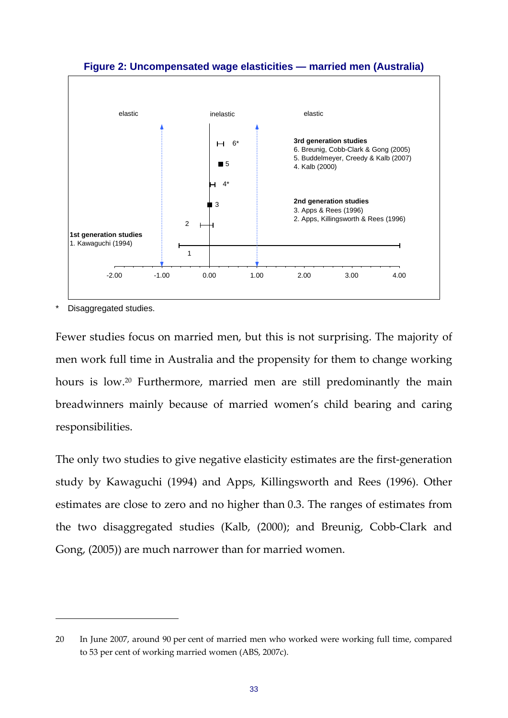

**Figure 2: Uncompensated wage elasticities — married men (Australia)** 

Disaggregated studies.

Fewer studies focus on married men, but this is not surprising. The majority of men work full time in Australia and the propensity for them to change working hours is low.20 Furthermore, married men are still predominantly the main breadwinners mainly because of married women's child bearing and caring responsibilities.

The only two studies to give negative elasticity estimates are the first-generation study by Kawaguchi (1994) and Apps, Killingsworth and Rees (1996). Other estimates are close to zero and no higher than 0.3. The ranges of estimates from the two disaggregated studies (Kalb, (2000); and Breunig, Cobb‐Clark and Gong, (2005)) are much narrower than for married women.

<sup>20</sup> In June 2007, around 90 per cent of married men who worked were working full time, compared to 53 per cent of working married women (ABS, 2007c).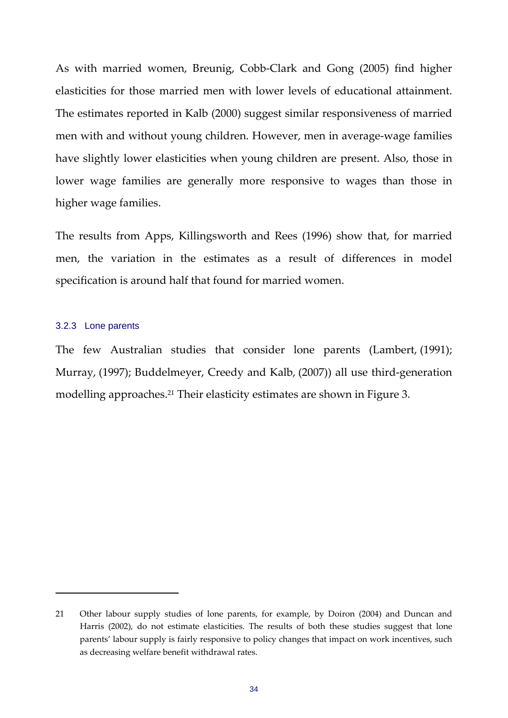As with married women, Breunig, Cobb‐Clark and Gong (2005) find higher elasticities for those married men with lower levels of educational attainment. The estimates reported in Kalb (2000) suggest similar responsiveness of married men with and without young children. However, men in average-wage families have slightly lower elasticities when young children are present. Also, those in lower wage families are generally more responsive to wages than those in higher wage families.

The results from Apps, Killingsworth and Rees (1996) show that, for married men, the variation in the estimates as a result of differences in model specification is around half that found for married women.

#### 3.2.3 Lone parents

The few Australian studies that consider lone parents (Lambert, (1991); Murray, (1997); Buddelmeyer, Creedy and Kalb, (2007)) all use third‐generation modelling approaches.<sup>21</sup> Their elasticity estimates are shown in Figure 3.

<sup>21</sup> Other labour supply studies of lone parents, for example, by Doiron (2004) and Duncan and Harris (2002), do not estimate elasticities. The results of both these studies suggest that lone parents' labour supply is fairly responsive to policy changes that impact on work incentives, such as decreasing welfare benefit withdrawal rates.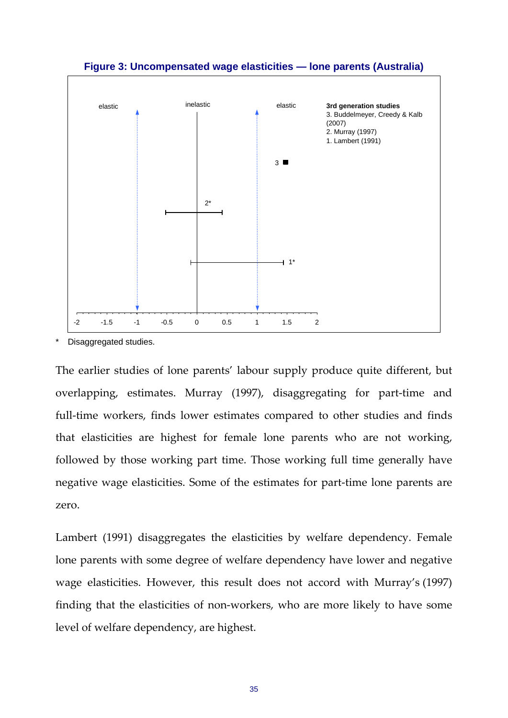

### **Figure 3: Uncompensated wage elasticities — lone parents (Australia)**

Disaggregated studies.

The earlier studies of lone parents' labour supply produce quite different, but overlapping, estimates. Murray (1997), disaggregating for part‐time and full-time workers, finds lower estimates compared to other studies and finds that elasticities are highest for female lone parents who are not working, followed by those working part time. Those working full time generally have negative wage elasticities. Some of the estimates for part‐time lone parents are zero.

Lambert (1991) disaggregates the elasticities by welfare dependency. Female lone parents with some degree of welfare dependency have lower and negative wage elasticities. However, this result does not accord with Murray's (1997) finding that the elasticities of non‐workers, who are more likely to have some level of welfare dependency, are highest.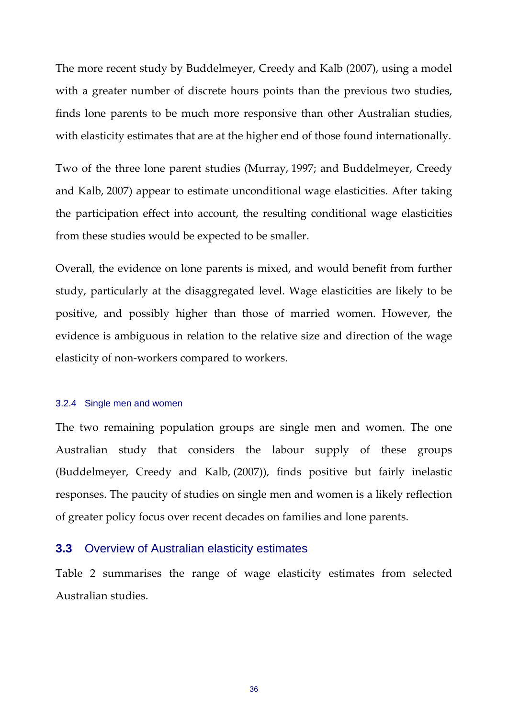The more recent study by Buddelmeyer, Creedy and Kalb (2007), using a model with a greater number of discrete hours points than the previous two studies, finds lone parents to be much more responsive than other Australian studies, with elasticity estimates that are at the higher end of those found internationally.

Two of the three lone parent studies (Murray, 1997; and Buddelmeyer, Creedy and Kalb, 2007) appear to estimate unconditional wage elasticities. After taking the participation effect into account, the resulting conditional wage elasticities from these studies would be expected to be smaller.

Overall, the evidence on lone parents is mixed, and would benefit from further study, particularly at the disaggregated level. Wage elasticities are likely to be positive, and possibly higher than those of married women. However, the evidence is ambiguous in relation to the relative size and direction of the wage elasticity of non‐workers compared to workers.

#### 3.2.4 Single men and women

The two remaining population groups are single men and women. The one Australian study that considers the labour supply of these groups (Buddelmeyer, Creedy and Kalb, (2007)), finds positive but fairly inelastic responses. The paucity of studies on single men and women is a likely reflection of greater policy focus over recent decades on families and lone parents.

### **3.3** Overview of Australian elasticity estimates

Table 2 summarises the range of wage elasticity estimates from selected Australian studies.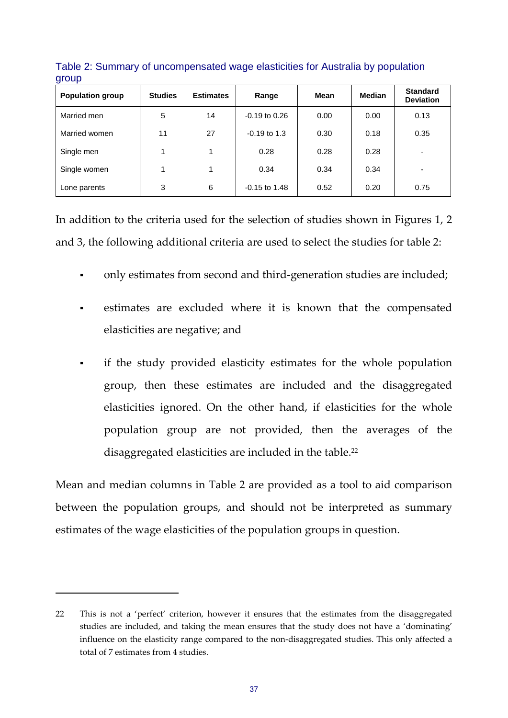| <b>Population group</b> | <b>Studies</b> | <b>Estimates</b> | Range                  |      | <b>Median</b> | <b>Standard</b><br><b>Deviation</b> |
|-------------------------|----------------|------------------|------------------------|------|---------------|-------------------------------------|
| Married men             | 5              | 14               | $-0.19$ to $0.26$      | 0.00 | 0.00          | 0.13                                |
| Married women           | 11             | 27               | $-0.19$ to 1.3<br>0.30 |      | 0.18          | 0.35                                |
| Single men              |                |                  | 0.28                   | 0.28 | 0.28          | -                                   |
| Single women            |                |                  | 0.34                   | 0.34 | 0.34          | $\overline{\phantom{0}}$            |
| Lone parents            | 3              | 6                | $-0.15$ to 1.48        | 0.52 | 0.20          | 0.75                                |

Table 2: Summary of uncompensated wage elasticities for Australia by population group

In addition to the criteria used for the selection of studies shown in Figures 1, 2 and 3, the following additional criteria are used to select the studies for table 2:

- only estimates from second and third-generation studies are included;
- estimates are excluded where it is known that the compensated elasticities are negative; and
- if the study provided elasticity estimates for the whole population group, then these estimates are included and the disaggregated elasticities ignored. On the other hand, if elasticities for the whole population group are not provided, then the averages of the disaggregated elasticities are included in the table.22

Mean and median columns in Table 2 are provided as a tool to aid comparison between the population groups, and should not be interpreted as summary estimates of the wage elasticities of the population groups in question.

<sup>22</sup> This is not a 'perfect' criterion, however it ensures that the estimates from the disaggregated studies are included, and taking the mean ensures that the study does not have a 'dominating' influence on the elasticity range compared to the non‐disaggregated studies. This only affected a total of 7 estimates from 4 studies.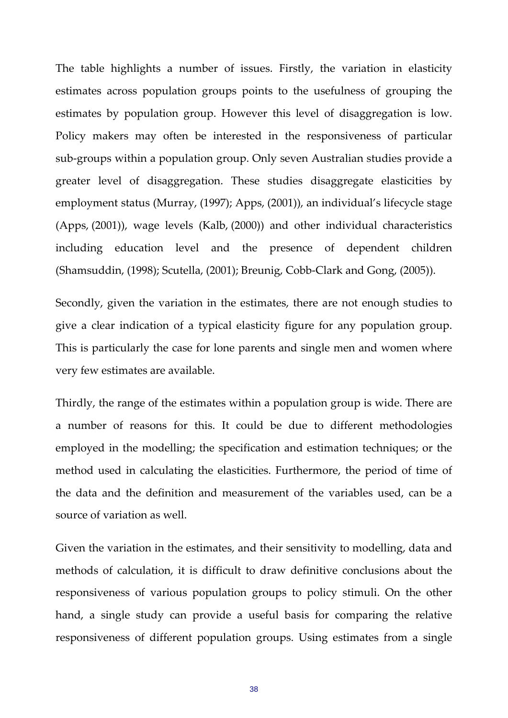The table highlights a number of issues. Firstly, the variation in elasticity estimates across population groups points to the usefulness of grouping the estimates by population group. However this level of disaggregation is low. Policy makers may often be interested in the responsiveness of particular sub‐groups within a population group. Only seven Australian studies provide a greater level of disaggregation. These studies disaggregate elasticities by employment status (Murray, (1997); Apps, (2001)), an individual's lifecycle stage (Apps, (2001)), wage levels (Kalb, (2000)) and other individual characteristics including education level and the presence of dependent children (Shamsuddin, (1998); Scutella, (2001); Breunig, Cobb‐Clark and Gong, (2005)).

Secondly, given the variation in the estimates, there are not enough studies to give a clear indication of a typical elasticity figure for any population group. This is particularly the case for lone parents and single men and women where very few estimates are available.

Thirdly, the range of the estimates within a population group is wide. There are a number of reasons for this. It could be due to different methodologies employed in the modelling; the specification and estimation techniques; or the method used in calculating the elasticities. Furthermore, the period of time of the data and the definition and measurement of the variables used, can be a source of variation as well.

Given the variation in the estimates, and their sensitivity to modelling, data and methods of calculation, it is difficult to draw definitive conclusions about the responsiveness of various population groups to policy stimuli. On the other hand, a single study can provide a useful basis for comparing the relative responsiveness of different population groups. Using estimates from a single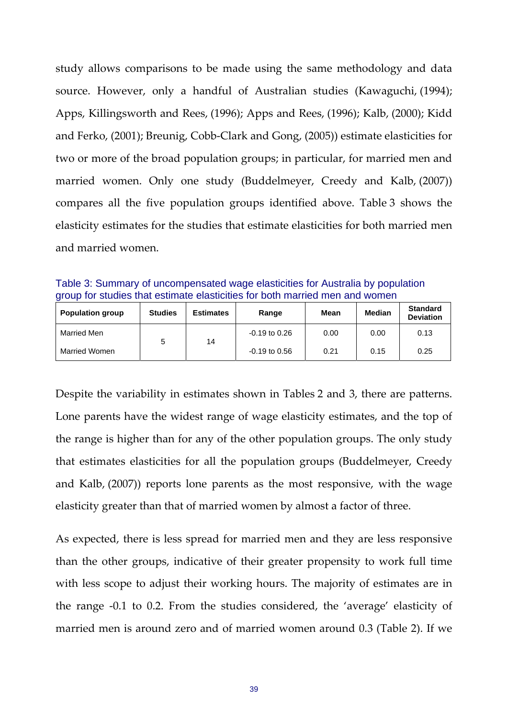study allows comparisons to be made using the same methodology and data source. However, only a handful of Australian studies (Kawaguchi, (1994); Apps, Killingsworth and Rees, (1996); Apps and Rees, (1996); Kalb, (2000); Kidd and Ferko, (2001); Breunig, Cobb‐Clark and Gong, (2005)) estimate elasticities for two or more of the broad population groups; in particular, for married men and married women. Only one study (Buddelmeyer, Creedy and Kalb, (2007)) compares all the five population groups identified above. Table 3 shows the elasticity estimates for the studies that estimate elasticities for both married men and married women.

Table 3: Summary of uncompensated wage elasticities for Australia by population group for studies that estimate elasticities for both married men and women

| <b>Population group</b> | <b>Studies</b> | <b>Estimates</b> | Range           | Mean | <b>Median</b> | <b>Standard</b><br><b>Deviation</b> |
|-------------------------|----------------|------------------|-----------------|------|---------------|-------------------------------------|
| Married Men             |                | 14               | $-0.19$ to 0.26 | 0.00 | 0.00          | 0.13                                |
| Married Women           |                |                  | $-0.19$ to 0.56 | 0.21 | 0.15          | 0.25                                |

Despite the variability in estimates shown in Tables 2 and 3, there are patterns. Lone parents have the widest range of wage elasticity estimates, and the top of the range is higher than for any of the other population groups. The only study that estimates elasticities for all the population groups (Buddelmeyer, Creedy and Kalb, (2007)) reports lone parents as the most responsive, with the wage elasticity greater than that of married women by almost a factor of three.

As expected, there is less spread for married men and they are less responsive than the other groups, indicative of their greater propensity to work full time with less scope to adjust their working hours. The majority of estimates are in the range ‐0.1 to 0.2. From the studies considered, the 'average' elasticity of married men is around zero and of married women around 0.3 (Table 2). If we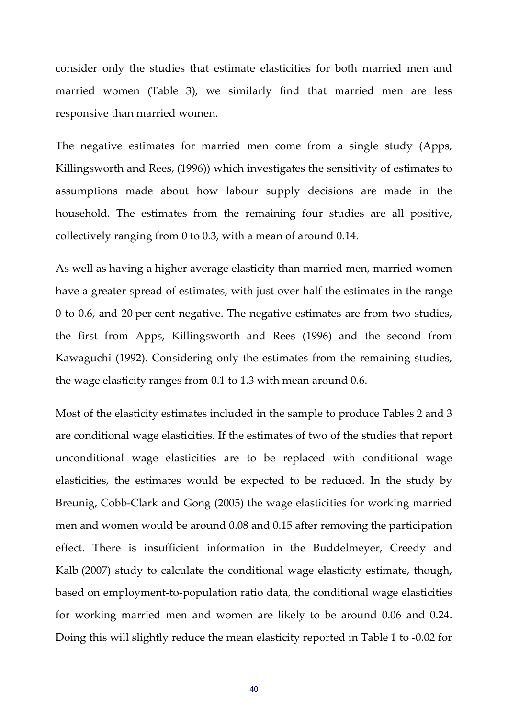consider only the studies that estimate elasticities for both married men and married women (Table 3), we similarly find that married men are less responsive than married women.

The negative estimates for married men come from a single study (Apps, Killingsworth and Rees, (1996)) which investigates the sensitivity of estimates to assumptions made about how labour supply decisions are made in the household. The estimates from the remaining four studies are all positive, collectively ranging from 0 to 0.3, with a mean of around 0.14.

As well as having a higher average elasticity than married men, married women have a greater spread of estimates, with just over half the estimates in the range 0 to 0.6, and 20 per cent negative. The negative estimates are from two studies, the first from Apps, Killingsworth and Rees (1996) and the second from Kawaguchi (1992). Considering only the estimates from the remaining studies, the wage elasticity ranges from 0.1 to 1.3 with mean around 0.6.

Most of the elasticity estimates included in the sample to produce Tables 2 and 3 are conditional wage elasticities. If the estimates of two of the studies that report unconditional wage elasticities are to be replaced with conditional wage elasticities, the estimates would be expected to be reduced. In the study by Breunig, Cobb-Clark and Gong (2005) the wage elasticities for working married men and women would be around 0.08 and 0.15 after removing the participation effect. There is insufficient information in the Buddelmeyer, Creedy and Kalb (2007) study to calculate the conditional wage elasticity estimate, though, based on employment‐to‐population ratio data, the conditional wage elasticities for working married men and women are likely to be around 0.06 and 0.24. Doing this will slightly reduce the mean elasticity reported in Table 1 to ‐0.02 for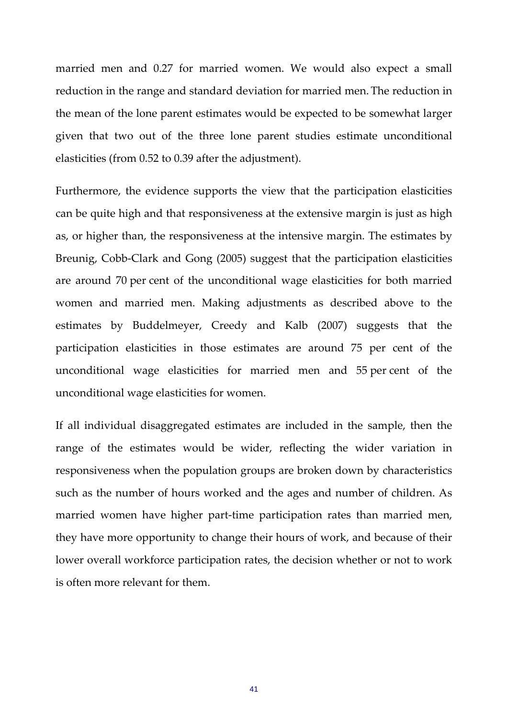married men and 0.27 for married women. We would also expect a small reduction in the range and standard deviation for married men. The reduction in the mean of the lone parent estimates would be expected to be somewhat larger given that two out of the three lone parent studies estimate unconditional elasticities (from 0.52 to 0.39 after the adjustment).

Furthermore, the evidence supports the view that the participation elasticities can be quite high and that responsiveness at the extensive margin is just as high as, or higher than, the responsiveness at the intensive margin. The estimates by Breunig, Cobb-Clark and Gong (2005) suggest that the participation elasticities are around 70 per cent of the unconditional wage elasticities for both married women and married men. Making adjustments as described above to the estimates by Buddelmeyer, Creedy and Kalb (2007) suggests that the participation elasticities in those estimates are around 75 per cent of the unconditional wage elasticities for married men and 55 per cent of the unconditional wage elasticities for women.

If all individual disaggregated estimates are included in the sample, then the range of the estimates would be wider, reflecting the wider variation in responsiveness when the population groups are broken down by characteristics such as the number of hours worked and the ages and number of children. As married women have higher part-time participation rates than married men, they have more opportunity to change their hours of work, and because of their lower overall workforce participation rates, the decision whether or not to work is often more relevant for them.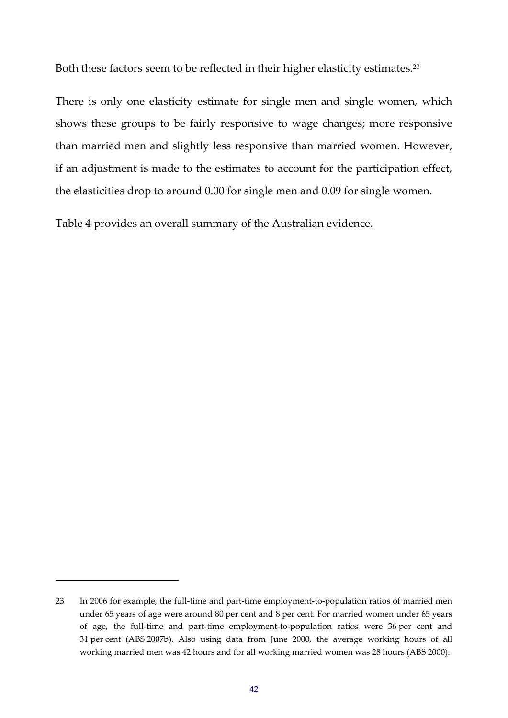Both these factors seem to be reflected in their higher elasticity estimates.23

There is only one elasticity estimate for single men and single women, which shows these groups to be fairly responsive to wage changes; more responsive than married men and slightly less responsive than married women. However, if an adjustment is made to the estimates to account for the participation effect, the elasticities drop to around 0.00 for single men and 0.09 for single women.

Table 4 provides an overall summary of the Australian evidence.

<sup>23</sup> In 2006 for example, the full-time and part-time employment-to-population ratios of married men under 65 years of age were around 80 per cent and 8 per cent. For married women under 65 years of age, the full‐time and part‐time employment‐to‐population ratios were 36 per cent and 31 per cent (ABS 2007b). Also using data from June 2000, the average working hours of all working married men was 42 hours and for all working married women was 28 hours (ABS 2000).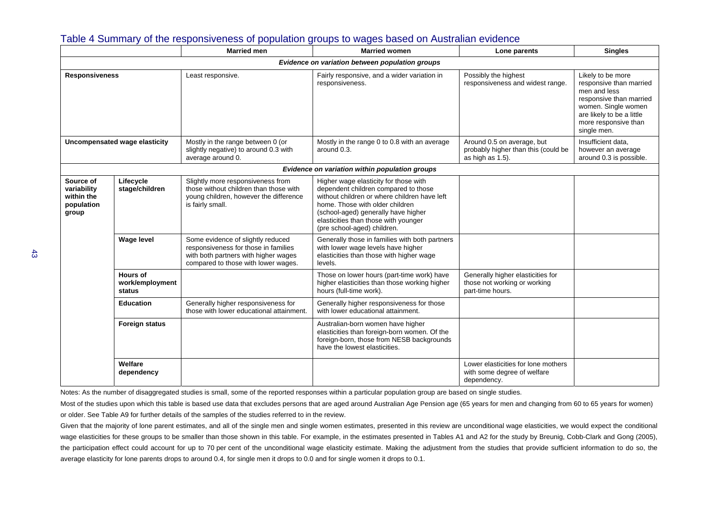|                                                               |                                              | <b>Married</b> men                                                                                                                                       | <b>Married women</b>                                                                                                                                                                                                                                                           | Lone parents                                                                          | <b>Singles</b>                                                                                                                                                                     |
|---------------------------------------------------------------|----------------------------------------------|----------------------------------------------------------------------------------------------------------------------------------------------------------|--------------------------------------------------------------------------------------------------------------------------------------------------------------------------------------------------------------------------------------------------------------------------------|---------------------------------------------------------------------------------------|------------------------------------------------------------------------------------------------------------------------------------------------------------------------------------|
|                                                               |                                              |                                                                                                                                                          | Evidence on variation between population groups                                                                                                                                                                                                                                |                                                                                       |                                                                                                                                                                                    |
| <b>Responsiveness</b>                                         |                                              | Least responsive.                                                                                                                                        | Fairly responsive, and a wider variation in<br>responsiveness.                                                                                                                                                                                                                 | Possibly the highest<br>responsiveness and widest range.                              | Likely to be more<br>responsive than married<br>men and less<br>responsive than married<br>women. Single women<br>are likely to be a little<br>more responsive than<br>single men. |
| Uncompensated wage elasticity                                 |                                              | Mostly in the range between 0 (or<br>slightly negative) to around 0.3 with<br>average around 0.                                                          | Mostly in the range 0 to 0.8 with an average<br>around 0.3.                                                                                                                                                                                                                    | Around 0.5 on average, but<br>probably higher than this (could be<br>as high as 1.5). | Insufficient data,<br>however an average<br>around 0.3 is possible.                                                                                                                |
|                                                               |                                              |                                                                                                                                                          | Evidence on variation within population groups                                                                                                                                                                                                                                 |                                                                                       |                                                                                                                                                                                    |
| Source of<br>variability<br>within the<br>population<br>group | Lifecycle<br>stage/children                  | Slightly more responsiveness from<br>those without children than those with<br>young children, however the difference<br>is fairly small.                | Higher wage elasticity for those with<br>dependent children compared to those<br>without children or where children have left<br>home. Those with older children<br>(school-aged) generally have higher<br>elasticities than those with younger<br>(pre school-aged) children. |                                                                                       |                                                                                                                                                                                    |
|                                                               | <b>Wage level</b>                            | Some evidence of slightly reduced<br>responsiveness for those in families<br>with both partners with higher wages<br>compared to those with lower wages. | Generally those in families with both partners<br>with lower wage levels have higher<br>elasticities than those with higher wage<br>levels.                                                                                                                                    |                                                                                       |                                                                                                                                                                                    |
|                                                               | <b>Hours of</b><br>work/employment<br>status |                                                                                                                                                          | Those on lower hours (part-time work) have<br>higher elasticities than those working higher<br>hours (full-time work).                                                                                                                                                         | Generally higher elasticities for<br>those not working or working<br>part-time hours. |                                                                                                                                                                                    |
|                                                               | <b>Education</b>                             | Generally higher responsiveness for<br>those with lower educational attainment.                                                                          | Generally higher responsiveness for those<br>with lower educational attainment.                                                                                                                                                                                                |                                                                                       |                                                                                                                                                                                    |
|                                                               | <b>Foreign status</b>                        |                                                                                                                                                          | Australian-born women have higher<br>elasticities than foreign-born women. Of the<br>foreign-born, those from NESB backgrounds<br>have the lowest elasticities.                                                                                                                |                                                                                       |                                                                                                                                                                                    |
|                                                               | Welfare<br>dependency                        |                                                                                                                                                          |                                                                                                                                                                                                                                                                                | Lower elasticities for lone mothers<br>with some degree of welfare<br>dependency.     |                                                                                                                                                                                    |

### Table 4 Summary of the responsiveness of population groups to wages based on Australian evidence

Notes: As the number of disaggregated studies is small, some of the reported responses within a particular population group are based on single studies.

Most of the studies upon which this table is based use data that excludes persons that are aged around Australian Age Pension age (65 years for men and changing from 60 to 65 years for women) or older. See Table A9 for further details of the samples of the studies referred to in the review.

Given that the majority of lone parent estimates, and all of the single men and single women estimates, presented in this review are unconditional wage elasticities, we would expect the conditional wage elasticities for these groups to be smaller than those shown in this table. For example, in the estimates presented in Tables A1 and A2 for the study by Breunig, Cobb-Clark and Gong (2005), the participation effect could account for up to 70 per cent of the unconditional wage elasticity estimate. Making the adjustment from the studies that provide sufficient information to do so, the average elasticity for lone parents drops to around 0.4, for single men it drops to 0.0 and for single women it drops to 0.1.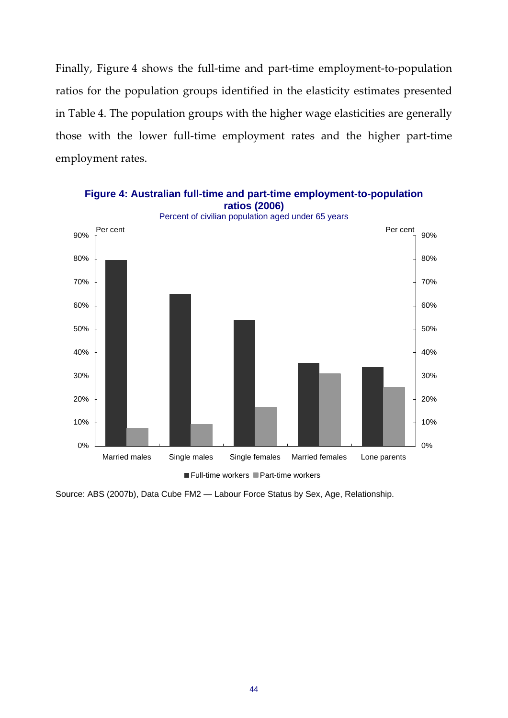Finally, Figure 4 shows the full-time and part-time employment-to-population ratios for the population groups identified in the elasticity estimates presented in Table 4. The population groups with the higher wage elasticities are generally those with the lower full-time employment rates and the higher part-time employment rates.



Full-time workers Part-time workers

Source: ABS (2007b), Data Cube FM2 — Labour Force Status by Sex, Age, Relationship.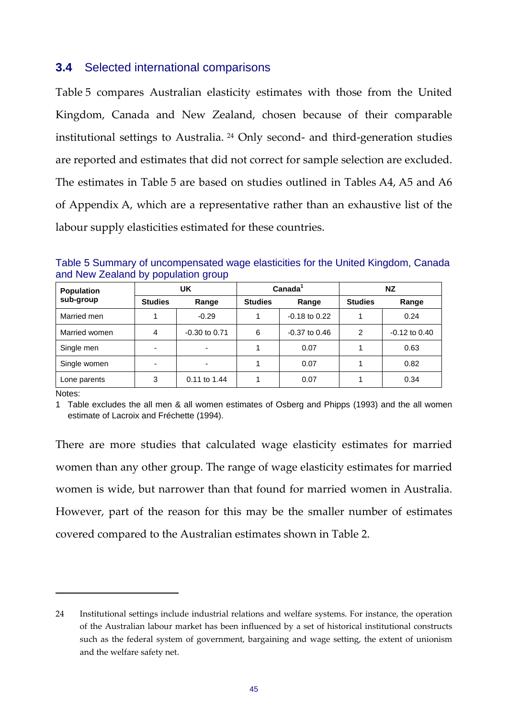## **3.4** Selected international comparisons

Table 5 compares Australian elasticity estimates with those from the United Kingdom, Canada and New Zealand, chosen because of their comparable institutional settings to Australia. <sup>24</sup> Only second‐ and third‐generation studies are reported and estimates that did not correct for sample selection are excluded. The estimates in Table 5 are based on studies outlined in Tables A4, A5 and A6 of Appendix A, which are a representative rather than an exhaustive list of the labour supply elasticities estimated for these countries.

| Table 5 Summary of uncompensated wage elasticities for the United Kingdom, Canada |  |  |
|-----------------------------------------------------------------------------------|--|--|
| and New Zealand by population group                                               |  |  |

| <b>Population</b> |                         | UK              |                         | Canada <sup>1</sup> | <b>NZ</b>      |                   |  |
|-------------------|-------------------------|-----------------|-------------------------|---------------------|----------------|-------------------|--|
| sub-group         | <b>Studies</b><br>Range |                 | <b>Studies</b><br>Range |                     | <b>Studies</b> | Range             |  |
| Married men       |                         | $-0.29$         |                         | $-0.18$ to 0.22     |                | 0.24              |  |
| Married women     | 4                       | $-0.30$ to 0.71 | 6                       | $-0.37$ to 0.46     | 2              | $-0.12$ to $0.40$ |  |
| Single men        |                         |                 |                         | 0.07                |                | 0.63              |  |
| Single women      | -                       | -               |                         | 0.07                |                | 0.82              |  |
| Lone parents      | 3                       | $0.11$ to 1.44  |                         | 0.07                |                | 0.34              |  |

Notes:

1 Table excludes the all men & all women estimates of Osberg and Phipps (1993) and the all women estimate of Lacroix and Fréchette (1994).

There are more studies that calculated wage elasticity estimates for married women than any other group. The range of wage elasticity estimates for married women is wide, but narrower than that found for married women in Australia. However, part of the reason for this may be the smaller number of estimates covered compared to the Australian estimates shown in Table 2.

<sup>24</sup> Institutional settings include industrial relations and welfare systems. For instance, the operation of the Australian labour market has been influenced by a set of historical institutional constructs such as the federal system of government, bargaining and wage setting, the extent of unionism and the welfare safety net.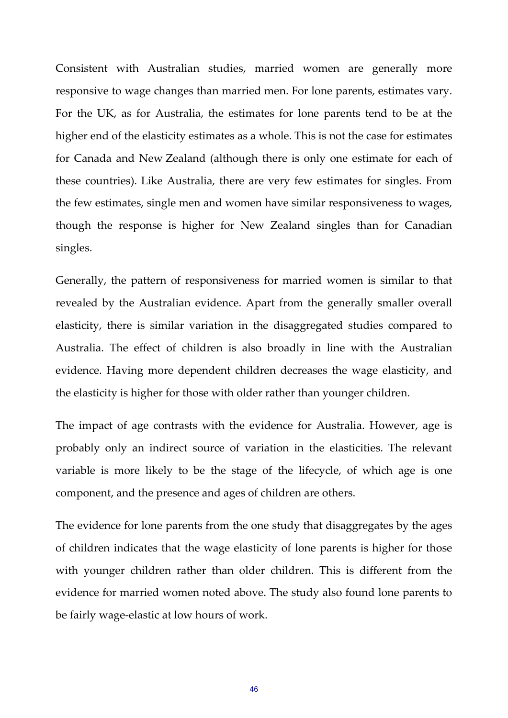Consistent with Australian studies, married women are generally more responsive to wage changes than married men. For lone parents, estimates vary. For the UK, as for Australia, the estimates for lone parents tend to be at the higher end of the elasticity estimates as a whole. This is not the case for estimates for Canada and New Zealand (although there is only one estimate for each of these countries). Like Australia, there are very few estimates for singles. From the few estimates, single men and women have similar responsiveness to wages, though the response is higher for New Zealand singles than for Canadian singles.

Generally, the pattern of responsiveness for married women is similar to that revealed by the Australian evidence. Apart from the generally smaller overall elasticity, there is similar variation in the disaggregated studies compared to Australia. The effect of children is also broadly in line with the Australian evidence. Having more dependent children decreases the wage elasticity, and the elasticity is higher for those with older rather than younger children.

The impact of age contrasts with the evidence for Australia. However, age is probably only an indirect source of variation in the elasticities. The relevant variable is more likely to be the stage of the lifecycle, of which age is one component, and the presence and ages of children are others.

The evidence for lone parents from the one study that disaggregates by the ages of children indicates that the wage elasticity of lone parents is higher for those with younger children rather than older children. This is different from the evidence for married women noted above. The study also found lone parents to be fairly wage-elastic at low hours of work.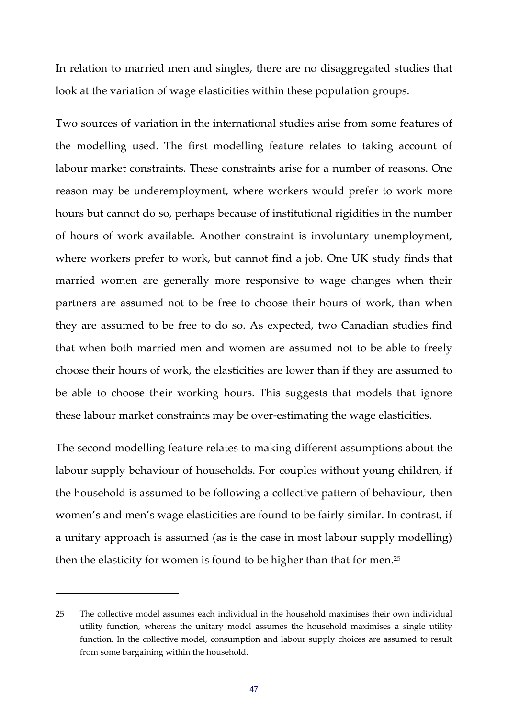In relation to married men and singles, there are no disaggregated studies that look at the variation of wage elasticities within these population groups.

Two sources of variation in the international studies arise from some features of the modelling used. The first modelling feature relates to taking account of labour market constraints. These constraints arise for a number of reasons. One reason may be underemployment, where workers would prefer to work more hours but cannot do so, perhaps because of institutional rigidities in the number of hours of work available. Another constraint is involuntary unemployment, where workers prefer to work, but cannot find a job. One UK study finds that married women are generally more responsive to wage changes when their partners are assumed not to be free to choose their hours of work, than when they are assumed to be free to do so. As expected, two Canadian studies find that when both married men and women are assumed not to be able to freely choose their hours of work, the elasticities are lower than if they are assumed to be able to choose their working hours. This suggests that models that ignore these labour market constraints may be over‐estimating the wage elasticities.

The second modelling feature relates to making different assumptions about the labour supply behaviour of households. For couples without young children, if the household is assumed to be following a collective pattern of behaviour, then women's and men's wage elasticities are found to be fairly similar. In contrast, if a unitary approach is assumed (as is the case in most labour supply modelling) then the elasticity for women is found to be higher than that for men.25

<sup>25</sup> The collective model assumes each individual in the household maximises their own individual utility function, whereas the unitary model assumes the household maximises a single utility function. In the collective model, consumption and labour supply choices are assumed to result from some bargaining within the household.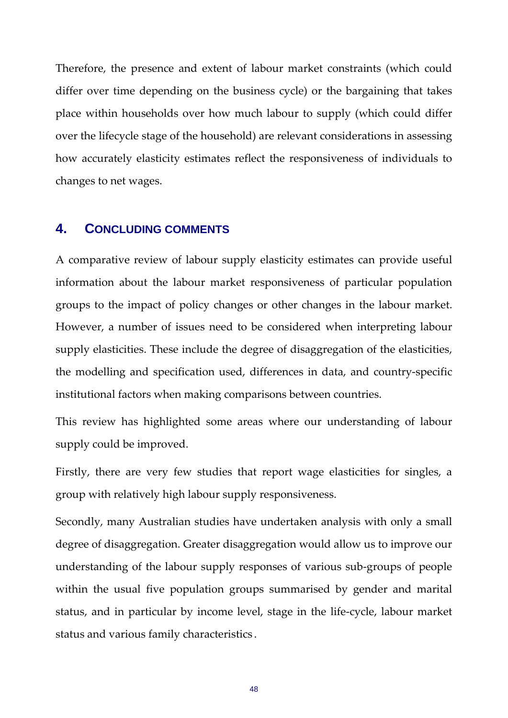Therefore, the presence and extent of labour market constraints (which could differ over time depending on the business cycle) or the bargaining that takes place within households over how much labour to supply (which could differ over the lifecycle stage of the household) are relevant considerations in assessing how accurately elasticity estimates reflect the responsiveness of individuals to changes to net wages.

## **4. CONCLUDING COMMENTS**

A comparative review of labour supply elasticity estimates can provide useful information about the labour market responsiveness of particular population groups to the impact of policy changes or other changes in the labour market. However, a number of issues need to be considered when interpreting labour supply elasticities. These include the degree of disaggregation of the elasticities, the modelling and specification used, differences in data, and country‐specific institutional factors when making comparisons between countries.

This review has highlighted some areas where our understanding of labour supply could be improved.

Firstly, there are very few studies that report wage elasticities for singles, a group with relatively high labour supply responsiveness.

Secondly, many Australian studies have undertaken analysis with only a small degree of disaggregation. Greater disaggregation would allow us to improve our understanding of the labour supply responses of various sub‐groups of people within the usual five population groups summarised by gender and marital status, and in particular by income level, stage in the life‐cycle, labour market status and various family characteristics .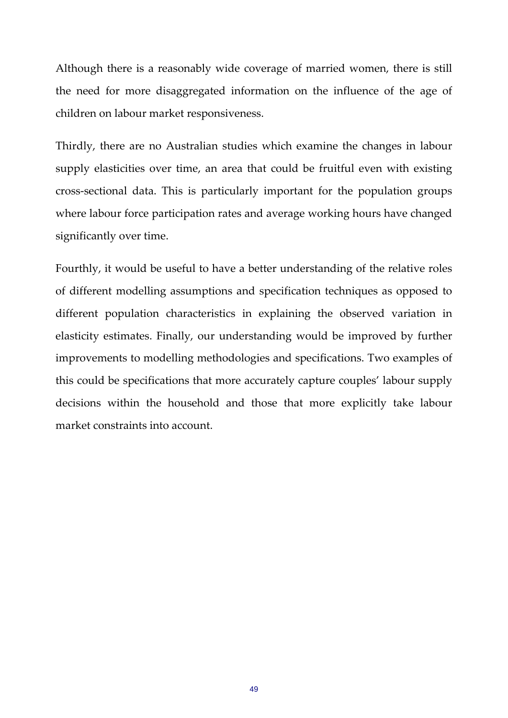Although there is a reasonably wide coverage of married women, there is still the need for more disaggregated information on the influence of the age of children on labour market responsiveness.

Thirdly, there are no Australian studies which examine the changes in labour supply elasticities over time, an area that could be fruitful even with existing cross‐sectional data. This is particularly important for the population groups where labour force participation rates and average working hours have changed significantly over time.

Fourthly, it would be useful to have a better understanding of the relative roles of different modelling assumptions and specification techniques as opposed to different population characteristics in explaining the observed variation in elasticity estimates. Finally, our understanding would be improved by further improvements to modelling methodologies and specifications. Two examples of this could be specifications that more accurately capture couples' labour supply decisions within the household and those that more explicitly take labour market constraints into account.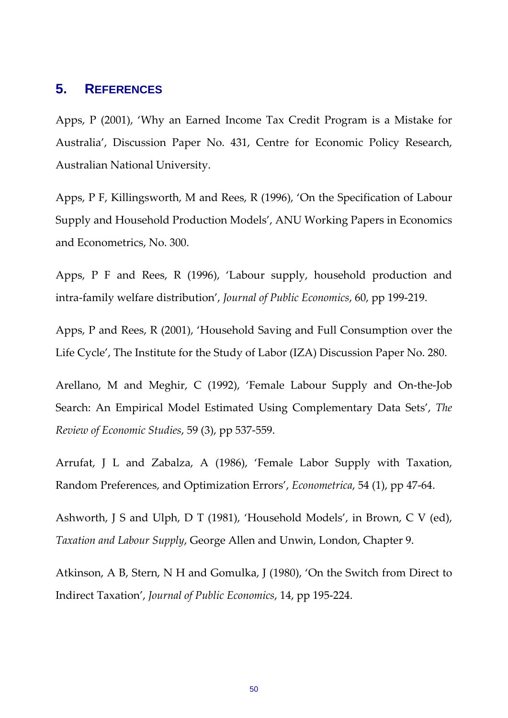## **5. REFERENCES**

Apps, P (2001), 'Why an Earned Income Tax Credit Program is a Mistake for Australia', Discussion Paper No. 431, Centre for Economic Policy Research, Australian National University.

Apps, P F, Killingsworth, M and Rees, R (1996), 'On the Specification of Labour Supply and Household Production Models', ANU Working Papers in Economics and Econometrics, No. 300.

Apps, P F and Rees, R (1996), 'Labour supply, household production and intra‐family welfare distribution', *Journal of Public Economics*, 60, pp 199‐219.

Apps, P and Rees, R (2001), 'Household Saving and Full Consumption over the Life Cycle', The Institute for the Study of Labor (IZA) Discussion Paper No. 280.

Arellano, M and Meghir, C (1992), 'Female Labour Supply and On‐the‐Job Search: An Empirical Model Estimated Using Complementary Data Sets', *The Review of Economic Studies*, 59 (3), pp 537‐559.

Arrufat, J L and Zabalza, A (1986), 'Female Labor Supply with Taxation, Random Preferences, and Optimization Errors', *Econometrica*, 54 (1), pp 47‐64.

Ashworth, J S and Ulph, D T (1981), 'Household Models', in Brown, C V (ed), *Taxation and Labour Supply*, George Allen and Unwin, London, Chapter 9.

Atkinson, A B, Stern, N H and Gomulka, J (1980), 'On the Switch from Direct to Indirect Taxation', *Journal of Public Economics*, 14, pp 195‐224.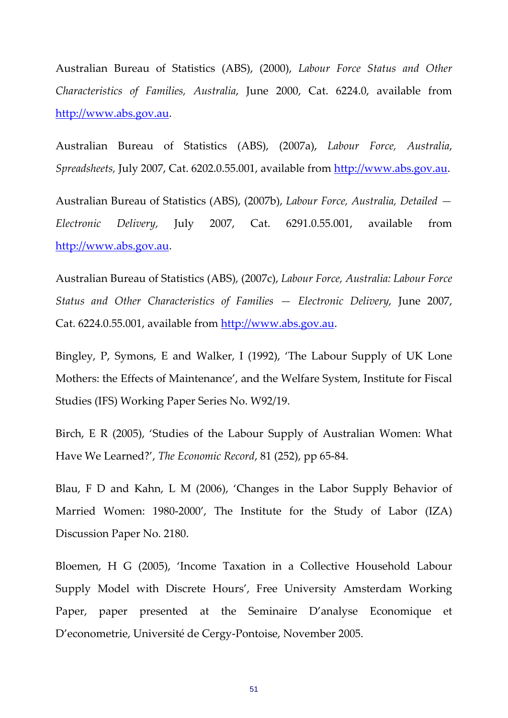Australian Bureau of Statistics (ABS), (2000), *Labour Force Status and Other Characteristics of Families, Australia*, June 2000, Cat. 6224.0, available from http://www.abs.gov.au.

Australian Bureau of Statistics (ABS), (2007a), *Labour Force, Australia*, *Spreadsheets,* July 2007, Cat. 6202.0.55.001, available from http://www.abs.gov.au.

Australian Bureau of Statistics (ABS), (2007b), *Labour Force, Australia, Detailed — Electronic Delivery,* July 2007, Cat. 6291.0.55.001, available from http://www.abs.gov.au.

Australian Bureau of Statistics (ABS), (2007c), *Labour Force, Australia: Labour Force Status and Other Characteristics of Families — Electronic Delivery,* June 2007, Cat. 6224.0.55.001, available from http://www.abs.gov.au.

Bingley, P, Symons, E and Walker, I (1992), 'The Labour Supply of UK Lone Mothers: the Effects of Maintenance', and the Welfare System, Institute for Fiscal Studies (IFS) Working Paper Series No. W92/19.

Birch, E R (2005), 'Studies of the Labour Supply of Australian Women: What Have We Learned?', *The Economic Record*, 81 (252), pp 65‐84.

Blau, F D and Kahn, L M (2006), 'Changes in the Labor Supply Behavior of Married Women: 1980‐2000', The Institute for the Study of Labor (IZA) Discussion Paper No. 2180.

Bloemen, H G (2005), 'Income Taxation in a Collective Household Labour Supply Model with Discrete Hours', Free University Amsterdam Working Paper, paper presented at the Seminaire D'analyse Economique et D'econometrie, Université de Cergy‐Pontoise, November 2005.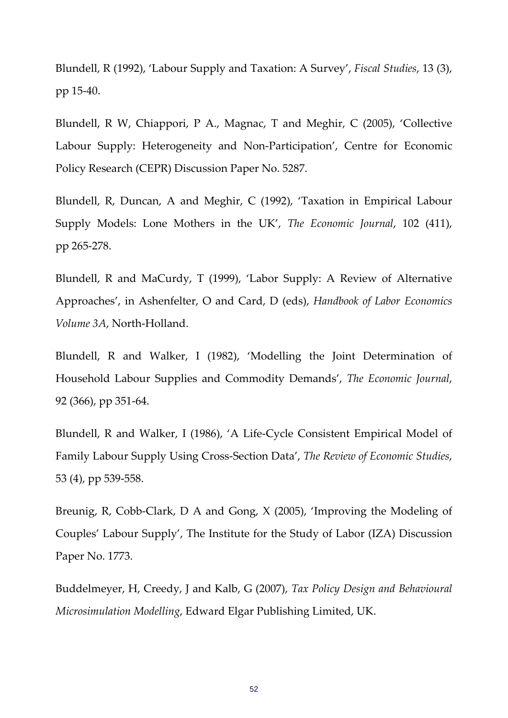Blundell, R (1992), 'Labour Supply and Taxation: A Survey', *Fiscal Studies*, 13 (3), pp 15‐40.

Blundell, R W, Chiappori, P A., Magnac, T and Meghir, C (2005), 'Collective Labour Supply: Heterogeneity and Non‐Participation', Centre for Economic Policy Research (CEPR) Discussion Paper No. 5287.

Blundell, R, Duncan, A and Meghir, C (1992), 'Taxation in Empirical Labour Supply Models: Lone Mothers in the UK', *The Economic Journal*, 102 (411), pp 265‐278.

Blundell, R and MaCurdy, T (1999), 'Labor Supply: A Review of Alternative Approaches', in Ashenfelter, O and Card, D (eds), *Handbook of Labor Economics Volume 3A*, North‐Holland.

Blundell, R and Walker, I (1982), 'Modelling the Joint Determination of Household Labour Supplies and Commodity Demands', *The Economic Journal*, 92 (366), pp 351‐64.

Blundell, R and Walker, I (1986), 'A Life‐Cycle Consistent Empirical Model of Family Labour Supply Using Cross‐Section Data', *The Review of Economic Studies*, 53 (4), pp 539‐558.

Breunig, R, Cobb-Clark, D A and Gong, X (2005), 'Improving the Modeling of Couples' Labour Supply', The Institute for the Study of Labor (IZA) Discussion Paper No. 1773.

Buddelmeyer, H, Creedy, J and Kalb, G (2007), *Tax Policy Design and Behavioural Microsimulation Modelling*, Edward Elgar Publishing Limited, UK.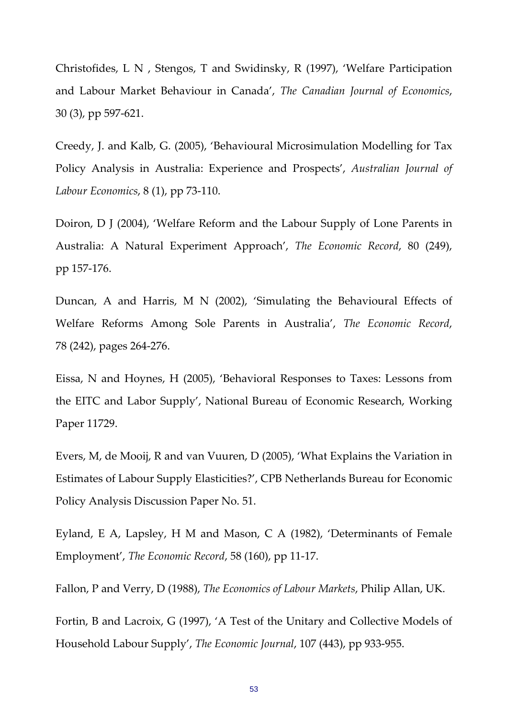Christofides, L N , Stengos, T and Swidinsky, R (1997), 'Welfare Participation and Labour Market Behaviour in Canada', *The Canadian Journal of Economics*, 30 (3), pp 597‐621.

Creedy, J. and Kalb, G. (2005), 'Behavioural Microsimulation Modelling for Tax Policy Analysis in Australia: Experience and Prospects', *Australian Journal of Labour Economics*, 8 (1), pp 73‐110.

Doiron, D J (2004), 'Welfare Reform and the Labour Supply of Lone Parents in Australia: A Natural Experiment Approach', *The Economic Record*, 80 (249), pp 157‐176.

Duncan, A and Harris, M N (2002), 'Simulating the Behavioural Effects of Welfare Reforms Among Sole Parents in Australia', *The Economic Record*, 78 (242), pages 264‐276.

Eissa, N and Hoynes, H (2005), 'Behavioral Responses to Taxes: Lessons from the EITC and Labor Supply', National Bureau of Economic Research, Working Paper 11729.

Evers, M, de Mooij, R and van Vuuren, D (2005), 'What Explains the Variation in Estimates of Labour Supply Elasticities?', CPB Netherlands Bureau for Economic Policy Analysis Discussion Paper No. 51.

Eyland, E A, Lapsley, H M and Mason, C A (1982), 'Determinants of Female Employment', *The Economic Record*, 58 (160), pp 11‐17.

Fallon, P and Verry, D (1988), *The Economics of Labour Markets*, Philip Allan, UK.

Fortin, B and Lacroix, G (1997), 'A Test of the Unitary and Collective Models of Household Labour Supply', *The Economic Journal*, 107 (443), pp 933‐955.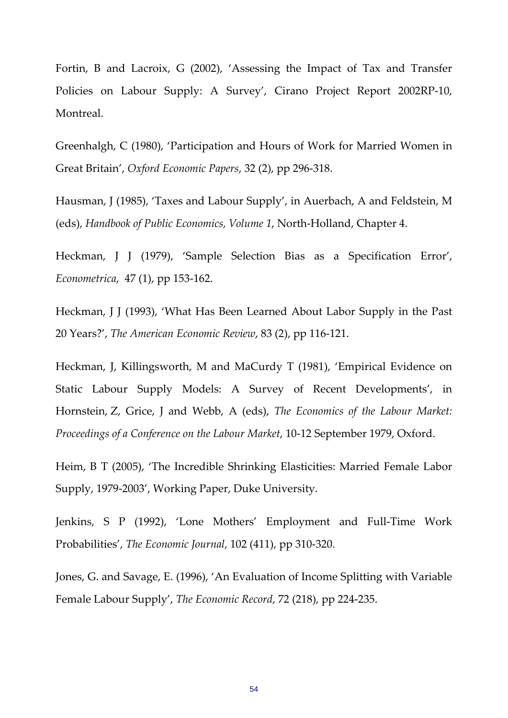Fortin, B and Lacroix, G (2002), 'Assessing the Impact of Tax and Transfer Policies on Labour Supply: A Survey', Cirano Project Report 2002RP‐10, Montreal.

Greenhalgh, C (1980), 'Participation and Hours of Work for Married Women in Great Britain', *Oxford Economic Papers*, 32 (2), pp 296‐318.

Hausman, J (1985), 'Taxes and Labour Supply', in Auerbach, A and Feldstein, M (eds), *Handbook of Public Economics, Volume 1*, North‐Holland, Chapter 4.

Heckman, J J (1979), 'Sample Selection Bias as a Specification Error', *Econometrica*, 47 (1), pp 153‐162.

Heckman, J J (1993), 'What Has Been Learned About Labor Supply in the Past 20 Years?', *The American Economic Review*, 83 (2), pp 116‐121.

Heckman, J, Killingsworth, M and MaCurdy T (1981), 'Empirical Evidence on Static Labour Supply Models: A Survey of Recent Developments', in Hornstein, Z, Grice, J and Webb, A (eds), *The Economics of the Labour Market: Proceedings of a Conference on the Labour Market*, 10‐12 September 1979, Oxford.

Heim, B T (2005), 'The Incredible Shrinking Elasticities: Married Female Labor Supply, 1979‐2003', Working Paper, Duke University.

Jenkins, S P (1992), 'Lone Mothers' Employment and Full‐Time Work Probabilities', *The Economic Journal*, 102 (411), pp 310‐320.

Jones, G. and Savage, E. (1996), 'An Evaluation of Income Splitting with Variable Female Labour Supply', *The Economic Record*, 72 (218), pp 224‐235.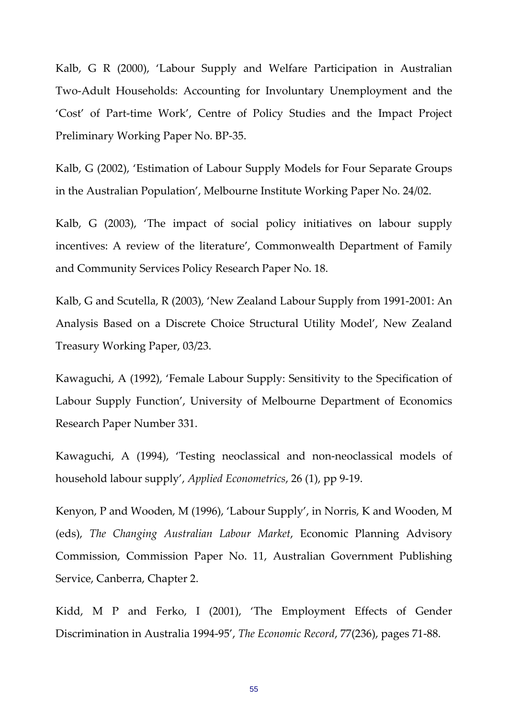Kalb, G R (2000), 'Labour Supply and Welfare Participation in Australian Two‐Adult Households: Accounting for Involuntary Unemployment and the 'Cost' of Part‐time Work', Centre of Policy Studies and the Impact Project Preliminary Working Paper No. BP‐35.

Kalb, G (2002), 'Estimation of Labour Supply Models for Four Separate Groups in the Australian Population', Melbourne Institute Working Paper No. 24/02.

Kalb, G (2003), 'The impact of social policy initiatives on labour supply incentives: A review of the literature', Commonwealth Department of Family and Community Services Policy Research Paper No. 18.

Kalb, G and Scutella, R (2003), 'New Zealand Labour Supply from 1991‐2001: An Analysis Based on a Discrete Choice Structural Utility Model', New Zealand Treasury Working Paper, 03/23.

Kawaguchi, A (1992), 'Female Labour Supply: Sensitivity to the Specification of Labour Supply Function', University of Melbourne Department of Economics Research Paper Number 331.

Kawaguchi, A (1994), 'Testing neoclassical and non‐neoclassical models of household labour supply', *Applied Econometrics*, 26 (1), pp 9‐19.

Kenyon, P and Wooden, M (1996), 'Labour Supply', in Norris, K and Wooden, M (eds), *The Changing Australian Labour Market*, Economic Planning Advisory Commission, Commission Paper No. 11, Australian Government Publishing Service, Canberra, Chapter 2.

Kidd, M P and Ferko, I (2001), 'The Employment Effects of Gender Discrimination in Australia 1994‐95', *The Economic Record*, 77(236), pages 71‐88.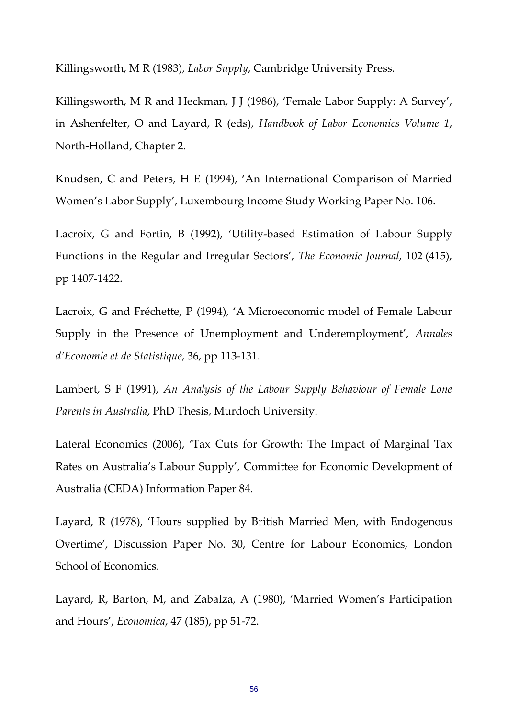Killingsworth, M R (1983), *Labor Supply*, Cambridge University Press.

Killingsworth, M R and Heckman, J J (1986), 'Female Labor Supply: A Survey', in Ashenfelter, O and Layard, R (eds), *Handbook of Labor Economics Volume 1*, North‐Holland, Chapter 2.

Knudsen, C and Peters, H E (1994), 'An International Comparison of Married Women's Labor Supply', Luxembourg Income Study Working Paper No. 106.

Lacroix, G and Fortin, B (1992), 'Utility-based Estimation of Labour Supply Functions in the Regular and Irregular Sectors', *The Economic Journal*, 102 (415), pp 1407‐1422.

Lacroix, G and Fréchette, P (1994), 'A Microeconomic model of Female Labour Supply in the Presence of Unemployment and Underemployment', *Annales d'Economie et de Statistique*, 36, pp 113‐131.

Lambert, S F (1991), *An Analysis of the Labour Supply Behaviour of Female Lone Parents in Australia*, PhD Thesis, Murdoch University.

Lateral Economics (2006), 'Tax Cuts for Growth: The Impact of Marginal Tax Rates on Australia's Labour Supply', Committee for Economic Development of Australia (CEDA) Information Paper 84.

Layard, R (1978), 'Hours supplied by British Married Men, with Endogenous Overtime', Discussion Paper No. 30, Centre for Labour Economics, London School of Economics.

Layard, R, Barton, M, and Zabalza, A (1980), 'Married Women's Participation and Hours', *Economica*, 47 (185), pp 51‐72.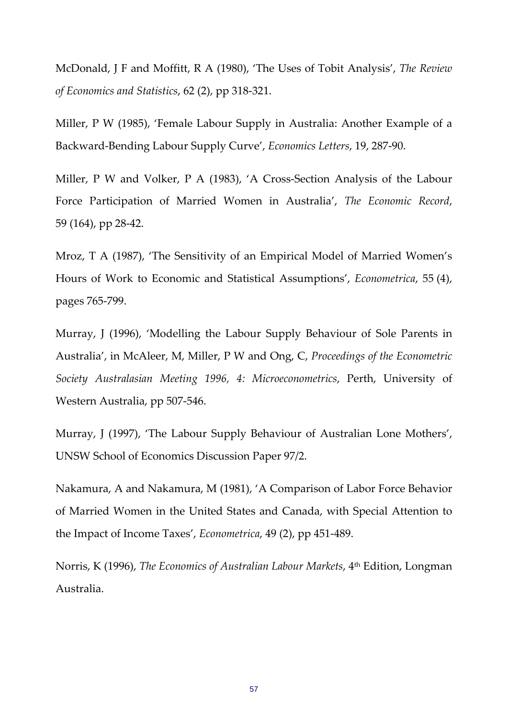McDonald, J F and Moffitt, R A (1980), 'The Uses of Tobit Analysis', *The Review of Economics and Statistics*, 62 (2), pp 318‐321.

Miller, P W (1985), 'Female Labour Supply in Australia: Another Example of a Backward‐Bending Labour Supply Curve', *Economics Letters*, 19, 287‐90.

Miller, P W and Volker, P A (1983), 'A Cross-Section Analysis of the Labour Force Participation of Married Women in Australia', *The Economic Record*, 59 (164), pp 28‐42.

Mroz, T A (1987), 'The Sensitivity of an Empirical Model of Married Women's Hours of Work to Economic and Statistical Assumptions', *Econometrica*, 55 (4), pages 765‐799.

Murray, J (1996), 'Modelling the Labour Supply Behaviour of Sole Parents in Australia', in McAleer, M, Miller, P W and Ong, C, *Proceedings of the Econometric Society Australasian Meeting 1996, 4: Microeconometrics*, Perth, University of Western Australia, pp 507‐546.

Murray, J (1997), 'The Labour Supply Behaviour of Australian Lone Mothers', UNSW School of Economics Discussion Paper 97/2.

Nakamura, A and Nakamura, M (1981), 'A Comparison of Labor Force Behavior of Married Women in the United States and Canada, with Special Attention to the Impact of Income Taxes', *Econometrica*, 49 (2), pp 451‐489.

Norris, K (1996), *The Economics of Australian Labour Markets*, 4th Edition, Longman Australia.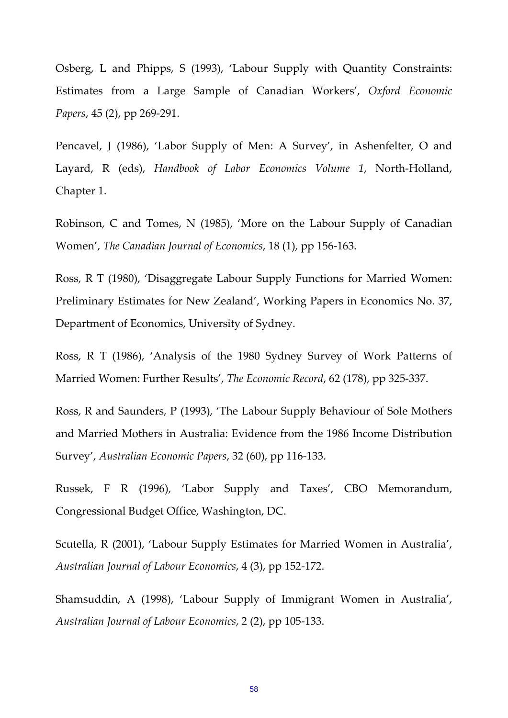Osberg, L and Phipps, S (1993), 'Labour Supply with Quantity Constraints: Estimates from a Large Sample of Canadian Workers', *Oxford Economic Papers*, 45 (2), pp 269‐291.

Pencavel, J (1986), 'Labor Supply of Men: A Survey', in Ashenfelter, O and Layard, R (eds), *Handbook of Labor Economics Volume 1*, North‐Holland, Chapter 1.

Robinson, C and Tomes, N (1985), 'More on the Labour Supply of Canadian Women', *The Canadian Journal of Economics*, 18 (1), pp 156‐163.

Ross, R T (1980), 'Disaggregate Labour Supply Functions for Married Women: Preliminary Estimates for New Zealand', Working Papers in Economics No. 37, Department of Economics, University of Sydney.

Ross, R T (1986), 'Analysis of the 1980 Sydney Survey of Work Patterns of Married Women: Further Results', *The Economic Record*, 62 (178), pp 325‐337.

Ross, R and Saunders, P (1993), 'The Labour Supply Behaviour of Sole Mothers and Married Mothers in Australia: Evidence from the 1986 Income Distribution Survey', *Australian Economic Papers*, 32 (60), pp 116‐133.

Russek, F R (1996), 'Labor Supply and Taxes', CBO Memorandum, Congressional Budget Office, Washington, DC.

Scutella, R (2001), 'Labour Supply Estimates for Married Women in Australia', *Australian Journal of Labour Economics*, 4 (3), pp 152‐172.

Shamsuddin, A (1998), 'Labour Supply of Immigrant Women in Australia', *Australian Journal of Labour Economics*, 2 (2), pp 105‐133.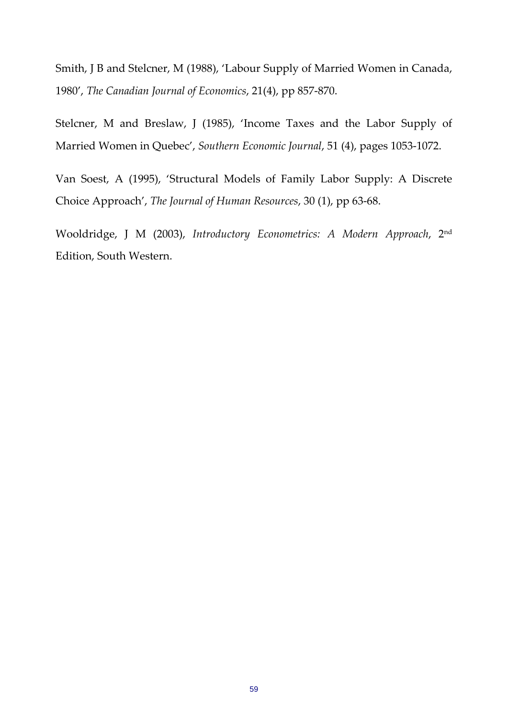Smith, J B and Stelcner, M (1988), 'Labour Supply of Married Women in Canada, 1980', *The Canadian Journal of Economics*, 21(4), pp 857‐870.

Stelcner, M and Breslaw, J (1985), 'Income Taxes and the Labor Supply of Married Women in Quebec', *Southern Economic Journal*, 51 (4), pages 1053‐1072.

Van Soest, A (1995), 'Structural Models of Family Labor Supply: A Discrete Choice Approach', *The Journal of Human Resources*, 30 (1), pp 63‐68.

Wooldridge, J M (2003), *Introductory Econometrics: A Modern Approach*, 2nd Edition, South Western.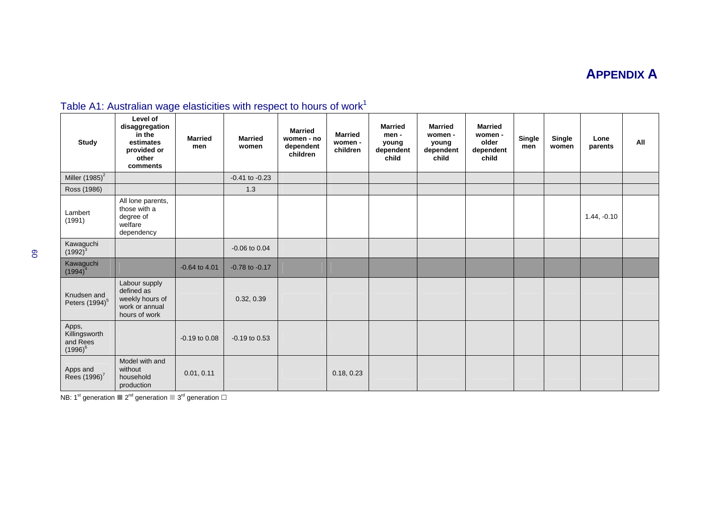# **APPENDIX A**

| <b>Study</b>                                     | Level of<br>disaggregation<br>in the<br>estimates<br>provided or<br>other<br>comments | <b>Married</b><br>men | <b>Married</b><br>women | <b>Married</b><br>women - no<br>dependent<br>children | <b>Married</b><br>women -<br>children | <b>Married</b><br>men -<br>young<br>dependent<br>child | <b>Married</b><br>women -<br>young<br>dependent<br>child | <b>Married</b><br>women -<br>older<br>dependent<br>child | Single<br>men | Single<br>women | Lone<br>parents | All |
|--------------------------------------------------|---------------------------------------------------------------------------------------|-----------------------|-------------------------|-------------------------------------------------------|---------------------------------------|--------------------------------------------------------|----------------------------------------------------------|----------------------------------------------------------|---------------|-----------------|-----------------|-----|
| Miller $(1985)^2$                                |                                                                                       |                       | $-0.41$ to $-0.23$      |                                                       |                                       |                                                        |                                                          |                                                          |               |                 |                 |     |
| Ross (1986)                                      |                                                                                       |                       | 1.3                     |                                                       |                                       |                                                        |                                                          |                                                          |               |                 |                 |     |
| Lambert<br>(1991)                                | All lone parents,<br>those with a<br>degree of<br>welfare<br>dependency               |                       |                         |                                                       |                                       |                                                        |                                                          |                                                          |               |                 | $1.44, -0.10$   |     |
| Kawaguchi<br>$(1992)^3$                          |                                                                                       |                       | $-0.06$ to $0.04$       |                                                       |                                       |                                                        |                                                          |                                                          |               |                 |                 |     |
| Kawaguchi<br>$(1994)^4$                          |                                                                                       | $-0.64$ to 4.01       | $-0.78$ to $-0.17$      |                                                       |                                       |                                                        |                                                          |                                                          |               |                 |                 |     |
| Knudsen and<br>Peters (1994) <sup>5</sup>        | Labour supply<br>defined as<br>weekly hours of<br>work or annual<br>hours of work     |                       | 0.32, 0.39              |                                                       |                                       |                                                        |                                                          |                                                          |               |                 |                 |     |
| Apps,<br>Killingsworth<br>and Rees<br>$(1996)^6$ |                                                                                       | $-0.19$ to $0.08$     | $-0.19$ to $0.53$       |                                                       |                                       |                                                        |                                                          |                                                          |               |                 |                 |     |
| Apps and<br>Rees (1996) <sup>7</sup>             | Model with and<br>without<br>household<br>production                                  | 0.01, 0.11            |                         |                                                       | 0.18, 0.23                            |                                                        |                                                          |                                                          |               |                 |                 |     |

# Table A1: Australian wage elasticities with respect to hours of work<sup>1</sup>

NB: 1<sup>st</sup> generation  $\blacksquare$  2<sup>nd</sup> generation  $\square$  3<sup>rd</sup> generation  $\square$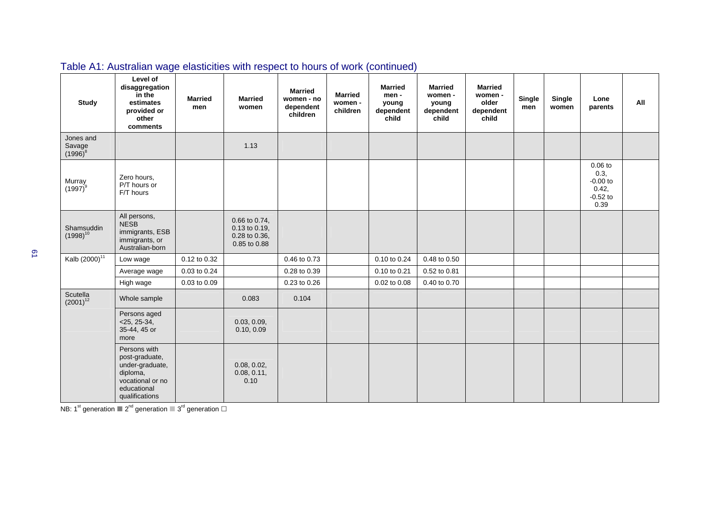| <b>Study</b>                      | Level of<br>disaggregation<br>in the<br>estimates<br>provided or<br>other<br>comments                              | <b>Married</b><br>men | <b>Married</b><br>women                                         | <b>Married</b><br>women - no<br>dependent<br>children | <b>Married</b><br>women -<br>children | <b>Married</b><br>men -<br>young<br>dependent<br>child | <b>Married</b><br>women -<br>young<br>dependent<br>child | <b>Married</b><br>women -<br>older<br>dependent<br>child | Single<br>men | Single<br>women | Lone<br>parents                                                | All |
|-----------------------------------|--------------------------------------------------------------------------------------------------------------------|-----------------------|-----------------------------------------------------------------|-------------------------------------------------------|---------------------------------------|--------------------------------------------------------|----------------------------------------------------------|----------------------------------------------------------|---------------|-----------------|----------------------------------------------------------------|-----|
| Jones and<br>Savage<br>$(1996)^8$ |                                                                                                                    |                       | 1.13                                                            |                                                       |                                       |                                                        |                                                          |                                                          |               |                 |                                                                |     |
| Murray<br>$(1997)^9$              | Zero hours,<br>P/T hours or<br>F/T hours                                                                           |                       |                                                                 |                                                       |                                       |                                                        |                                                          |                                                          |               |                 | $0.06$ to<br>0.3,<br>$-0.00$ to<br>0.42,<br>$-0.52$ to<br>0.39 |     |
| Shamsuddin<br>$(1998)^{10}$       | All persons,<br><b>NESB</b><br>immigrants, ESB<br>immigrants, or<br>Australian-born                                |                       | 0.66 to 0.74,<br>0.13 to 0.19,<br>0.28 to 0.36,<br>0.85 to 0.88 |                                                       |                                       |                                                        |                                                          |                                                          |               |                 |                                                                |     |
| Kalb (2000) <sup>11</sup>         | Low wage                                                                                                           | 0.12 to 0.32          |                                                                 | 0.46 to 0.73                                          |                                       | 0.10 to 0.24                                           | 0.48 to 0.50                                             |                                                          |               |                 |                                                                |     |
|                                   | Average wage                                                                                                       | 0.03 to 0.24          |                                                                 | 0.28 to 0.39                                          |                                       | 0.10 to 0.21                                           | 0.52 to 0.81                                             |                                                          |               |                 |                                                                |     |
|                                   | High wage                                                                                                          | 0.03 to 0.09          |                                                                 | 0.23 to 0.26                                          |                                       | 0.02 to 0.08                                           | 0.40 to 0.70                                             |                                                          |               |                 |                                                                |     |
| Scutella<br>$(2001)^{12}$         | Whole sample                                                                                                       |                       | 0.083                                                           | 0.104                                                 |                                       |                                                        |                                                          |                                                          |               |                 |                                                                |     |
|                                   | Persons aged<br>$<$ 25, 25-34,<br>35-44, 45 or<br>more                                                             |                       | 0.03, 0.09,<br>0.10, 0.09                                       |                                                       |                                       |                                                        |                                                          |                                                          |               |                 |                                                                |     |
|                                   | Persons with<br>post-graduate,<br>under-graduate,<br>diploma,<br>vocational or no<br>educational<br>qualifications |                       | 0.08, 0.02,<br>0.08, 0.11,<br>0.10                              |                                                       |                                       |                                                        |                                                          |                                                          |               |                 |                                                                |     |

# Table A1: Australian wage elasticities with respect to hours of work (continued)

NB: 1<sup>st</sup> generation  $\blacksquare$  2<sup>nd</sup> generation  $\blacksquare$  3<sup>rd</sup> generation  $\square$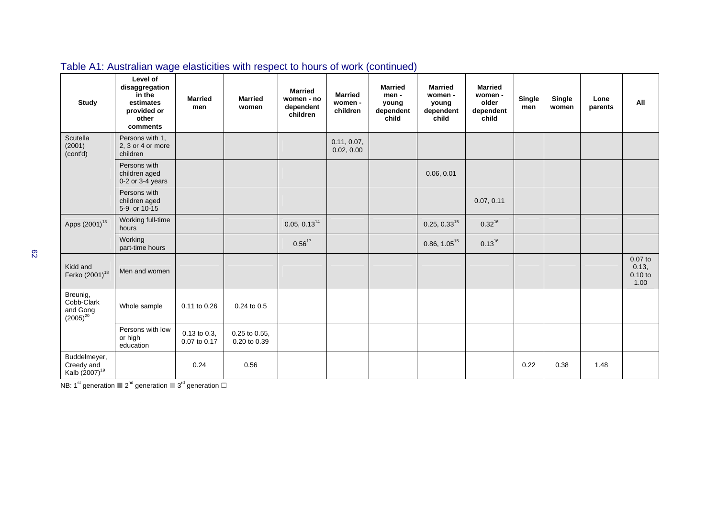| <b>Study</b>                                            | Level of<br>disaggregation<br>in the<br>estimates<br>provided or<br>other<br>comments | <b>Married</b><br>men             | <b>Married</b><br>women       | <b>Married</b><br>women - no<br>dependent<br>children | <b>Married</b><br>women -<br>children | <b>Married</b><br>men -<br>young<br>dependent<br>child | <b>Married</b><br>women -<br>young<br>dependent<br>child | <b>Married</b><br>women -<br>older<br>dependent<br>child | <b>Single</b><br>men | Single<br>women | Lone<br>parents | All                                   |
|---------------------------------------------------------|---------------------------------------------------------------------------------------|-----------------------------------|-------------------------------|-------------------------------------------------------|---------------------------------------|--------------------------------------------------------|----------------------------------------------------------|----------------------------------------------------------|----------------------|-----------------|-----------------|---------------------------------------|
| Scutella<br>(2001)<br>(cont'd)                          | Persons with 1,<br>2, 3 or 4 or more<br>children                                      |                                   |                               |                                                       | 0.11, 0.07,<br>0.02, 0.00             |                                                        |                                                          |                                                          |                      |                 |                 |                                       |
|                                                         | Persons with<br>children aged<br>$0-2$ or $3-4$ years                                 |                                   |                               |                                                       |                                       |                                                        | 0.06, 0.01                                               |                                                          |                      |                 |                 |                                       |
|                                                         | Persons with<br>children aged<br>5-9 or 10-15                                         |                                   |                               |                                                       |                                       |                                                        |                                                          | 0.07, 0.11                                               |                      |                 |                 |                                       |
| Apps (2001) <sup>13</sup>                               | Working full-time<br>hours                                                            |                                   |                               | 0.05, 0.13 <sup>14</sup>                              |                                       |                                                        | $0.25, 0.33^{15}$                                        | $0.32^{16}$                                              |                      |                 |                 |                                       |
|                                                         | Working<br>part-time hours                                                            |                                   |                               | $0.56^{17}$                                           |                                       |                                                        | $0.86, 1.05^{15}$                                        | $0.13^{16}$                                              |                      |                 |                 |                                       |
| Kidd and<br>Ferko (2001) <sup>18</sup>                  | Men and women                                                                         |                                   |                               |                                                       |                                       |                                                        |                                                          |                                                          |                      |                 |                 | $0.07$ to<br>0.13,<br>0.10 to<br>1.00 |
| Breunig,<br>Cobb-Clark<br>and Gong<br>$(2005)^{20}$     | Whole sample                                                                          | 0.11 to 0.26                      | 0.24 to 0.5                   |                                                       |                                       |                                                        |                                                          |                                                          |                      |                 |                 |                                       |
|                                                         | Persons with low<br>or high<br>education                                              | $0.13$ to $0.3$ ,<br>0.07 to 0.17 | 0.25 to 0.55,<br>0.20 to 0.39 |                                                       |                                       |                                                        |                                                          |                                                          |                      |                 |                 |                                       |
| Buddelmeyer,<br>Creedy and<br>Kalb (2007) <sup>19</sup> |                                                                                       | 0.24                              | 0.56                          |                                                       |                                       |                                                        |                                                          |                                                          | 0.22                 | 0.38            | 1.48            |                                       |

Table A1: Australian wage elasticities with respect to hours of work (continued)

NB: 1<sup>st</sup> generation  $2^{nd}$  generation  $3^{rd}$  generation  $\Box$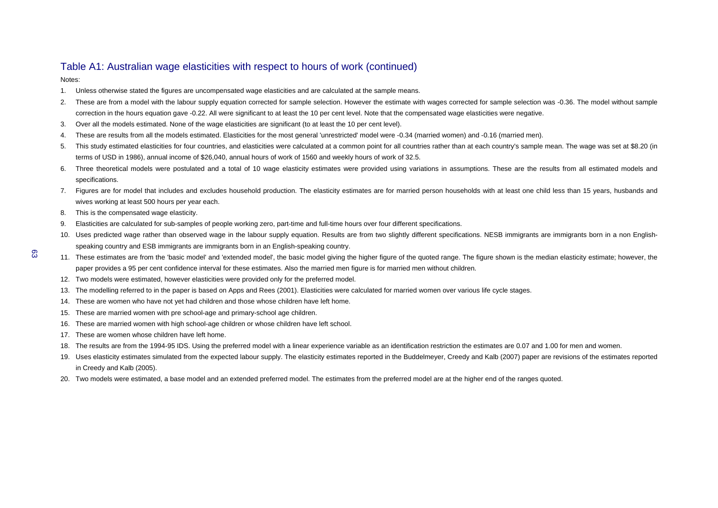### Table A1: Australian wage elasticities with respect to hours of work (continued)

Notes:

- 1. Unless otherwise stated the figures are uncompensated wage elasticities and are calculated at the sample means.
- 2. These are from a model with the labour supply equation corrected for sample selection. However the estimate with wages corrected for sample selection was -0.36. The model without sample correction in the hours equation gave -0.22. All were significant to at least the 10 per cent level. Note that the compensated wage elasticities were negative.
- 3. Over all the models estimated. None of the wage elasticities are significant (to at least the 10 per cent level).
- 4. These are results from all the models estimated. Elasticities for the most general 'unrestricted' model were -0.34 (married women) and -0.16 (married men).
- 5. This study estimated elasticities for four countries, and elasticities were calculated at a common point for all countries rather than at each country's sample mean. The wage was set at \$8.20 (in terms of USD in 1986), annual income of \$26,040, annual hours of work of 1560 and weekly hours of work of 32.5.
- 6. Three theoretical models were postulated and a total of 10 wage elasticity estimates were provided using variations in assumptions. These are the results from all estimated models and specifications.
- 7. Figures are for model that includes and excludes household production. The elasticity estimates are for married person households with at least one child less than 15 years, husbands and wives working at least 500 hours per year each.
- 8. This is the compensated wage elasticity.
- 9. Elasticities are calculated for sub-samples of people working zero, part-time and full-time hours over four different specifications.
- 10. Uses predicted wage rather than observed wage in the labour supply equation. Results are from two slightly different specifications. NESB immigrants are immigrants born in a non Englishspeaking country and ESB immigrants are immigrants born in an English-speaking country.
- 11. These estimates are from the 'basic model' and 'extended model', the basic model giving the higher figure of the quoted range. The figure shown is the median elasticity estimate; however, the paper provides a 95 per cent confidence interval for these estimates. Also the married men figure is for married men without children.
- 12. Two models were estimated, however elasticities were provided only for the preferred model.
- 13. The modelling referred to in the paper is based on Apps and Rees (2001). Elasticities were calculated for married women over various life cycle stages.
- 14. These are women who have not yet had children and those whose children have left home.
- 15. These are married women with pre school-age and primary-school age children.
- 16. These are married women with high school-age children or whose children have left school.
- 17. These are women whose children have left home.
- 18. The results are from the 1994-95 IDS. Using the preferred model with a linear experience variable as an identification restriction the estimates are 0.07 and 1.00 for men and women.
- 19. Uses elasticity estimates simulated from the expected labour supply. The elasticity estimates reported in the Buddelmeyer, Creedy and Kalb (2007) paper are revisions of the estimates reported in Creedy and Kalb (2005).
- 20. Two models were estimated, a base model and an extended preferred model. The estimates from the preferred model are at the higher end of the ranges quoted.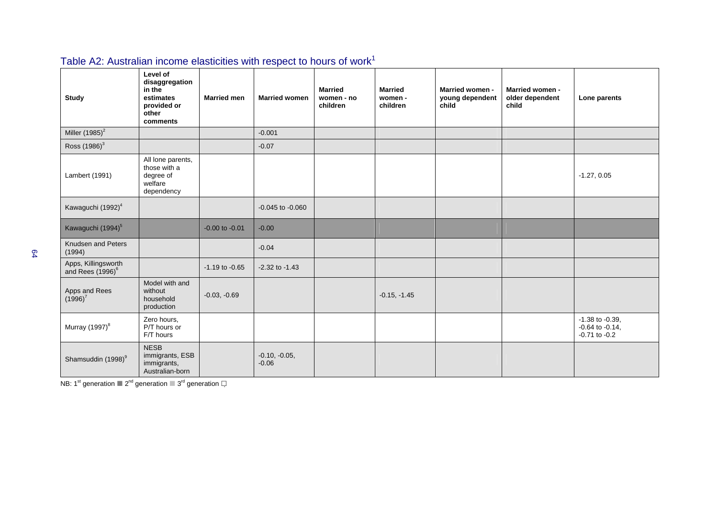| <b>Study</b>                                        | Level of<br>disaggregation<br>in the<br>estimates<br>provided or<br>other<br>comments | <b>Married men</b> | <b>Married women</b>       | <b>Married</b><br>women - no<br>children | <b>Married</b><br>women -<br>children | Married women -<br>young dependent<br>child | Married women -<br>older dependent<br>child | Lone parents                                                      |
|-----------------------------------------------------|---------------------------------------------------------------------------------------|--------------------|----------------------------|------------------------------------------|---------------------------------------|---------------------------------------------|---------------------------------------------|-------------------------------------------------------------------|
| Miller $(1985)^2$                                   |                                                                                       |                    | $-0.001$                   |                                          |                                       |                                             |                                             |                                                                   |
| Ross (1986) <sup>3</sup>                            |                                                                                       |                    | $-0.07$                    |                                          |                                       |                                             |                                             |                                                                   |
| Lambert (1991)                                      | All lone parents,<br>those with a<br>degree of<br>welfare<br>dependency               |                    |                            |                                          |                                       |                                             |                                             | $-1.27, 0.05$                                                     |
| Kawaguchi (1992) <sup>4</sup>                       |                                                                                       |                    | $-0.045$ to $-0.060$       |                                          |                                       |                                             |                                             |                                                                   |
| Kawaguchi (1994) <sup>5</sup>                       |                                                                                       | $-0.00$ to $-0.01$ | $-0.00$                    |                                          |                                       |                                             |                                             |                                                                   |
| Knudsen and Peters<br>(1994)                        |                                                                                       |                    | $-0.04$                    |                                          |                                       |                                             |                                             |                                                                   |
| Apps, Killingsworth<br>and Rees (1996) <sup>6</sup> |                                                                                       | $-1.19$ to $-0.65$ | $-2.32$ to $-1.43$         |                                          |                                       |                                             |                                             |                                                                   |
| Apps and Rees<br>$(1996)^7$                         | Model with and<br>without<br>household<br>production                                  | $-0.03, -0.69$     |                            |                                          | $-0.15, -1.45$                        |                                             |                                             |                                                                   |
| Murray (1997) <sup>8</sup>                          | Zero hours,<br>P/T hours or<br>F/T hours                                              |                    |                            |                                          |                                       |                                             |                                             | $-1.38$ to $-0.39$ ,<br>$-0.64$ to $-0.14$ ,<br>$-0.71$ to $-0.2$ |
| Shamsuddin (1998) <sup>9</sup>                      | <b>NESB</b><br>immigrants, ESB<br>immigrants,<br>Australian-born                      |                    | $-0.10, -0.05,$<br>$-0.06$ |                                          |                                       |                                             |                                             |                                                                   |

# Table A2: Australian income elasticities with respect to hours of work<sup>1</sup>

NB: 1<sup>st</sup> generation  $2^{nd}$  generation  $2^{rd}$  generation  $\Box$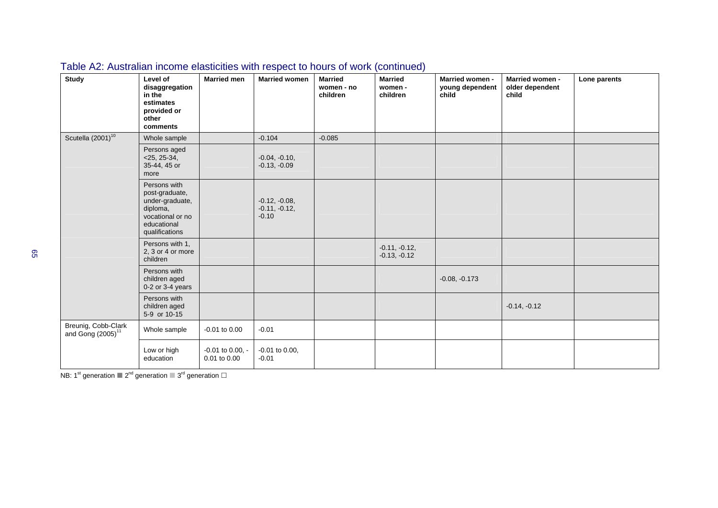| <b>Study</b>                                         | Level of<br>disaggregation<br>in the<br>estimates<br>provided or<br>other<br>comments                              | <b>Married men</b>                   | <b>Married women</b>                          | <b>Married</b><br>women - no<br>children | <b>Married</b><br>women -<br>children | <b>Married women -</b><br>young dependent<br>child | <b>Married women -</b><br>older dependent<br>child | Lone parents |
|------------------------------------------------------|--------------------------------------------------------------------------------------------------------------------|--------------------------------------|-----------------------------------------------|------------------------------------------|---------------------------------------|----------------------------------------------------|----------------------------------------------------|--------------|
| Scutella (2001) <sup>10</sup>                        | Whole sample                                                                                                       |                                      | $-0.104$                                      | $-0.085$                                 |                                       |                                                    |                                                    |              |
|                                                      | Persons aged<br>$<$ 25, 25-34,<br>35-44, 45 or<br>more                                                             |                                      | $-0.04, -0.10,$<br>$-0.13, -0.09$             |                                          |                                       |                                                    |                                                    |              |
|                                                      | Persons with<br>post-graduate,<br>under-graduate,<br>diploma,<br>vocational or no<br>educational<br>qualifications |                                      | $-0.12, -0.08,$<br>$-0.11, -0.12,$<br>$-0.10$ |                                          |                                       |                                                    |                                                    |              |
|                                                      | Persons with 1,<br>2, 3 or 4 or more<br>children                                                                   |                                      |                                               |                                          | $-0.11, -0.12,$<br>$-0.13, -0.12$     |                                                    |                                                    |              |
|                                                      | Persons with<br>children aged<br>$0-2$ or $3-4$ years                                                              |                                      |                                               |                                          |                                       | $-0.08, -0.173$                                    |                                                    |              |
|                                                      | Persons with<br>children aged<br>5-9 or 10-15                                                                      |                                      |                                               |                                          |                                       |                                                    | $-0.14, -0.12$                                     |              |
| Breunig, Cobb-Clark<br>and Gong (2005) <sup>11</sup> | Whole sample                                                                                                       | $-0.01$ to $0.00$                    | $-0.01$                                       |                                          |                                       |                                                    |                                                    |              |
|                                                      | Low or high<br>education                                                                                           | $-0.01$ to 0.00, $-$<br>0.01 to 0.00 | $-0.01$ to $0.00$ ,<br>$-0.01$                |                                          |                                       |                                                    |                                                    |              |

## Table A2: Australian income elasticities with respect to hours of work (continued)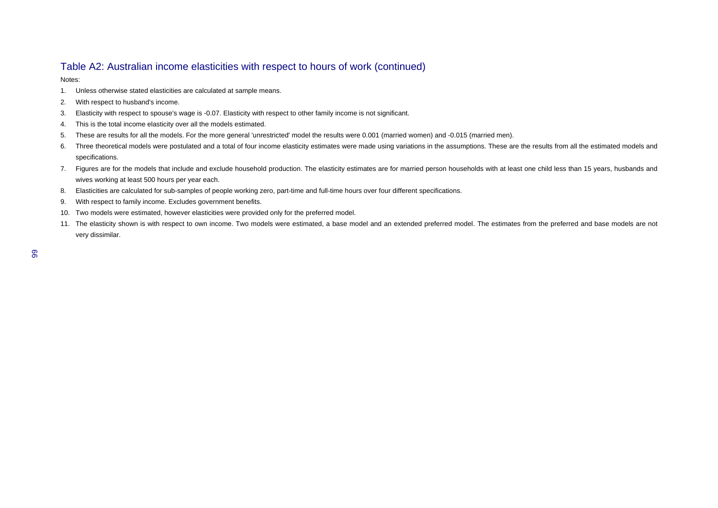#### Table A2: Australian income elasticities with respect to hours of work (continued)

Notes:

- 1. Unless otherwise stated elasticities are calculated at sample means.
- 2. With respect to husband's income.
- 3. Elasticity with respect to spouse's wage is -0.07. Elasticity with respect to other family income is not significant.
- 4. This is the total income elasticity over all the models estimated.
- 5. These are results for all the models. For the more general 'unrestricted' model the results were 0.001 (married women) and -0.015 (married men).
- 6. Three theoretical models were postulated and a total of four income elasticity estimates were made using variations in the assumptions. These are the results from all the estimated models and specifications.
- 7. Figures are for the models that include and exclude household production. The elasticity estimates are for married person households with at least one child less than 15 years, husbands and wives working at least 500 hours per year each.
- 8. Elasticities are calculated for sub-samples of people working zero, part-time and full-time hours over four different specifications.
- 9. With respect to family income. Excludes government benefits.
- 10. Two models were estimated, however elasticities were provided only for the preferred model.
- 11. The elasticity shown is with respect to own income. Two models were estimated, a base model and an extended preferred model. The estimates from the preferred and base models are not very dissimilar.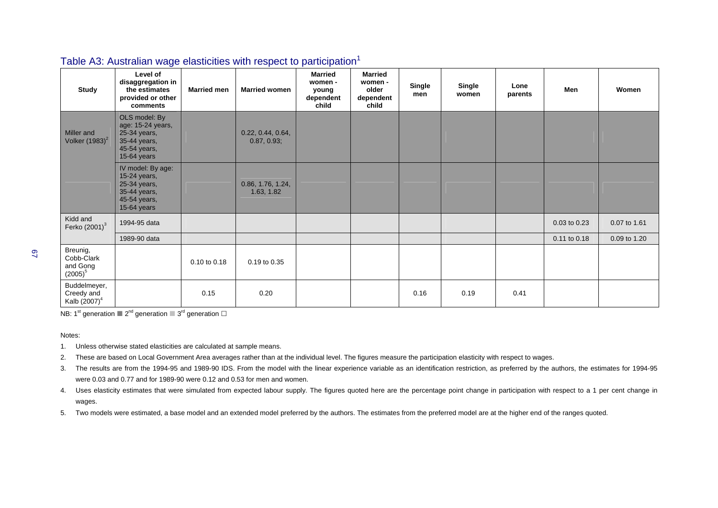| <b>Study</b>                                           | $\checkmark$<br>Level of<br>disaggregation in<br>the estimates<br>provided or other<br>comments   | <b>Married men</b> | <b>Married women</b>             | <b>Married</b><br>women -<br>young<br>dependent<br>child | <b>Married</b><br>women -<br>older<br>dependent<br>child | <b>Single</b><br>men | <b>Single</b><br>women | Lone<br>parents | Men          | Women        |
|--------------------------------------------------------|---------------------------------------------------------------------------------------------------|--------------------|----------------------------------|----------------------------------------------------------|----------------------------------------------------------|----------------------|------------------------|-----------------|--------------|--------------|
| Miller and<br>Volker $(1983)^2$                        | OLS model: By<br>age: 15-24 years,<br>25-34 years,<br>35-44 years,<br>45-54 years,<br>15-64 years |                    | 0.22, 0.44, 0.64,<br>0.87, 0.93; |                                                          |                                                          |                      |                        |                 |              |              |
|                                                        | IV model: By age:<br>15-24 years,<br>25-34 years,<br>35-44 years,<br>45-54 years,<br>15-64 years  |                    | 0.86, 1.76, 1.24,<br>1.63, 1.82  |                                                          |                                                          |                      |                        |                 |              |              |
| Kidd and<br>Ferko $(2001)^3$                           | 1994-95 data                                                                                      |                    |                                  |                                                          |                                                          |                      |                        |                 | 0.03 to 0.23 | 0.07 to 1.61 |
|                                                        | 1989-90 data                                                                                      |                    |                                  |                                                          |                                                          |                      |                        |                 | 0.11 to 0.18 | 0.09 to 1.20 |
| Breunig,<br>Cobb-Clark<br>and Gong<br>$(2005)^5$       |                                                                                                   | 0.10 to 0.18       | 0.19 to 0.35                     |                                                          |                                                          |                      |                        |                 |              |              |
| Buddelmeyer,<br>Creedy and<br>Kalb (2007) <sup>4</sup> |                                                                                                   | 0.15               | 0.20                             |                                                          |                                                          | 0.16                 | 0.19                   | 0.41            |              |              |

#### Table A3: Australian wage elasticities with respect to participation<sup>1</sup>

NB: 1<sup>st</sup> generation  $2^{nd}$  generation  $3^{rd}$  generation  $\Box$ 

#### Notes:

- 1. Unless otherwise stated elasticities are calculated at sample means.
- 2. These are based on Local Government Area averages rather than at the individual level. The figures measure the participation elasticity with respect to wages.
- 3. The results are from the 1994-95 and 1989-90 IDS. From the model with the linear experience variable as an identification restriction, as preferred by the authors, the estimates for 1994-95 were 0.03 and 0.77 and for 1989-90 were 0.12 and 0.53 for men and women.
- 4. Uses elasticity estimates that were simulated from expected labour supply. The figures quoted here are the percentage point change in participation with respect to a 1 per cent change in wages.
- 5. Two models were estimated, a base model and an extended model preferred by the authors. The estimates from the preferred model are at the higher end of the ranges quoted.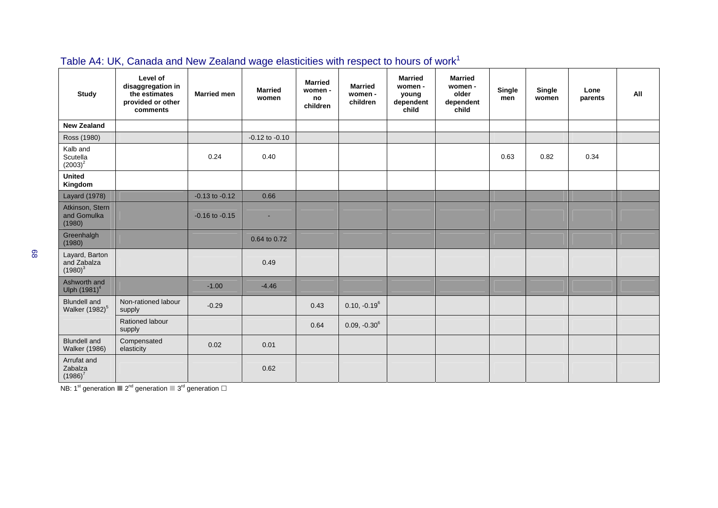| <b>Study</b>                                      | Level of<br>disaggregation in<br>the estimates<br>provided or other<br>comments | <b>Married men</b> | <b>Married</b><br>women | <b>Married</b><br>women -<br>no<br>children | <b>Married</b><br>women -<br>children | <b>Married</b><br>women -<br>young<br>dependent<br>child | <b>Married</b><br>women -<br>older<br>dependent<br>child | Single<br>men | Single<br>women | Lone<br>parents | All |
|---------------------------------------------------|---------------------------------------------------------------------------------|--------------------|-------------------------|---------------------------------------------|---------------------------------------|----------------------------------------------------------|----------------------------------------------------------|---------------|-----------------|-----------------|-----|
| <b>New Zealand</b>                                |                                                                                 |                    |                         |                                             |                                       |                                                          |                                                          |               |                 |                 |     |
| Ross (1980)                                       |                                                                                 |                    | $-0.12$ to $-0.10$      |                                             |                                       |                                                          |                                                          |               |                 |                 |     |
| Kalb and<br>Scutella<br>$(2003)^2$                |                                                                                 | 0.24               | 0.40                    |                                             |                                       |                                                          |                                                          | 0.63          | 0.82            | 0.34            |     |
| <b>United</b><br>Kingdom                          |                                                                                 |                    |                         |                                             |                                       |                                                          |                                                          |               |                 |                 |     |
| <b>Layard (1978)</b>                              |                                                                                 | $-0.13$ to $-0.12$ | 0.66                    |                                             |                                       |                                                          |                                                          |               |                 |                 |     |
| Atkinson, Stern<br>and Gomulka<br>(1980)          |                                                                                 | $-0.16$ to $-0.15$ |                         |                                             |                                       |                                                          |                                                          |               |                 |                 |     |
| Greenhalgh<br>(1980)                              |                                                                                 |                    | 0.64 to 0.72            |                                             |                                       |                                                          |                                                          |               |                 |                 |     |
| Layard, Barton<br>and Zabalza<br>$(1980)^3$       |                                                                                 |                    | 0.49                    |                                             |                                       |                                                          |                                                          |               |                 |                 |     |
| Ashworth and<br>Ulph (1981) <sup>4</sup>          |                                                                                 | $-1.00$            | $-4.46$                 |                                             |                                       |                                                          |                                                          |               |                 |                 |     |
| <b>Blundell</b> and<br>Walker (1982) <sup>5</sup> | Non-rationed labour<br>supply                                                   | $-0.29$            |                         | 0.43                                        | $0.10, -0.19^6$                       |                                                          |                                                          |               |                 |                 |     |
|                                                   | Rationed labour<br>supply                                                       |                    |                         | 0.64                                        | $0.09, -0.30^6$                       |                                                          |                                                          |               |                 |                 |     |
| <b>Blundell</b> and<br><b>Walker (1986)</b>       | Compensated<br>elasticity                                                       | 0.02               | 0.01                    |                                             |                                       |                                                          |                                                          |               |                 |                 |     |
| Arrufat and<br>Zabalza<br>$(1986)^7$              |                                                                                 |                    | 0.62                    |                                             |                                       |                                                          |                                                          |               |                 |                 |     |

## Table A4: UK, Canada and New Zealand wage elasticities with respect to hours of work<sup>1</sup>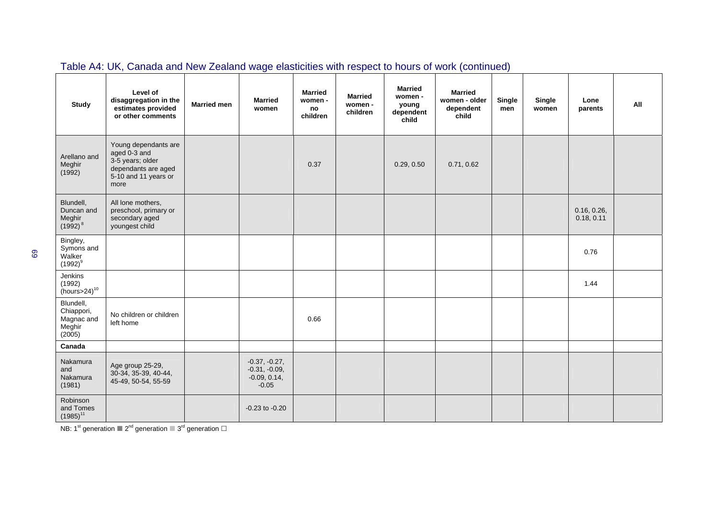| <b>Study</b>                                              | Level of<br>disaggregation in the<br>estimates provided<br>or other comments                                    | <b>Married men</b> | <b>Married</b><br>women                                         | <b>Married</b><br>women -<br>no<br>children | <b>Married</b><br>women -<br>children | <b>Married</b><br>women -<br>young<br>dependent<br>child | <b>Married</b><br>women - older<br>dependent<br>child | Single<br>men | Single<br>women | Lone<br>parents           | All |
|-----------------------------------------------------------|-----------------------------------------------------------------------------------------------------------------|--------------------|-----------------------------------------------------------------|---------------------------------------------|---------------------------------------|----------------------------------------------------------|-------------------------------------------------------|---------------|-----------------|---------------------------|-----|
| Arellano and<br>Meghir<br>(1992)                          | Young dependants are<br>aged 0-3 and<br>3-5 years; older<br>dependants are aged<br>5-10 and 11 years or<br>more |                    |                                                                 | 0.37                                        |                                       | 0.29, 0.50                                               | 0.71, 0.62                                            |               |                 |                           |     |
| Blundell,<br>Duncan and<br>Meghir<br>$(1992)^8$           | All lone mothers,<br>preschool, primary or<br>secondary aged<br>youngest child                                  |                    |                                                                 |                                             |                                       |                                                          |                                                       |               |                 | 0.16, 0.26,<br>0.18, 0.11 |     |
| Bingley,<br>Symons and<br>Walker<br>$(1992)^9$            |                                                                                                                 |                    |                                                                 |                                             |                                       |                                                          |                                                       |               |                 | 0.76                      |     |
| Jenkins<br>(1992)<br>$(hours > 24)^{10}$                  |                                                                                                                 |                    |                                                                 |                                             |                                       |                                                          |                                                       |               |                 | 1.44                      |     |
| Blundell,<br>Chiappori,<br>Magnac and<br>Meghir<br>(2005) | No children or children<br>left home                                                                            |                    |                                                                 | 0.66                                        |                                       |                                                          |                                                       |               |                 |                           |     |
| Canada                                                    |                                                                                                                 |                    |                                                                 |                                             |                                       |                                                          |                                                       |               |                 |                           |     |
| Nakamura<br>and<br>Nakamura<br>(1981)                     | Age group 25-29,<br>30-34, 35-39, 40-44,<br>45-49, 50-54, 55-59                                                 |                    | $-0.37, -0.27,$<br>$-0.31, -0.09,$<br>$-0.09, 0.14,$<br>$-0.05$ |                                             |                                       |                                                          |                                                       |               |                 |                           |     |
| Robinson<br>and Tomes<br>$(1985)^{11}$                    |                                                                                                                 |                    | $-0.23$ to $-0.20$                                              |                                             |                                       |                                                          |                                                       |               |                 |                           |     |

## Table A4: UK, Canada and New Zealand wage elasticities with respect to hours of work (continued)

NB: 1<sup>st</sup> generation  $2^{nd}$  generation  $2^{rd}$  generation  $\Box$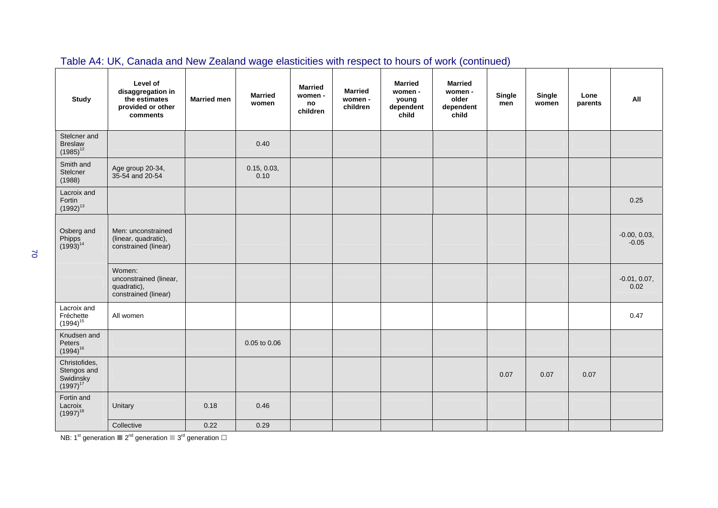| <b>Study</b>                                                      | Level of<br>disaggregation in<br>the estimates<br>provided or other<br>comments | <b>Married men</b> | <b>Married</b><br>women | <b>Married</b><br>women -<br>no<br>children | <b>Married</b><br>women -<br>children | <b>Married</b><br>women -<br>young<br>dependent<br>child | <b>Married</b><br>women -<br>older<br>dependent<br>.<br>child | Single<br>men | Single<br>women | Lone<br>parents | All                       |
|-------------------------------------------------------------------|---------------------------------------------------------------------------------|--------------------|-------------------------|---------------------------------------------|---------------------------------------|----------------------------------------------------------|---------------------------------------------------------------|---------------|-----------------|-----------------|---------------------------|
| Stelcner and<br><b>Breslaw</b><br>$(1985)^{12}$                   |                                                                                 |                    | 0.40                    |                                             |                                       |                                                          |                                                               |               |                 |                 |                           |
| Smith and<br>Stelcner<br>(1988)                                   | Age group 20-34,<br>35-54 and 20-54                                             |                    | 0.15, 0.03,<br>0.10     |                                             |                                       |                                                          |                                                               |               |                 |                 |                           |
| Lacroix and<br>Fortin<br>$(1992)^{13}$                            |                                                                                 |                    |                         |                                             |                                       |                                                          |                                                               |               |                 |                 | 0.25                      |
| Osberg and<br>Phipps<br>(1993) <sup>14</sup>                      | Men: unconstrained<br>(linear, quadratic),<br>constrained (linear)              |                    |                         |                                             |                                       |                                                          |                                                               |               |                 |                 | $-0.00, 0.03,$<br>$-0.05$ |
|                                                                   | Women:<br>unconstrained (linear,<br>quadratic),<br>constrained (linear)         |                    |                         |                                             |                                       |                                                          |                                                               |               |                 |                 | $-0.01, 0.07,$<br>0.02    |
| Lacroix and<br>Fréchette<br>$(1994)^{15}$                         | All women                                                                       |                    |                         |                                             |                                       |                                                          |                                                               |               |                 |                 | 0.47                      |
| Knudsen and<br>Peters<br>$(1994)^{16}$                            |                                                                                 |                    | 0.05 to 0.06            |                                             |                                       |                                                          |                                                               |               |                 |                 |                           |
| Christofides,<br>Stengos and<br>Swidinsky<br>(1997) <sup>17</sup> |                                                                                 |                    |                         |                                             |                                       |                                                          |                                                               | 0.07          | 0.07            | 0.07            |                           |
| Fortin and<br>Lacroix<br>$(1997)^{18}$                            | Unitary                                                                         | 0.18               | 0.46                    |                                             |                                       |                                                          |                                                               |               |                 |                 |                           |
|                                                                   | Collective                                                                      | 0.22               | 0.29                    |                                             |                                       |                                                          |                                                               |               |                 |                 |                           |

### Table A4: UK, Canada and New Zealand wage elasticities with respect to hours of work (continued)

NB: 1<sup>st</sup> generation  $2^{nd}$  generation  $2^{rd}$  generation  $\Box$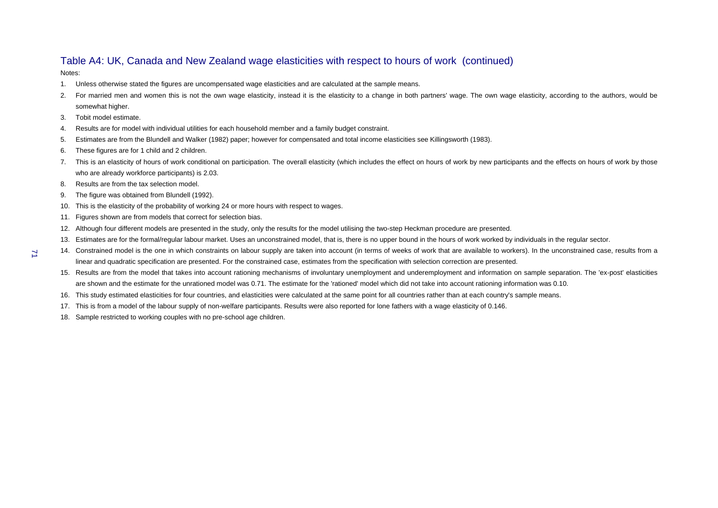#### Table A4: UK, Canada and New Zealand wage elasticities with respect to hours of work (continued)

Notes:

71

- 1. Unless otherwise stated the figures are uncompensated wage elasticities and are calculated at the sample means.
- 2. For married men and women this is not the own wage elasticity, instead it is the elasticity to a change in both partners' wage. The own wage elasticity, according to the authors, would be somewhat higher.
- 3. Tobit model estimate.
- 4. Results are for model with individual utilities for each household member and a family budget constraint.
- 5. Estimates are from the Blundell and Walker (1982) paper; however for compensated and total income elasticities see Killingsworth (1983).
- 6. These figures are for 1 child and 2 children.
- 7. This is an elasticity of hours of work conditional on participation. The overall elasticity (which includes the effect on hours of work by new participants and the effects on hours of work by those who are already workforce participants) is 2.03.
- 8. Results are from the tax selection model.
- 9. The figure was obtained from Blundell (1992).
- 10. This is the elasticity of the probability of working 24 or more hours with respect to wages.
- 11. Figures shown are from models that correct for selection bias.
- 12. Although four different models are presented in the study, only the results for the model utilising the two-step Heckman procedure are presented.
- 13. Estimates are for the formal/regular labour market. Uses an unconstrained model, that is, there is no upper bound in the hours of work worked by individuals in the regular sector.
- 14. Constrained model is the one in which constraints on labour supply are taken into account (in terms of weeks of work that are available to workers). In the unconstrained case, results from a linear and quadratic specification are presented. For the constrained case, estimates from the specification with selection correction are presented.
- 15. Results are from the model that takes into account rationing mechanisms of involuntary unemployment and underemployment and information on sample separation. The 'ex-post' elasticities are shown and the estimate for the unrationed model was 0.71. The estimate for the 'rationed' model which did not take into account rationing information was 0.10.
- 16. This study estimated elasticities for four countries, and elasticities were calculated at the same point for all countries rather than at each country's sample means.
- 17. This is from a model of the labour supply of non-welfare participants. Results were also reported for lone fathers with a wage elasticity of 0.146.
- 18. Sample restricted to working couples with no pre-school age children.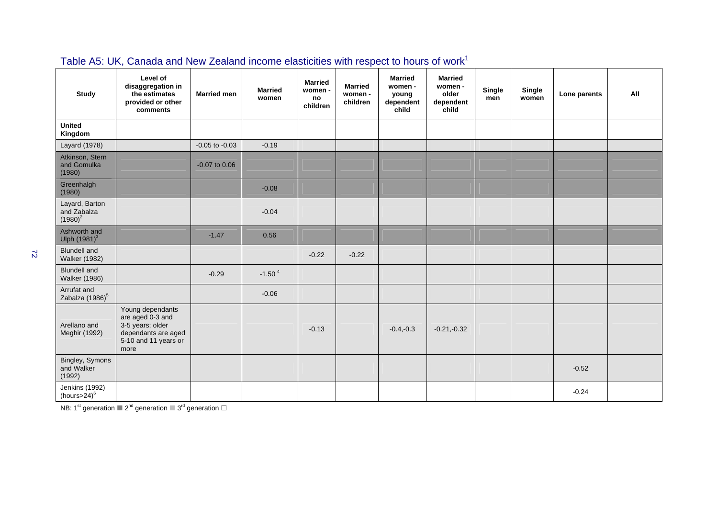| <b>Study</b>                                | Level of<br>disaggregation in<br>the estimates<br>provided or other<br>comments                                 | <b>Married men</b> | <b>Married</b><br>women | <b>Married</b><br>women -<br>no<br>children | <b>Married</b><br>women -<br>children | <b>Married</b><br>women -<br>young<br>dependent<br>child | <b>Married</b><br>women -<br>older<br>dependent<br>child | Single<br>men | Single<br>women | Lone parents | All |
|---------------------------------------------|-----------------------------------------------------------------------------------------------------------------|--------------------|-------------------------|---------------------------------------------|---------------------------------------|----------------------------------------------------------|----------------------------------------------------------|---------------|-----------------|--------------|-----|
| <b>United</b><br>Kingdom                    |                                                                                                                 |                    |                         |                                             |                                       |                                                          |                                                          |               |                 |              |     |
| Layard (1978)                               |                                                                                                                 | $-0.05$ to $-0.03$ | $-0.19$                 |                                             |                                       |                                                          |                                                          |               |                 |              |     |
| Atkinson, Stern<br>and Gomulka<br>(1980)    |                                                                                                                 | $-0.07$ to $0.06$  |                         |                                             |                                       |                                                          |                                                          |               |                 |              |     |
| Greenhalgh<br>(1980)                        |                                                                                                                 |                    | $-0.08$                 |                                             |                                       |                                                          |                                                          |               |                 |              |     |
| Layard, Barton<br>and Zabalza<br>$(1980)^2$ |                                                                                                                 |                    | $-0.04$                 |                                             |                                       |                                                          |                                                          |               |                 |              |     |
| Ashworth and<br>Ulph (1981) <sup>3</sup>    |                                                                                                                 | $-1.47$            | 0.56                    |                                             |                                       |                                                          |                                                          |               |                 |              |     |
| <b>Blundell</b> and<br><b>Walker (1982)</b> |                                                                                                                 |                    |                         | $-0.22$                                     | $-0.22$                               |                                                          |                                                          |               |                 |              |     |
| <b>Blundell</b> and<br><b>Walker (1986)</b> |                                                                                                                 | $-0.29$            | $-1.504$                |                                             |                                       |                                                          |                                                          |               |                 |              |     |
| Arrufat and<br>Zabalza (1986) <sup>5</sup>  |                                                                                                                 |                    | $-0.06$                 |                                             |                                       |                                                          |                                                          |               |                 |              |     |
| Arellano and<br>Meghir (1992)               | Young dependants<br>are aged 0-3 and<br>3-5 years; older<br>dependants are aged<br>5-10 and 11 years or<br>more |                    |                         | $-0.13$                                     |                                       | $-0.4,-0.3$                                              | $-0.21,-0.32$                                            |               |                 |              |     |
| Bingley, Symons<br>and Walker<br>(1992)     |                                                                                                                 |                    |                         |                                             |                                       |                                                          |                                                          |               |                 | $-0.52$      |     |
| Jenkins (1992)<br>(hours> $24)^6$           |                                                                                                                 |                    |                         |                                             |                                       |                                                          |                                                          |               |                 | $-0.24$      |     |

# Table A5: UK, Canada and New Zealand income elasticities with respect to hours of work<sup>1</sup>

NB: 1<sup>st</sup> generation  $2^{nd}$  generation  $2^{rd}$  generation  $\Box$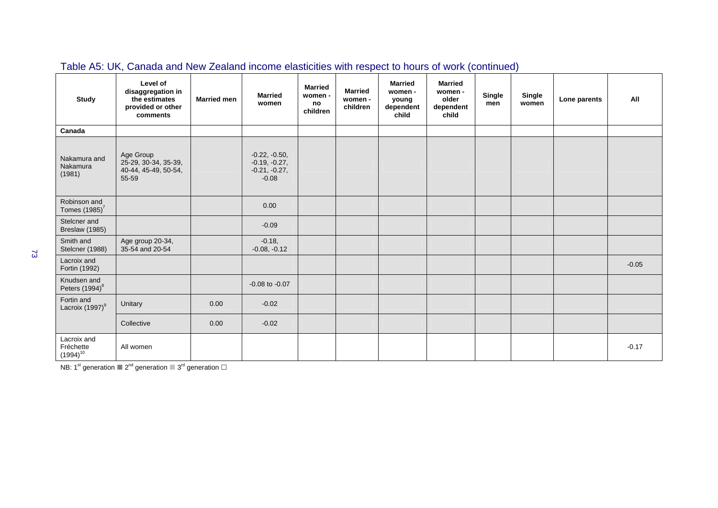| Study                                     | Level of<br>disaggregation in<br>the estimates<br>provided or other<br>comments | <b>Married men</b> | <b>Married</b><br>women                                          | <b>Married</b><br>women -<br>no<br>children | <b>Married</b><br>women -<br>children | <b>Married</b><br>women -<br>young<br>dependent<br>child | <b>Married</b><br>women -<br>older<br>dependent<br>child | <b>Single</b><br>men | <b>Single</b><br>women | Lone parents | All     |
|-------------------------------------------|---------------------------------------------------------------------------------|--------------------|------------------------------------------------------------------|---------------------------------------------|---------------------------------------|----------------------------------------------------------|----------------------------------------------------------|----------------------|------------------------|--------------|---------|
| Canada                                    |                                                                                 |                    |                                                                  |                                             |                                       |                                                          |                                                          |                      |                        |              |         |
| Nakamura and<br>Nakamura<br>(1981)        | Age Group<br>25-29, 30-34, 35-39,<br>40-44, 45-49, 50-54,<br>55-59              |                    | $-0.22, -0.50,$<br>$-0.19, -0.27,$<br>$-0.21, -0.27,$<br>$-0.08$ |                                             |                                       |                                                          |                                                          |                      |                        |              |         |
| Robinson and<br>Tomes $(1985)^7$          |                                                                                 |                    | 0.00                                                             |                                             |                                       |                                                          |                                                          |                      |                        |              |         |
| Stelcner and<br>Breslaw (1985)            |                                                                                 |                    | $-0.09$                                                          |                                             |                                       |                                                          |                                                          |                      |                        |              |         |
| Smith and<br>Stelcner (1988)              | Age group 20-34,<br>35-54 and 20-54                                             |                    | $-0.18,$<br>$-0.08, -0.12$                                       |                                             |                                       |                                                          |                                                          |                      |                        |              |         |
| Lacroix and<br>Fortin (1992)              |                                                                                 |                    |                                                                  |                                             |                                       |                                                          |                                                          |                      |                        |              | $-0.05$ |
| Knudsen and<br>Peters (1994) <sup>8</sup> |                                                                                 |                    | $-0.08$ to $-0.07$                                               |                                             |                                       |                                                          |                                                          |                      |                        |              |         |
| Fortin and<br>Lacroix (1997) <sup>9</sup> | Unitary                                                                         | 0.00               | $-0.02$                                                          |                                             |                                       |                                                          |                                                          |                      |                        |              |         |
|                                           | Collective                                                                      | 0.00               | $-0.02$                                                          |                                             |                                       |                                                          |                                                          |                      |                        |              |         |
| Lacroix and<br>Fréchette<br>$(1994)^{10}$ | All women                                                                       |                    |                                                                  |                                             |                                       |                                                          |                                                          |                      |                        |              | $-0.17$ |

## Table A5: UK, Canada and New Zealand income elasticities with respect to hours of work (continued)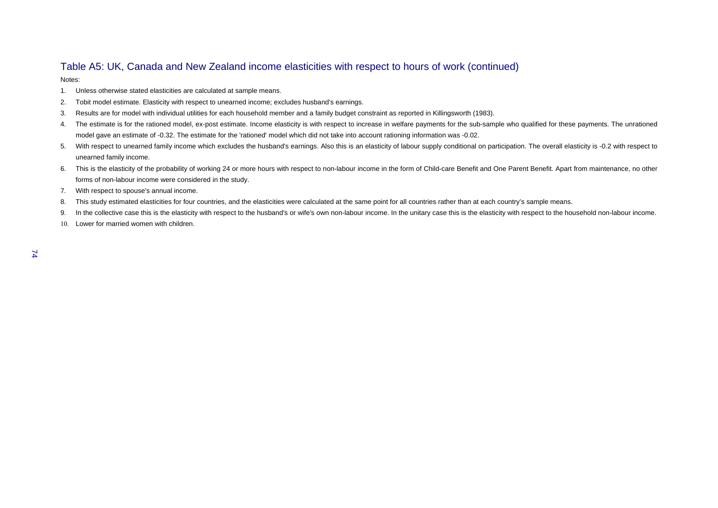#### Table A5: UK, Canada and New Zealand income elasticities with respect to hours of work (continued)

Notes:

- 1. Unless otherwise stated elasticities are calculated at sample means.
- 2. Tobit model estimate. Elasticity with respect to unearned income; excludes husband's earnings.
- 3. Results are for model with individual utilities for each household member and a family budget constraint as reported in Killingsworth (1983).
- 4. The estimate is for the rationed model, ex-post estimate. Income elasticity is with respect to increase in welfare payments for the sub-sample who qualified for these payments. The unrationed model gave an estimate of -0.32. The estimate for the 'rationed' model which did not take into account rationing information was -0.02.
- 5. With respect to unearned family income which excludes the husband's earnings. Also this is an elasticity of labour supply conditional on participation. The overall elasticity is -0.2 with respect to unearned family income.
- 6. This is the elasticity of the probability of working 24 or more hours with respect to non-labour income in the form of Child-care Benefit and One Parent Benefit. Apart from maintenance, no other forms of non-labour income were considered in the study.
- 7. With respect to spouse's annual income.
- 8. This study estimated elasticities for four countries, and the elasticities were calculated at the same point for all countries rather than at each country's sample means.
- 9. In the collective case this is the elasticity with respect to the husband's or wife's own non-labour income. In the unitary case this is the elasticity with respect to the household non-labour income.
- 10. Lower for married women with children.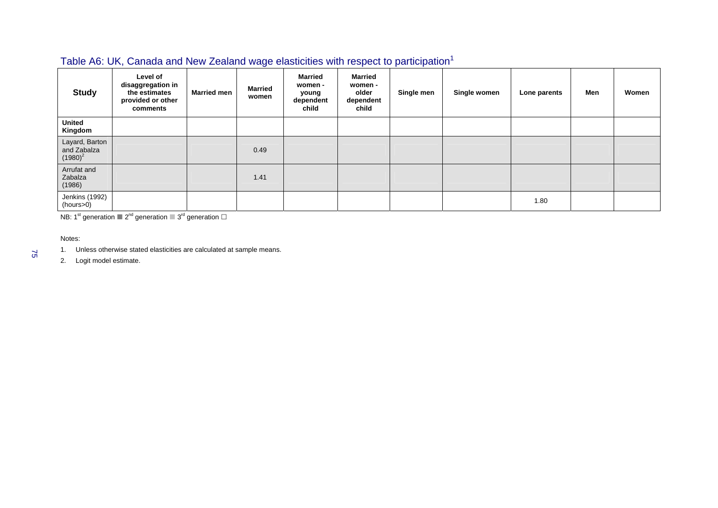### Table A6: UK, Canada and New Zealand wage elasticities with respect to participation<sup>1</sup>

| <b>Study</b>                                | Level of<br>disaggregation in<br>the estimates<br>provided or other<br>comments | <b>Married men</b> | <b>Married</b><br>women | <b>Married</b><br>women -<br>young<br>dependent<br>child | <b>Married</b><br>women -<br>older<br>dependent<br>child | Single men | Single women | Lone parents | Men | Women |
|---------------------------------------------|---------------------------------------------------------------------------------|--------------------|-------------------------|----------------------------------------------------------|----------------------------------------------------------|------------|--------------|--------------|-----|-------|
| <b>United</b><br>Kingdom                    |                                                                                 |                    |                         |                                                          |                                                          |            |              |              |     |       |
| Layard, Barton<br>and Zabalza<br>$(1980)^2$ |                                                                                 |                    | 0.49                    |                                                          |                                                          |            |              |              |     |       |
| Arrufat and<br>Zabalza<br>(1986)            |                                                                                 |                    | 1.41                    |                                                          |                                                          |            |              |              |     |       |
| Jenkins (1992)<br>(hours>0)                 |                                                                                 |                    |                         |                                                          |                                                          |            |              | 1.80         |     |       |

NB: 1<sup>st</sup> generation  $2^{nd}$  generation  $2^{rd}$  generation  $\Box$ 

Notes:

75

1. Unless otherwise stated elasticities are calculated at sample means.

2. Logit model estimate.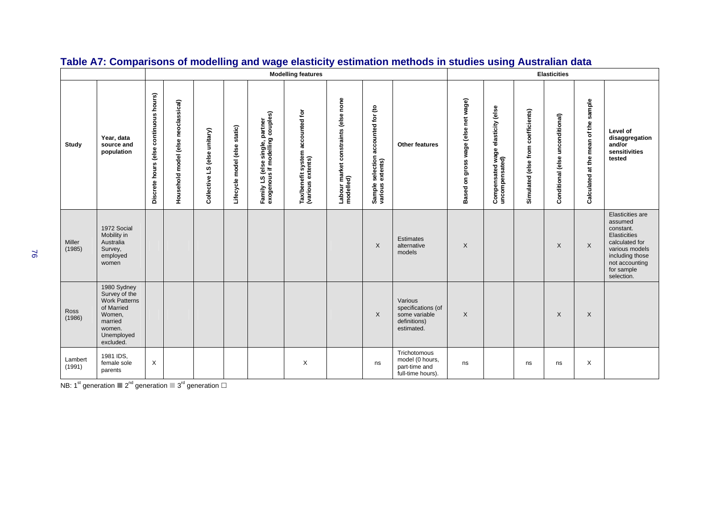|                   |                                                                                                                              |                                        |                                     |                              |                               |                                                                    | <b>Modelling features</b>                             |                                           |                                            |                                                                              |                                           |                                                     |                                    | <b>Elasticities</b>              |                                         |                                                                                                                                                               |
|-------------------|------------------------------------------------------------------------------------------------------------------------------|----------------------------------------|-------------------------------------|------------------------------|-------------------------------|--------------------------------------------------------------------|-------------------------------------------------------|-------------------------------------------|--------------------------------------------|------------------------------------------------------------------------------|-------------------------------------------|-----------------------------------------------------|------------------------------------|----------------------------------|-----------------------------------------|---------------------------------------------------------------------------------------------------------------------------------------------------------------|
| Study             | Year, data<br>source and<br>population                                                                                       | Discrete hours (else continuous hours) | Household model (else neoclassical) | Collective LS (else unitary) | Lifecycle model (else static) | Family LS (else single, partner<br>exogenous if modelling couples) | Tax/benefit system accounted for<br>(various extents) | constraints (else none<br>Labour market o | accounted for (to<br>selection<br>Sample s | <b>Other features</b>                                                        | wage (else net wage)<br>on gross<br>Based | Compensated wage elasticity (else<br>uncompensated) | Simulated (else from coefficients) | Conditional (else unconditional) | sample<br>Calculated at the mean of the | Level of<br>disaggregation<br>and/or<br>sensitivities<br>tested                                                                                               |
| Miller<br>(1985)  | 1972 Social<br>Mobility in<br>Australia<br>Survey,<br>employed<br>women                                                      |                                        |                                     |                              |                               |                                                                    |                                                       |                                           | $\times$                                   | Estimates<br>alternative<br>models                                           | $\times$                                  |                                                     |                                    | $\times$                         | $\sf X$                                 | Elasticities are<br>assumed<br>constant.<br>Elasticities<br>calculated for<br>various models<br>including those<br>not accounting<br>for sample<br>selection. |
| Ross<br>(1986)    | 1980 Sydney<br>Survey of the<br><b>Work Patterns</b><br>of Married<br>Women,<br>married<br>women.<br>Unemployed<br>excluded. |                                        |                                     |                              |                               |                                                                    |                                                       |                                           | $\sf X$                                    | Various<br>specifications (of<br>some variable<br>definitions)<br>estimated. | $\mathsf{X}$                              |                                                     |                                    | X                                | X                                       |                                                                                                                                                               |
| Lambert<br>(1991) | 1981 IDS,<br>female sole<br>parents                                                                                          | X                                      |                                     |                              |                               |                                                                    | $\times$                                              |                                           | ns                                         | Trichotomous<br>model (0 hours,<br>part-time and<br>full-time hours).        | ns                                        |                                                     | ns                                 | ns                               | X                                       |                                                                                                                                                               |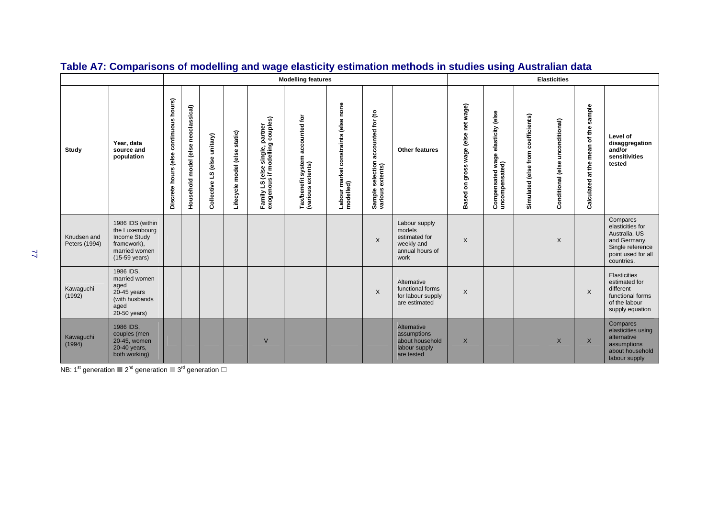|                              |                                                                                                                      |                                           |                                     |                              |                               |                                                                              | <b>Modelling features</b>                                            |                                                 |                                            |                                                                                   |                                                                |                                                        |                                       | <b>Elasticities</b>              |                                         |                                                                                                                       |
|------------------------------|----------------------------------------------------------------------------------------------------------------------|-------------------------------------------|-------------------------------------|------------------------------|-------------------------------|------------------------------------------------------------------------------|----------------------------------------------------------------------|-------------------------------------------------|--------------------------------------------|-----------------------------------------------------------------------------------|----------------------------------------------------------------|--------------------------------------------------------|---------------------------------------|----------------------------------|-----------------------------------------|-----------------------------------------------------------------------------------------------------------------------|
| Study                        | Year, data<br>source and<br>population                                                                               | continuous hours)<br>Discrete hours (else | Household model (else neoclassical) | Collective LS (else unitary) | Lifecycle model (else static) | couples)<br>Family LS (else single, partner<br>exogenous if modelling couple | sfit system accounted for<br>extents)<br>Tax/benefit<br>(various ext | none<br>(else<br>constraints<br>Labour market o | accounted for (to<br>selection<br>Sample s | Other features                                                                    | wage (else net wage)<br>gross<br>$\mathbf{\tilde{s}}$<br>Based | elasticity (else<br>Compensated wage<br>uncompensated) | coefficients)<br>Simulated (else from | Conditional (else unconditional) | sample<br>Calculated at the mean of the | Level of<br>disaggregation<br>and/or<br>sensitivities<br>tested                                                       |
| Knudsen and<br>Peters (1994) | 1986 IDS (within<br>the Luxembourg<br><b>Income Study</b><br>framework),<br>married women<br>$(15-59 \text{ years})$ |                                           |                                     |                              |                               |                                                                              |                                                                      |                                                 | $\times$                                   | Labour supply<br>models<br>estimated for<br>weekly and<br>annual hours of<br>work | $\times$                                                       |                                                        |                                       | X                                |                                         | Compares<br>elasticities for<br>Australia, US<br>and Germany.<br>Single reference<br>point used for all<br>countries. |
| Kawaguchi<br>(1992)          | 1986 IDS,<br>married women<br>aged<br>$20-45$ years<br>(with husbands)<br>aged<br>20-50 years)                       |                                           |                                     |                              |                               |                                                                              |                                                                      |                                                 | X                                          | Alternative<br>functional forms<br>for labour supply<br>are estimated             | $\times$                                                       |                                                        |                                       |                                  | X                                       | Elasticities<br>estimated for<br>different<br>functional forms<br>of the labour<br>supply equation                    |
| Kawaguchi<br>(1994)          | 1986 IDS,<br>couples (men<br>20-45, women<br>20-40 years,<br>both working)                                           |                                           |                                     |                              |                               | $\vee$                                                                       |                                                                      |                                                 |                                            | Alternative<br>assumptions<br>about household<br>labour supply<br>are tested      | $\times$                                                       |                                                        |                                       | X                                | $\times$                                | Compares<br>elasticities using<br>alternative<br>assumptions<br>about household<br>labour supply                      |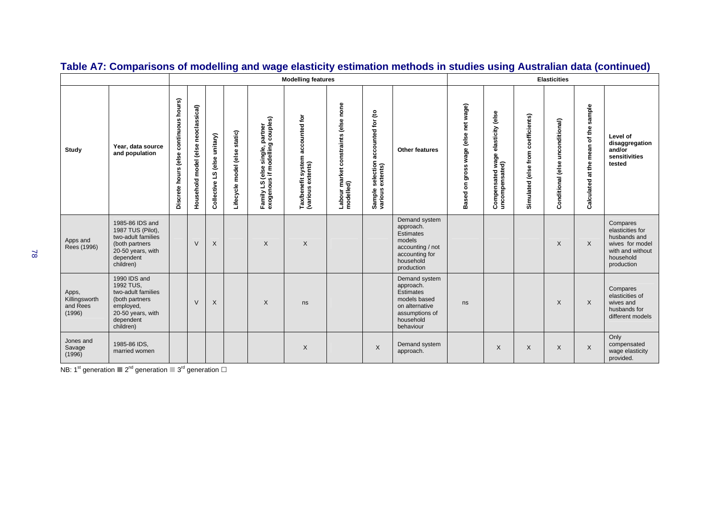|                                              |                                                                                                                                |                                           |                                     |                              |                                  |                                                                                                      | <b>Modelling features</b>                                |                                               |                                                                  |                                                                                                                              |                                     |                                            |                                    | <b>Elasticities</b>                 |                                      |                                                                                                                |
|----------------------------------------------|--------------------------------------------------------------------------------------------------------------------------------|-------------------------------------------|-------------------------------------|------------------------------|----------------------------------|------------------------------------------------------------------------------------------------------|----------------------------------------------------------|-----------------------------------------------|------------------------------------------------------------------|------------------------------------------------------------------------------------------------------------------------------|-------------------------------------|--------------------------------------------|------------------------------------|-------------------------------------|--------------------------------------|----------------------------------------------------------------------------------------------------------------|
| Study                                        | Year, data source<br>and population                                                                                            | continuous hours)<br>Discrete hours (else | Household model (else neoclassical) | Collective LS (else unitary) | static)<br>Lifecycle model (else | partner<br>g couples)<br>single, p<br>odelling<br>s if me<br>Is if me<br>w<br>Family LS<br>exogenous | accounted for<br>Tax/benefit system<br>(various extents) | none<br>constraints (else<br>Labour market on | ೭<br>accounted for<br>selection<br>extents)<br>Sample<br>various | Other features                                                                                                               | Based on gross wage (else net wage) | elasticity (else<br>မ္တ<br>Compensated way | Simulated (else from coefficients) | unconditional)<br>Conditional (else | Calculated at the mean of the sample | Level of<br>disaggregation<br>and/or<br>sensitivities<br>tested                                                |
| Apps and<br>Rees (1996)                      | 1985-86 IDS and<br>1987 TUS (Pilot),<br>two-adult families<br>(both partners<br>20-50 years, with<br>dependent<br>children)    |                                           | $\vee$                              | X                            |                                  | $\times$                                                                                             | X                                                        |                                               |                                                                  | Demand system<br>approach.<br><b>Estimates</b><br>models<br>accounting / not<br>accounting for<br>household<br>production    |                                     |                                            |                                    | X                                   | X                                    | Compares<br>elasticities for<br>husbands and<br>wives for model<br>with and without<br>household<br>production |
| Apps,<br>Killingsworth<br>and Rees<br>(1996) | 1990 IDS and<br>1992 TUS.<br>two-adult families<br>(both partners)<br>employed,<br>20-50 years, with<br>dependent<br>children) |                                           | $\vee$                              | $\times$                     |                                  | $\sf X$                                                                                              | ns                                                       |                                               |                                                                  | Demand system<br>approach.<br><b>Estimates</b><br>models based<br>on alternative<br>assumptions of<br>household<br>behaviour | ns                                  |                                            |                                    | $\times$                            | X                                    | Compares<br>elasticities of<br>wives and<br>husbands for<br>different models                                   |
| Jones and<br>Savage<br>(1996)                | 1985-86 IDS,<br>married women                                                                                                  |                                           |                                     |                              |                                  |                                                                                                      | X                                                        |                                               | $\times$                                                         | Demand system<br>approach.                                                                                                   |                                     | $\times$                                   | $\times$                           | $\times$                            | X                                    | Only<br>compensated<br>wage elasticity<br>provided.                                                            |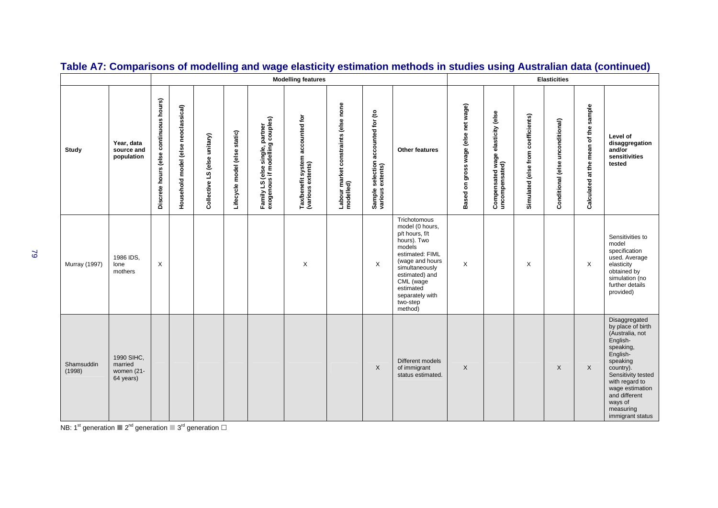|                      |                                                  |                                           |                                     |                              |                               |                                                                    | <b>Modelling features</b>                             |                                                         |                                                          |                                                                                                                                                                                                                          |                                     |                                                     |                                    | <b>Elasticities</b>              |                                      |                                                                                                                                                                                                                                             |
|----------------------|--------------------------------------------------|-------------------------------------------|-------------------------------------|------------------------------|-------------------------------|--------------------------------------------------------------------|-------------------------------------------------------|---------------------------------------------------------|----------------------------------------------------------|--------------------------------------------------------------------------------------------------------------------------------------------------------------------------------------------------------------------------|-------------------------------------|-----------------------------------------------------|------------------------------------|----------------------------------|--------------------------------------|---------------------------------------------------------------------------------------------------------------------------------------------------------------------------------------------------------------------------------------------|
| Study                | Year, data<br>source and<br>population           | continuous hours)<br>Discrete hours (else | Household model (else neoclassical) | Collective LS (else unitary) | Lifecycle model (else static) | Family LS (else single, partner<br>exogenous if modelling couples) | Tax/benefit system accounted for<br>(various extents) | constraints (else none<br>Labour market of<br>modelled) | for (to<br>accounted<br>selection<br>Sample s<br>various | <b>Other features</b>                                                                                                                                                                                                    | Based on gross wage (else net wage) | Compensated wage elasticity (else<br>uncompensated) | Simulated (else from coefficients) | Conditional (else unconditional) | Calculated at the mean of the sample | Level of<br>disaggregation<br>and/or<br>sensitivities<br>tested                                                                                                                                                                             |
| <b>Murray (1997)</b> | 1986 IDS,<br>lone<br>mothers                     | X                                         |                                     |                              |                               |                                                                    | $\times$                                              |                                                         | $\times$                                                 | Trichotomous<br>model (0 hours,<br>p/t hours, f/t<br>hours). Two<br>models<br>estimated: FIML<br>(wage and hours<br>simultaneously<br>estimated) and<br>CML (wage<br>estimated<br>separately with<br>two-step<br>method) | X                                   |                                                     | X                                  |                                  | X                                    | Sensitivities to<br>model<br>specification<br>used. Average<br>elasticity<br>obtained by<br>simulation (no<br>further details<br>provided)                                                                                                  |
| Shamsuddin<br>(1998) | 1990 SIHC.<br>married<br>women (21-<br>64 years) |                                           |                                     |                              |                               |                                                                    |                                                       |                                                         | $\times$                                                 | Different models<br>of immigrant<br>status estimated.                                                                                                                                                                    | X                                   |                                                     |                                    | $\times$                         | X                                    | Disaggregated<br>by place of birth<br>(Australia, not<br>English-<br>speaking,<br>English-<br>speaking<br>country).<br>Sensitivity tested<br>with regard to<br>wage estimation<br>and different<br>ways of<br>measuring<br>immigrant status |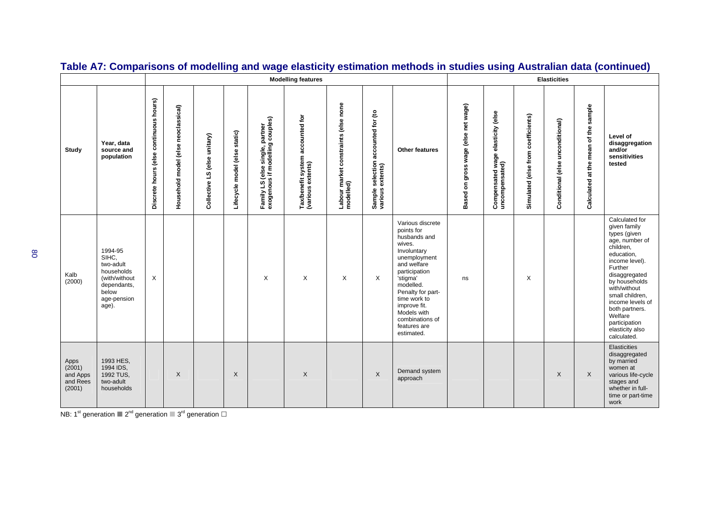|                                                  |                                                                                                              |                                        |                                     |                                   |                               | <b>Modelling features</b>                                          | <b>Elasticities</b>                                                     |                                             |                                                     |                                                                                                                                                                                                                                                                       |                                        |                                                        |                                    |                                  |                                         |                                                                                                                                                                                                                                                                                                   |
|--------------------------------------------------|--------------------------------------------------------------------------------------------------------------|----------------------------------------|-------------------------------------|-----------------------------------|-------------------------------|--------------------------------------------------------------------|-------------------------------------------------------------------------|---------------------------------------------|-----------------------------------------------------|-----------------------------------------------------------------------------------------------------------------------------------------------------------------------------------------------------------------------------------------------------------------------|----------------------------------------|--------------------------------------------------------|------------------------------------|----------------------------------|-----------------------------------------|---------------------------------------------------------------------------------------------------------------------------------------------------------------------------------------------------------------------------------------------------------------------------------------------------|
| Study                                            | Year, data<br>source and<br>population                                                                       | Discrete hours (else continuous hours) | Household model (else neoclassical) | unitary)<br>else<br>Collective LS | Lifecycle model (else static) | Family LS (else single, partner<br>exogenous if modelling couples) | sfit system accounted for<br>extents)<br>Tax/benefit s<br>(various extu | else none<br>constraints<br>Labour market o | selection accounted for (to<br>extents)<br>Sample s | <b>Other features</b>                                                                                                                                                                                                                                                 | on gross wage (else net wage)<br>Based | elasticity (else<br>Compensated wage<br>uncompensated) | Simulated (else from coefficients) | Conditional (else unconditional) | sample<br>Calculated at the mean of the | Level of<br>disaggregation<br>and/or<br>sensitivities<br>tested                                                                                                                                                                                                                                   |
| Kalb<br>(2000)                                   | 1994-95<br>SIHC,<br>two-adult<br>households<br>(with/without<br>dependants,<br>below<br>age-pension<br>age). | X                                      |                                     |                                   |                               | X                                                                  | X                                                                       | X                                           | $\times$                                            | Various discrete<br>points for<br>husbands and<br>wives.<br>Involuntary<br>unemployment<br>and welfare<br>participation<br>'stigma'<br>modelled.<br>Penalty for part-<br>time work to<br>improve fit.<br>Models with<br>combinations of<br>features are<br>estimated. | ns                                     |                                                        | X                                  |                                  |                                         | Calculated for<br>given family<br>types (given<br>age, number of<br>children,<br>education,<br>income level).<br>Further<br>disaggregated<br>by households<br>with/without<br>small children,<br>income levels of<br>both partners.<br>Welfare<br>participation<br>elasticity also<br>calculated. |
| Apps<br>(2001)<br>and Apps<br>and Rees<br>(2001) | 1993 HES,<br>1994 IDS,<br>1992 TUS,<br>two-adult<br>households                                               |                                        | $\times$                            |                                   | X                             |                                                                    | $\times$                                                                |                                             | $\times$                                            | Demand system<br>approach                                                                                                                                                                                                                                             |                                        |                                                        |                                    | X                                | X                                       | Elasticities<br>disaggregated<br>by married<br>women at<br>various life-cycle<br>stages and<br>whether in full-<br>time or part-time<br>work                                                                                                                                                      |

NB: 1<sup>st</sup> generation  $2^{nd}$  generation  $3^{rd}$  generation  $\Box$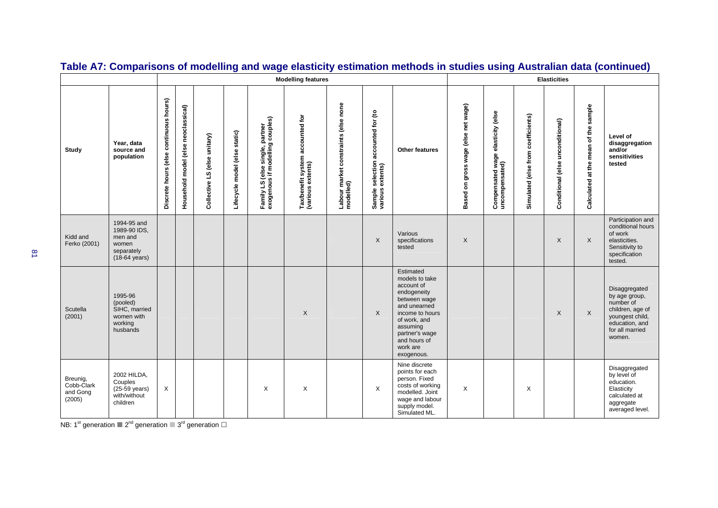|                                              |                                                                                          |                                        |                                        |                              |                               |                                                                    | <b>Modelling features</b>                             | <b>Elasticities</b>                       |                                                         |                                                                                                                                                                                                     |                                     |                                                     |                                    |                                  |                                      |                                                                                                                                   |
|----------------------------------------------|------------------------------------------------------------------------------------------|----------------------------------------|----------------------------------------|------------------------------|-------------------------------|--------------------------------------------------------------------|-------------------------------------------------------|-------------------------------------------|---------------------------------------------------------|-----------------------------------------------------------------------------------------------------------------------------------------------------------------------------------------------------|-------------------------------------|-----------------------------------------------------|------------------------------------|----------------------------------|--------------------------------------|-----------------------------------------------------------------------------------------------------------------------------------|
| Study                                        | Year, data<br>source and<br>population                                                   | Discrete hours (else continuous hours) | model (else neoclassical)<br>Household | Collective LS (else unitary) | Lifecycle model (else static) | Family LS (else single, partner<br>exogenous if modelling couples) | Tax/benefit system accounted for<br>(various extents) | constraints (else none<br>Labour market o | ಕಿ<br>accounted for<br>selection<br>Sample s<br>various | <b>Other features</b>                                                                                                                                                                               | Based on gross wage (else net wage) | Compensated wage elasticity (else<br>uncompensated) | Simulated (else from coefficients) | Conditional (else unconditional) | Calculated at the mean of the sample | Level of<br>disaggregation<br>and/or<br>sensitivities<br>tested                                                                   |
| Kidd and<br>Ferko (2001)                     | 1994-95 and<br>1989-90 IDS,<br>men and<br>women<br>separately<br>$(18-64 \text{ years})$ |                                        |                                        |                              |                               |                                                                    |                                                       |                                           | $\boldsymbol{X}$                                        | Various<br>specifications<br>tested                                                                                                                                                                 | $\times$                            |                                                     |                                    | X                                | X                                    | Participation and<br>conditional hours<br>of work<br>elasticities.<br>Sensitivity to<br>specification<br>tested.                  |
| Scutella<br>(2001)                           | 1995-96<br>(pooled)<br>SIHC, married<br>women with<br>working<br>husbands                |                                        |                                        |                              |                               |                                                                    | $\sf X$                                               |                                           | $\times$                                                | Estimated<br>models to take<br>account of<br>endogeneity<br>between wage<br>and unearned<br>income to hours<br>of work, and<br>assuming<br>partner's wage<br>and hours of<br>work are<br>exogenous. |                                     |                                                     |                                    | $\times$                         | X                                    | Disaggregated<br>by age group,<br>number of<br>children, age of<br>youngest child,<br>education, and<br>for all married<br>women. |
| Breunig,<br>Cobb-Clark<br>and Gong<br>(2005) | 2002 HILDA,<br>Couples<br>(25-59 years)<br>with/without<br>children                      | X                                      |                                        |                              |                               | X                                                                  | X                                                     |                                           | X                                                       | Nine discrete<br>points for each<br>person. Fixed<br>costs of working<br>modelled. Joint<br>wage and labour<br>supply model.<br>Simulated ML.                                                       | X                                   |                                                     | X                                  |                                  |                                      | Disaggregated<br>by level of<br>education.<br>Elasticity<br>calculated at<br>aggregate<br>averaged level.                         |